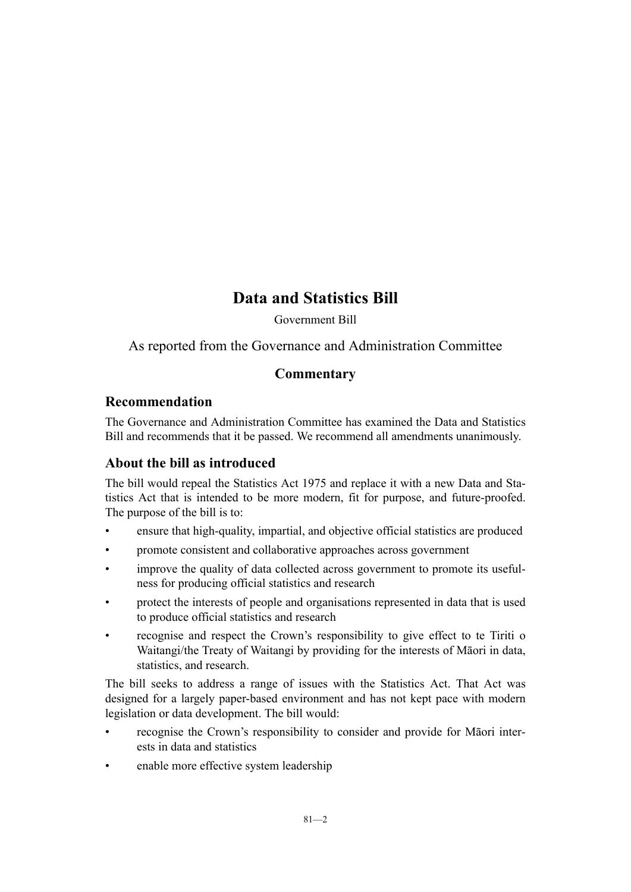# **Data and Statistics Bill**

Government Bill

As reported from the Governance and Administration Committee

# **Commentary**

# **Recommendation**

The Governance and Administration Committee has examined the Data and Statistics Bill and recommends that it be passed. We recommend all amendments unanimously.

# **About the bill as introduced**

The bill would repeal the Statistics Act 1975 and replace it with a new Data and Statistics Act that is intended to be more modern, fit for purpose, and future-proofed. The purpose of the bill is to:

- ensure that high-quality, impartial, and objective official statistics are produced
- promote consistent and collaborative approaches across government
- improve the quality of data collected across government to promote its usefulness for producing official statistics and research
- protect the interests of people and organisations represented in data that is used to produce official statistics and research
- recognise and respect the Crown's responsibility to give effect to te Tiriti o Waitangi/the Treaty of Waitangi by providing for the interests of Māori in data, statistics, and research.

The bill seeks to address a range of issues with the Statistics Act. That Act was designed for a largely paper-based environment and has not kept pace with modern legislation or data development. The bill would:

- recognise the Crown's responsibility to consider and provide for Māori interests in data and statistics
- enable more effective system leadership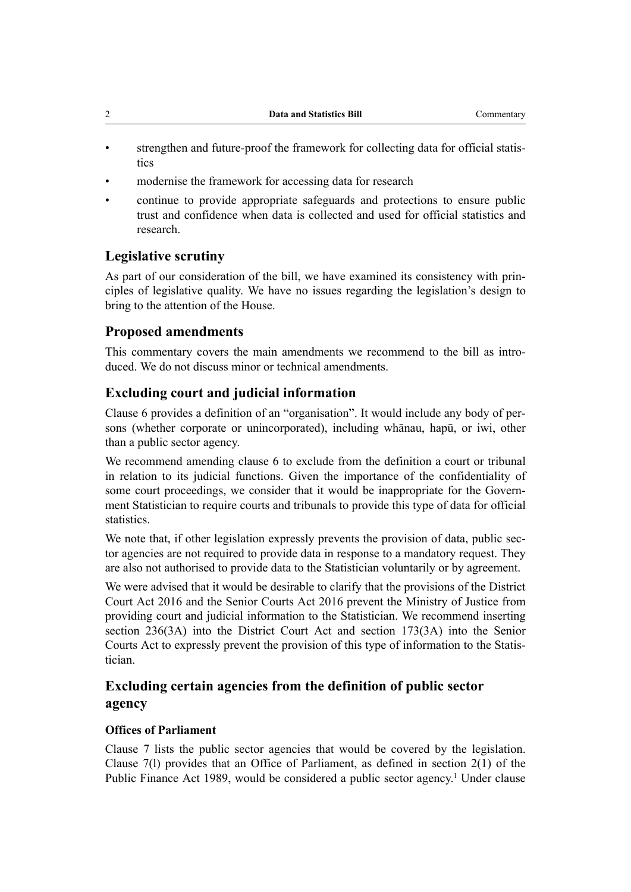| Data and Statistics Bill | Commentary |
|--------------------------|------------|
|                          |            |

- strengthen and future-proof the framework for collecting data for official statistics
- modernise the framework for accessing data for research
- continue to provide appropriate safeguards and protections to ensure public trust and confidence when data is collected and used for official statistics and research.

# **Legislative scrutiny**

As part of our consideration of the bill, we have examined its consistency with prin‐ ciples of legislative quality. We have no issues regarding the legislation's design to bring to the attention of the House.

# **Proposed amendments**

This commentary covers the main amendments we recommend to the bill as intro‐ duced. We do not discuss minor or technical amendments.

# **Excluding court and judicial information**

Clause 6 provides a definition of an "organisation". It would include any body of per‐ sons (whether corporate or unincorporated), including whānau, hapū, or iwi, other than a public sector agency.

We recommend amending clause 6 to exclude from the definition a court or tribunal in relation to its judicial functions. Given the importance of the confidentiality of some court proceedings, we consider that it would be inappropriate for the Government Statistician to require courts and tribunals to provide this type of data for official statistics.

We note that, if other legislation expressly prevents the provision of data, public sector agencies are not required to provide data in response to a mandatory request. They are also not authorised to provide data to the Statistician voluntarily or by agreement.

We were advised that it would be desirable to clarify that the provisions of the District Court Act 2016 and the Senior Courts Act 2016 prevent the Ministry of Justice from providing court and judicial information to the Statistician. We recommend inserting section 236(3A) into the District Court Act and section 173(3A) into the Senior Courts Act to expressly prevent the provision of this type of information to the Statis‐ tician.

# **Excluding certain agencies from the definition of public sector agency**

# **Offices of Parliament**

Clause 7 lists the public sector agencies that would be covered by the legislation. Clause 7(l) provides that an Office of Parliament, as defined in section 2(1) of the Public Finance Act [1](#page-2-0)989, would be considered a public sector agency.<sup>1</sup> Under clause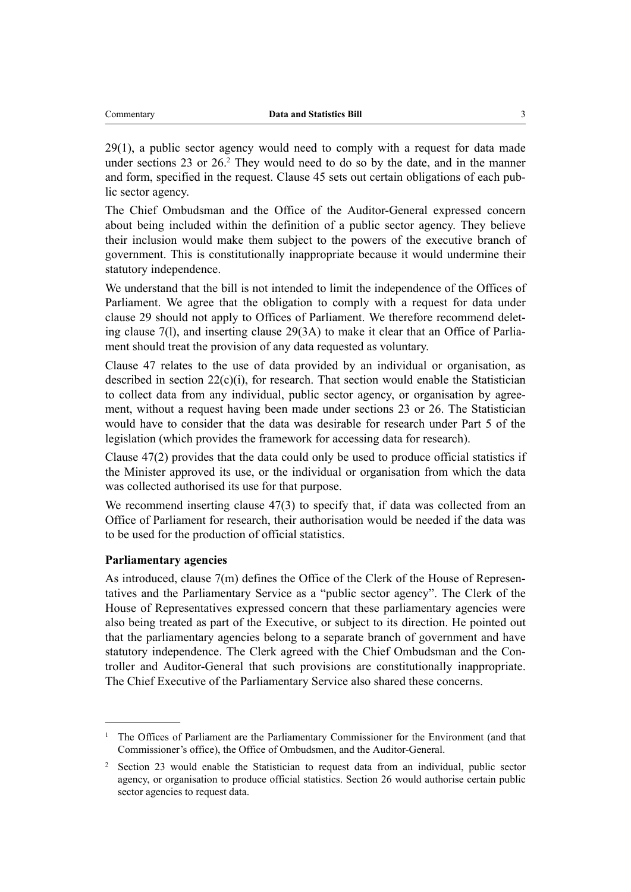<span id="page-2-0"></span>29(1), a public sector agency would need to comply with a request for data made under sections 23 or 26.<sup>2</sup> They would need to do so by the date, and in the manner and form, specified in the request. Clause 45 sets out certain obligations of each public sector agency.

The Chief Ombudsman and the Office of the Auditor-General expressed concern about being included within the definition of a public sector agency. They believe their inclusion would make them subject to the powers of the executive branch of government. This is constitutionally inappropriate because it would undermine their statutory independence.

We understand that the bill is not intended to limit the independence of the Offices of Parliament. We agree that the obligation to comply with a request for data under clause 29 should not apply to Offices of Parliament. We therefore recommend delet‐ ing clause 7(l), and inserting clause 29(3A) to make it clear that an Office of Parlia‐ ment should treat the provision of any data requested as voluntary.

Clause 47 relates to the use of data provided by an individual or organisation, as described in section  $22(c)(i)$ , for research. That section would enable the Statistician to collect data from any individual, public sector agency, or organisation by agreement, without a request having been made under sections 23 or 26. The Statistician would have to consider that the data was desirable for research under Part 5 of the legislation (which provides the framework for accessing data for research).

Clause 47(2) provides that the data could only be used to produce official statistics if the Minister approved its use, or the individual or organisation from which the data was collected authorised its use for that purpose.

We recommend inserting clause 47(3) to specify that, if data was collected from an Office of Parliament for research, their authorisation would be needed if the data was to be used for the production of official statistics.

#### **Parliamentary agencies**

As introduced, clause 7(m) defines the Office of the Clerk of the House of Representatives and the Parliamentary Service as a "public sector agency". The Clerk of the House of Representatives expressed concern that these parliamentary agencies were also being treated as part of the Executive, or subject to its direction. He pointed out that the parliamentary agencies belong to a separate branch of government and have statutory independence. The Clerk agreed with the Chief Ombudsman and the Controller and Auditor-General that such provisions are constitutionally inappropriate. The Chief Executive of the Parliamentary Service also shared these concerns.

<sup>1</sup> The Offices of Parliament are the Parliamentary Commissioner for the Environment (and that Commissioner's office), the Office of Ombudsmen, and the Auditor-General.

<sup>&</sup>lt;sup>2</sup> Section 23 would enable the Statistician to request data from an individual, public sector agency, or organisation to produce official statistics. Section 26 would authorise certain public sector agencies to request data.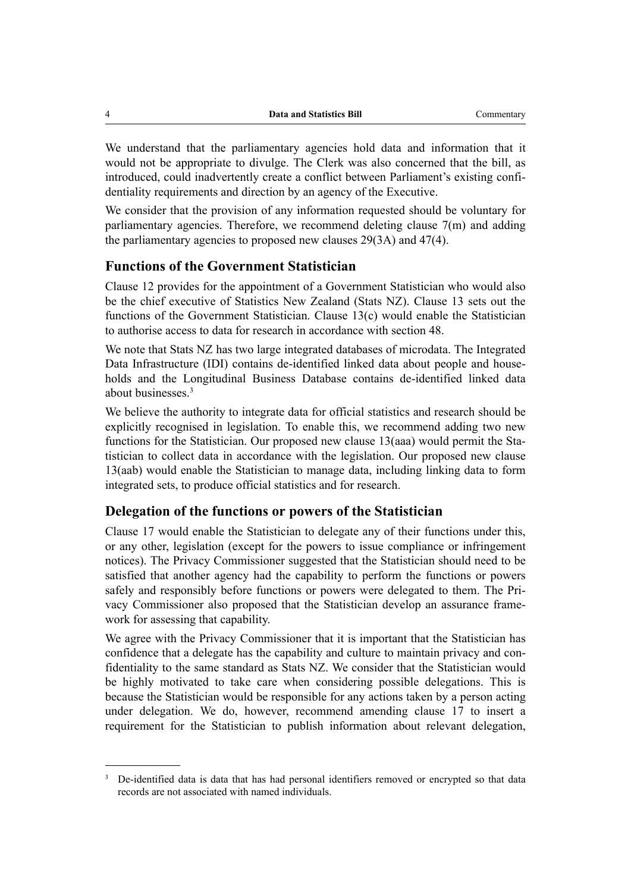We understand that the parliamentary agencies hold data and information that it would not be appropriate to divulge. The Clerk was also concerned that the bill, as introduced, could inadvertently create a conflict between Parliament's existing confidentiality requirements and direction by an agency of the Executive.

We consider that the provision of any information requested should be voluntary for parliamentary agencies. Therefore, we recommend deleting clause 7(m) and adding the parliamentary agencies to proposed new clauses 29(3A) and 47(4).

### **Functions of the Government Statistician**

Clause 12 provides for the appointment of a Government Statistician who would also be the chief executive of Statistics New Zealand (Stats NZ). Clause 13 sets out the functions of the Government Statistician. Clause 13(c) would enable the Statistician to authorise access to data for research in accordance with section 48.

We note that Stats NZ has two large integrated databases of microdata. The Integrated Data Infrastructure (IDI) contains de-identified linked data about people and households and the Longitudinal Business Database contains de-identified linked data about businesses.<sup>3</sup>

We believe the authority to integrate data for official statistics and research should be explicitly recognised in legislation. To enable this, we recommend adding two new functions for the Statistician. Our proposed new clause 13(aaa) would permit the Statistician to collect data in accordance with the legislation. Our proposed new clause 13(aab) would enable the Statistician to manage data, including linking data to form integrated sets, to produce official statistics and for research.

#### **Delegation of the functions or powers of the Statistician**

Clause 17 would enable the Statistician to delegate any of their functions under this, or any other, legislation (except for the powers to issue compliance or infringement notices). The Privacy Commissioner suggested that the Statistician should need to be satisfied that another agency had the capability to perform the functions or powers safely and responsibly before functions or powers were delegated to them. The Privacy Commissioner also proposed that the Statistician develop an assurance framework for assessing that capability.

We agree with the Privacy Commissioner that it is important that the Statistician has confidence that a delegate has the capability and culture to maintain privacy and confidentiality to the same standard as Stats NZ. We consider that the Statistician would be highly motivated to take care when considering possible delegations. This is because the Statistician would be responsible for any actions taken by a person acting under delegation. We do, however, recommend amending clause 17 to insert a requirement for the Statistician to publish information about relevant delegation,

<sup>&</sup>lt;sup>3</sup> De-identified data is data that has had personal identifiers removed or encrypted so that data records are not associated with named individuals.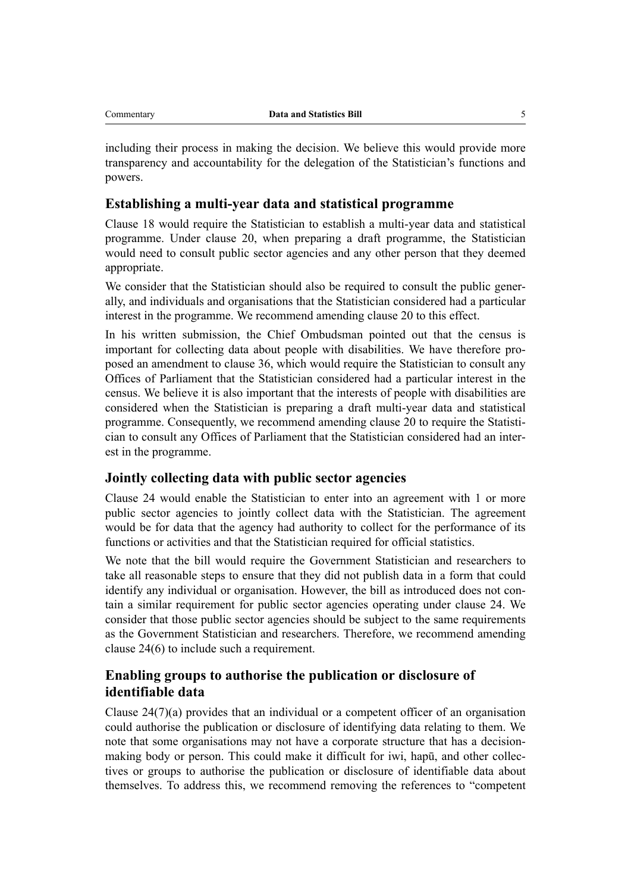including their process in making the decision. We believe this would provide more transparency and accountability for the delegation of the Statistician's functions and powers.

### **Establishing a multi-year data and statistical programme**

Clause 18 would require the Statistician to establish a multi-year data and statistical programme. Under clause 20, when preparing a draft programme, the Statistician would need to consult public sector agencies and any other person that they deemed appropriate.

We consider that the Statistician should also be required to consult the public generally, and individuals and organisations that the Statistician considered had a particular interest in the programme. We recommend amending clause 20 to this effect.

In his written submission, the Chief Ombudsman pointed out that the census is important for collecting data about people with disabilities. We have therefore proposed an amendment to clause 36, which would require the Statistician to consult any Offices of Parliament that the Statistician considered had a particular interest in the census. We believe it is also important that the interests of people with disabilities are considered when the Statistician is preparing a draft multi-year data and statistical programme. Consequently, we recommend amending clause 20 to require the Statistician to consult any Offices of Parliament that the Statistician considered had an inter‐ est in the programme.

#### **Jointly collecting data with public sector agencies**

Clause 24 would enable the Statistician to enter into an agreement with 1 or more public sector agencies to jointly collect data with the Statistician. The agreement would be for data that the agency had authority to collect for the performance of its functions or activities and that the Statistician required for official statistics.

We note that the bill would require the Government Statistician and researchers to take all reasonable steps to ensure that they did not publish data in a form that could identify any individual or organisation. However, the bill as introduced does not contain a similar requirement for public sector agencies operating under clause 24. We consider that those public sector agencies should be subject to the same requirements as the Government Statistician and researchers. Therefore, we recommend amending clause 24(6) to include such a requirement.

# **Enabling groups to authorise the publication or disclosure of identifiable data**

Clause 24(7)(a) provides that an individual or a competent officer of an organisation could authorise the publication or disclosure of identifying data relating to them. We note that some organisations may not have a corporate structure that has a decisionmaking body or person. This could make it difficult for iwi, hapū, and other collec‐ tives or groups to authorise the publication or disclosure of identifiable data about themselves. To address this, we recommend removing the references to "competent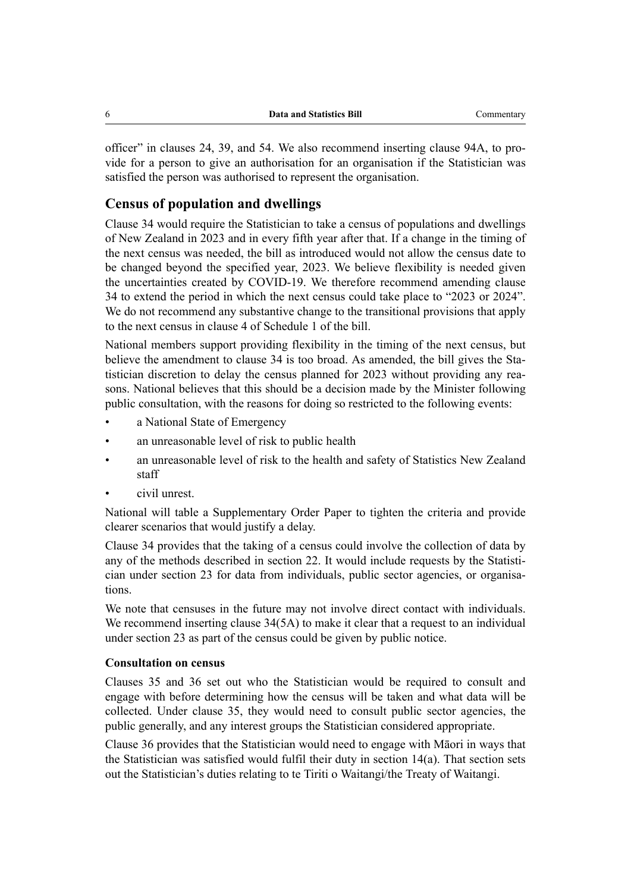officer" in clauses 24, 39, and 54. We also recommend inserting clause 94A, to pro‐ vide for a person to give an authorisation for an organisation if the Statistician was satisfied the person was authorised to represent the organisation.

## **Census of population and dwellings**

Clause 34 would require the Statistician to take a census of populations and dwellings of New Zealand in 2023 and in every fifth year after that. If a change in the timing of the next census was needed, the bill as introduced would not allow the census date to be changed beyond the specified year, 2023. We believe flexibility is needed given the uncertainties created by COVID-19. We therefore recommend amending clause 34 to extend the period in which the next census could take place to "2023 or 2024". We do not recommend any substantive change to the transitional provisions that apply to the next census in clause 4 of Schedule 1 of the bill.

National members support providing flexibility in the timing of the next census, but believe the amendment to clause 34 is too broad. As amended, the bill gives the Statistician discretion to delay the census planned for 2023 without providing any reasons. National believes that this should be a decision made by the Minister following public consultation, with the reasons for doing so restricted to the following events:

- a National State of Emergency
- an unreasonable level of risk to public health
- an unreasonable level of risk to the health and safety of Statistics New Zealand staff
- civil unrest.

National will table a Supplementary Order Paper to tighten the criteria and provide clearer scenarios that would justify a delay.

Clause 34 provides that the taking of a census could involve the collection of data by any of the methods described in section 22. It would include requests by the Statistician under section 23 for data from individuals, public sector agencies, or organisations.

We note that censuses in the future may not involve direct contact with individuals. We recommend inserting clause 34(5A) to make it clear that a request to an individual under section 23 as part of the census could be given by public notice.

#### **Consultation on census**

Clauses 35 and 36 set out who the Statistician would be required to consult and engage with before determining how the census will be taken and what data will be collected. Under clause 35, they would need to consult public sector agencies, the public generally, and any interest groups the Statistician considered appropriate.

Clause 36 provides that the Statistician would need to engage with Māori in ways that the Statistician was satisfied would fulfil their duty in section 14(a). That section sets out the Statistician's duties relating to te Tiriti o Waitangi/the Treaty of Waitangi.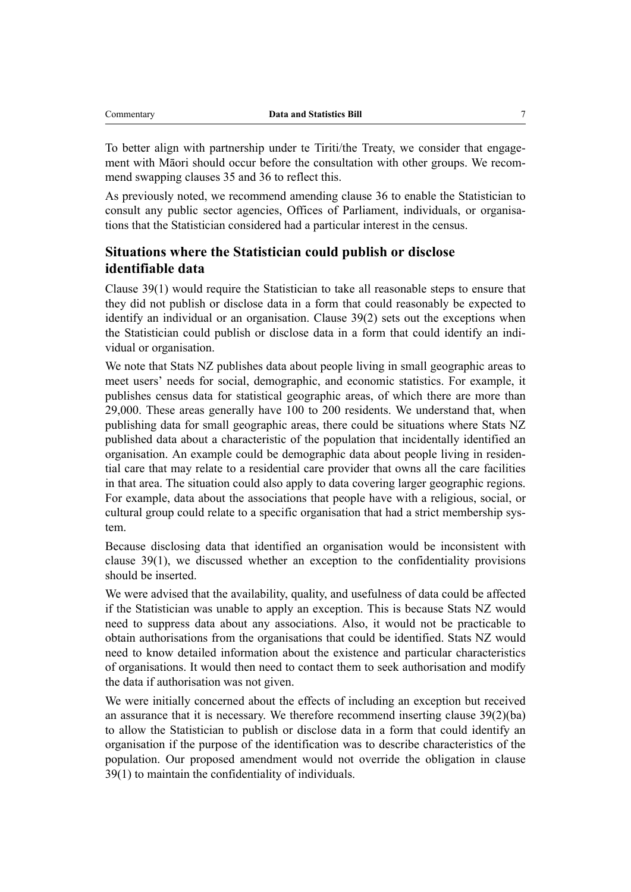To better align with partnership under te Tiriti/the Treaty, we consider that engagement with Māori should occur before the consultation with other groups. We recommend swapping clauses 35 and 36 to reflect this.

As previously noted, we recommend amending clause 36 to enable the Statistician to consult any public sector agencies, Offices of Parliament, individuals, or organisations that the Statistician considered had a particular interest in the census.

# **Situations where the Statistician could publish or disclose identifiable data**

Clause 39(1) would require the Statistician to take all reasonable steps to ensure that they did not publish or disclose data in a form that could reasonably be expected to identify an individual or an organisation. Clause 39(2) sets out the exceptions when the Statistician could publish or disclose data in a form that could identify an indi‐ vidual or organisation.

We note that Stats NZ publishes data about people living in small geographic areas to meet users' needs for social, demographic, and economic statistics. For example, it publishes census data for statistical geographic areas, of which there are more than 29,000. These areas generally have 100 to 200 residents. We understand that, when publishing data for small geographic areas, there could be situations where Stats NZ published data about a characteristic of the population that incidentally identified an organisation. An example could be demographic data about people living in residen‐ tial care that may relate to a residential care provider that owns all the care facilities in that area. The situation could also apply to data covering larger geographic regions. For example, data about the associations that people have with a religious, social, or cultural group could relate to a specific organisation that had a strict membership system.

Because disclosing data that identified an organisation would be inconsistent with clause 39(1), we discussed whether an exception to the confidentiality provisions should be inserted.

We were advised that the availability, quality, and usefulness of data could be affected if the Statistician was unable to apply an exception. This is because Stats NZ would need to suppress data about any associations. Also, it would not be practicable to obtain authorisations from the organisations that could be identified. Stats NZ would need to know detailed information about the existence and particular characteristics of organisations. It would then need to contact them to seek authorisation and modify the data if authorisation was not given.

We were initially concerned about the effects of including an exception but received an assurance that it is necessary. We therefore recommend inserting clause  $39(2)(ba)$ to allow the Statistician to publish or disclose data in a form that could identify an organisation if the purpose of the identification was to describe characteristics of the population. Our proposed amendment would not override the obligation in clause 39(1) to maintain the confidentiality of individuals.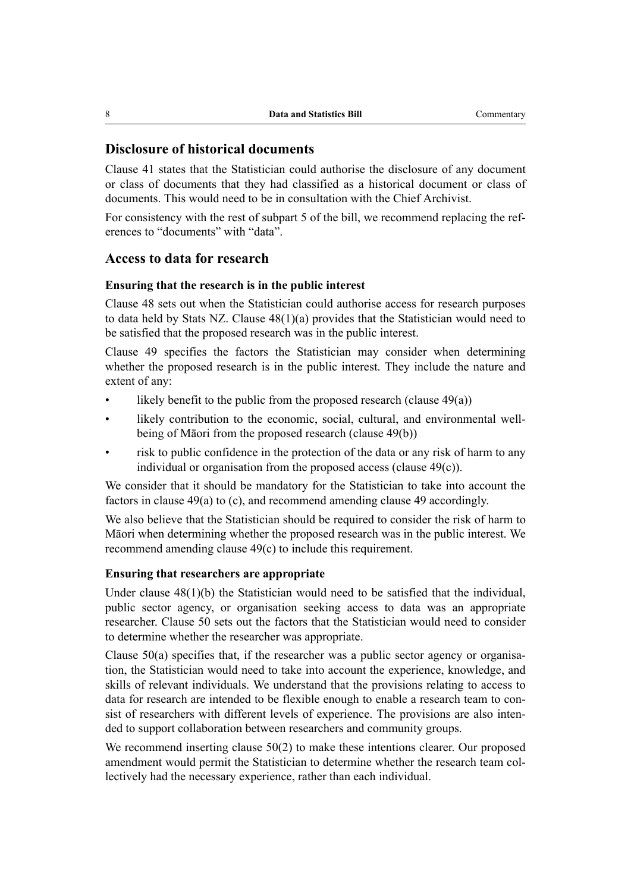### **Disclosure of historical documents**

Clause 41 states that the Statistician could authorise the disclosure of any document or class of documents that they had classified as a historical document or class of documents. This would need to be in consultation with the Chief Archivist.

For consistency with the rest of subpart 5 of the bill, we recommend replacing the references to "documents" with "data".

#### **Access to data for research**

#### **Ensuring that the research is in the public interest**

Clause 48 sets out when the Statistician could authorise access for research purposes to data held by Stats NZ. Clause 48(1)(a) provides that the Statistician would need to be satisfied that the proposed research was in the public interest.

Clause 49 specifies the factors the Statistician may consider when determining whether the proposed research is in the public interest. They include the nature and extent of any:

- likely benefit to the public from the proposed research (clause  $49(a)$ )
- likely contribution to the economic, social, cultural, and environmental wellbeing of Māori from the proposed research (clause 49(b))
- risk to public confidence in the protection of the data or any risk of harm to any individual or organisation from the proposed access (clause 49(c)).

We consider that it should be mandatory for the Statistician to take into account the factors in clause 49(a) to (c), and recommend amending clause 49 accordingly.

We also believe that the Statistician should be required to consider the risk of harm to Māori when determining whether the proposed research was in the public interest. We recommend amending clause 49(c) to include this requirement.

#### **Ensuring that researchers are appropriate**

Under clause 48(1)(b) the Statistician would need to be satisfied that the individual, public sector agency, or organisation seeking access to data was an appropriate researcher. Clause 50 sets out the factors that the Statistician would need to consider to determine whether the researcher was appropriate.

Clause  $50(a)$  specifies that, if the researcher was a public sector agency or organisation, the Statistician would need to take into account the experience, knowledge, and skills of relevant individuals. We understand that the provisions relating to access to data for research are intended to be flexible enough to enable a research team to consist of researchers with different levels of experience. The provisions are also intended to support collaboration between researchers and community groups.

We recommend inserting clause 50(2) to make these intentions clearer. Our proposed amendment would permit the Statistician to determine whether the research team collectively had the necessary experience, rather than each individual.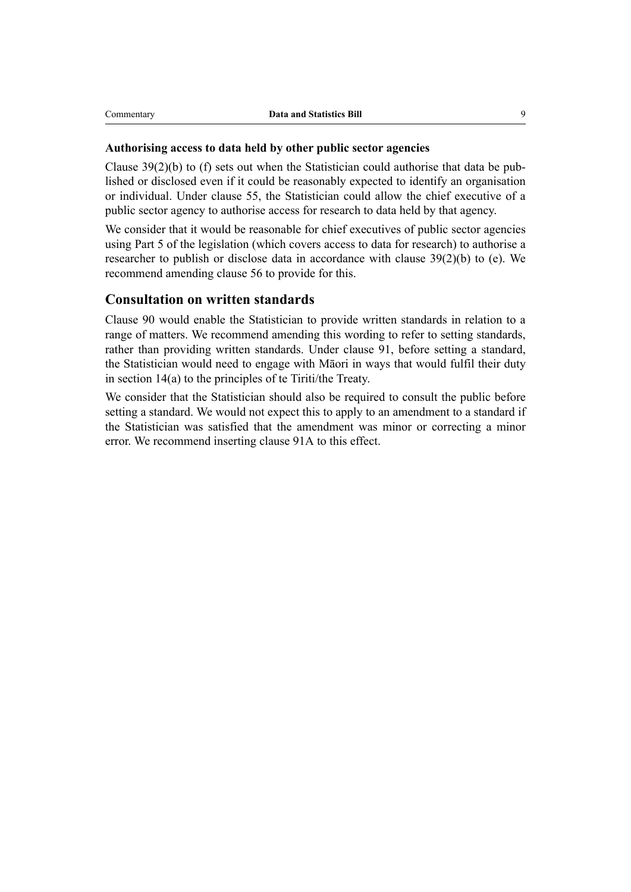#### **Authorising access to data held by other public sector agencies**

Clause  $39(2)(b)$  to (f) sets out when the Statistician could authorise that data be published or disclosed even if it could be reasonably expected to identify an organisation or individual. Under clause 55, the Statistician could allow the chief executive of a public sector agency to authorise access for research to data held by that agency.

We consider that it would be reasonable for chief executives of public sector agencies using Part 5 of the legislation (which covers access to data for research) to authorise a researcher to publish or disclose data in accordance with clause 39(2)(b) to (e). We recommend amending clause 56 to provide for this.

### **Consultation on written standards**

Clause 90 would enable the Statistician to provide written standards in relation to a range of matters. We recommend amending this wording to refer to setting standards, rather than providing written standards. Under clause 91, before setting a standard, the Statistician would need to engage with Māori in ways that would fulfil their duty in section 14(a) to the principles of te Tiriti/the Treaty.

We consider that the Statistician should also be required to consult the public before setting a standard. We would not expect this to apply to an amendment to a standard if the Statistician was satisfied that the amendment was minor or correcting a minor error. We recommend inserting clause 91A to this effect.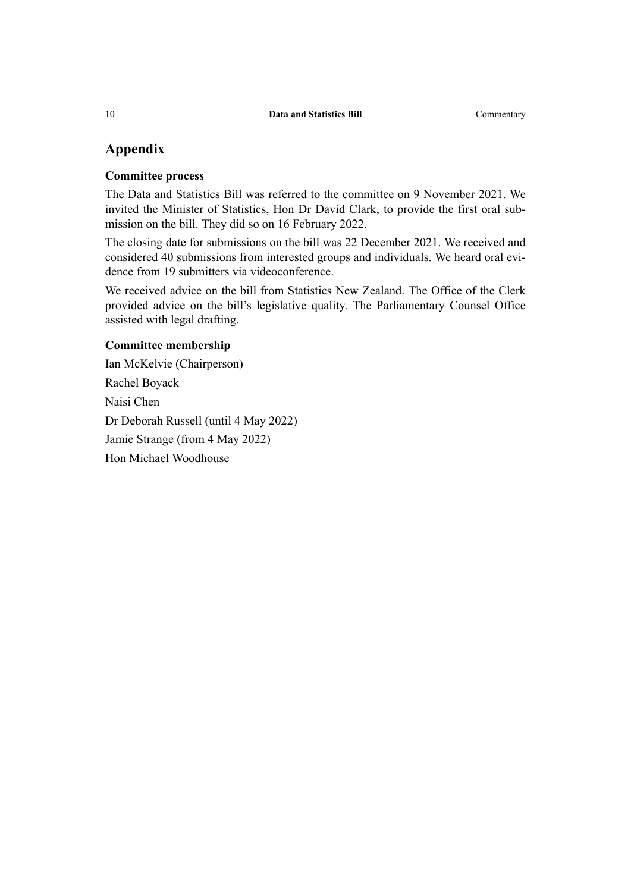# **Appendix**

#### **Committee process**

The Data and Statistics Bill was referred to the committee on 9 November 2021. We invited the Minister of Statistics, Hon Dr David Clark, to provide the first oral sub‐ mission on the bill. They did so on 16 February 2022.

The closing date for submissions on the bill was 22 December 2021. We received and considered 40 submissions from interested groups and individuals. We heard oral evidence from 19 submitters via videoconference.

We received advice on the bill from Statistics New Zealand. The Office of the Clerk provided advice on the bill's legislative quality. The Parliamentary Counsel Office assisted with legal drafting.

# **Committee membership**

Ian McKelvie (Chairperson) Rachel Boyack Naisi Chen Dr Deborah Russell (until 4 May 2022) Jamie Strange (from 4 May 2022) Hon Michael Woodhouse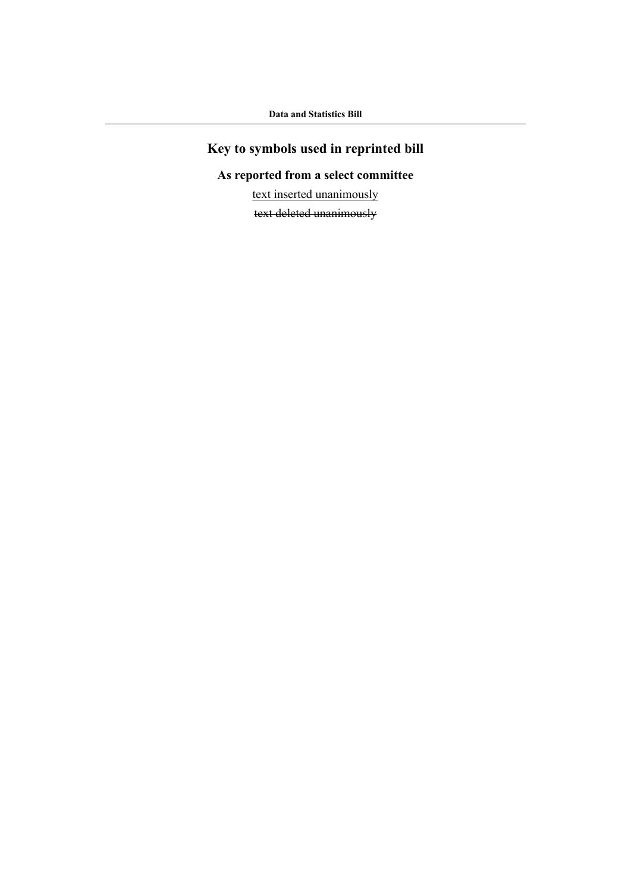# **Key to symbols used in reprinted bill**

# **As reported from a select committee**

text inserted unanimously

text deleted unanimously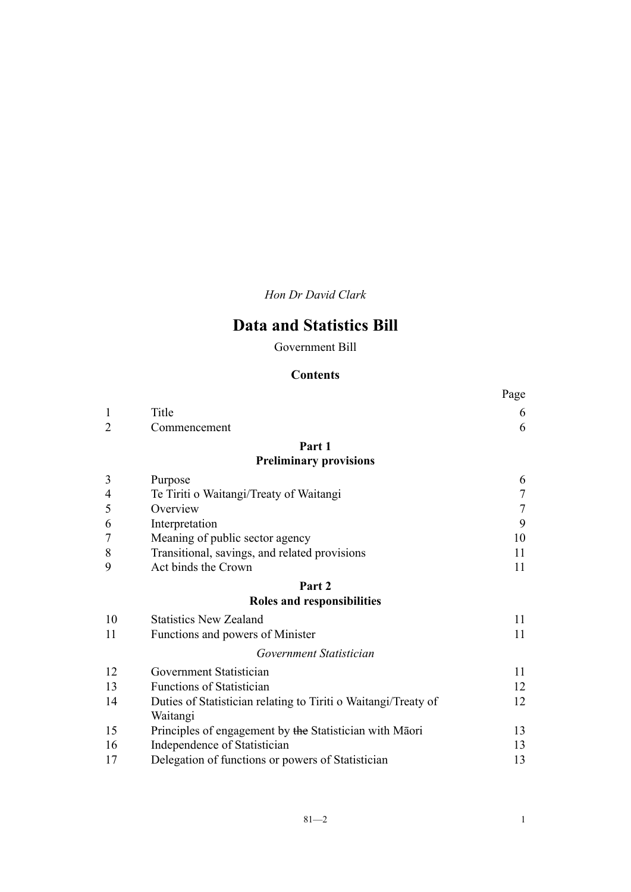*Hon Dr David Clark*

# **Data and Statistics Bill**

Government Bill

# **Contents**

|                |                                                                            | Page |
|----------------|----------------------------------------------------------------------------|------|
| 1              | Title                                                                      | 6    |
| $\mathfrak{D}$ | Commencement                                                               | 6    |
|                | Part 1                                                                     |      |
|                | <b>Preliminary provisions</b>                                              |      |
| 3              | Purpose                                                                    | 6    |
| 4              | Te Tiriti o Waitangi/Treaty of Waitangi                                    | 7    |
| 5              | Overview                                                                   | 7    |
| 6              | Interpretation                                                             | 9    |
| 7              | Meaning of public sector agency                                            | 10   |
| 8              | Transitional, savings, and related provisions                              | 11   |
| 9              | Act binds the Crown                                                        | 11   |
|                | Part <sub>2</sub>                                                          |      |
|                | Roles and responsibilities                                                 |      |
| 10             | <b>Statistics New Zealand</b>                                              | 11   |
| 11             | Functions and powers of Minister                                           | 11   |
|                | Government Statistician                                                    |      |
| 12             | Government Statistician                                                    | 11   |
| 13             | <b>Functions of Statistician</b>                                           | 12   |
| 14             | Duties of Statistician relating to Tiriti o Waitangi/Treaty of<br>Waitangi | 12   |
| 15             | Principles of engagement by the Statistician with Māori                    | 13   |
| 16             | Independence of Statistician                                               | 13   |
| 17             | Delegation of functions or powers of Statistician                          | 13   |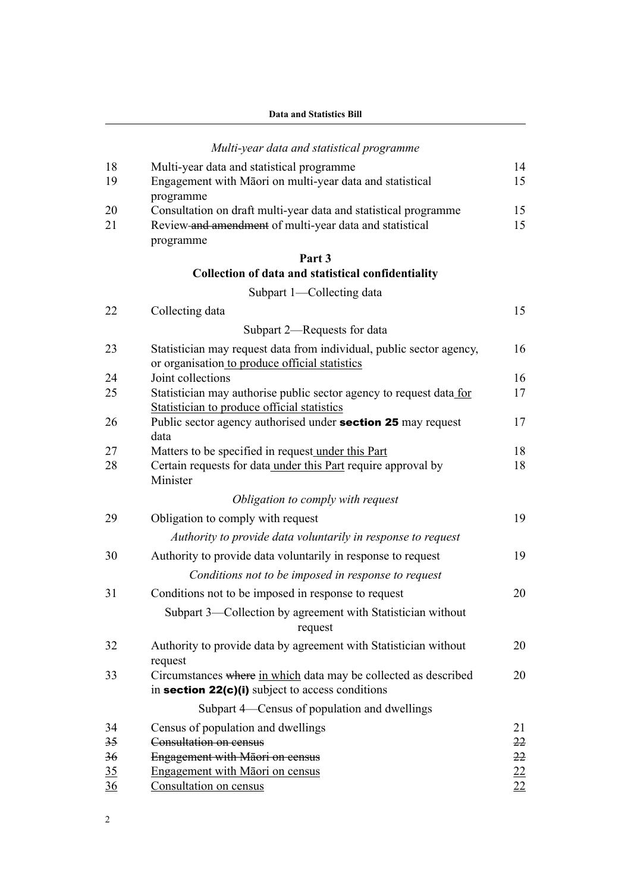|  |  | Data and Statistics Bill |  |
|--|--|--------------------------|--|
|--|--|--------------------------|--|

|    | Multi-year data and statistical programme                                                                   |    |
|----|-------------------------------------------------------------------------------------------------------------|----|
| 18 | Multi-year data and statistical programme                                                                   | 14 |
| 19 | Engagement with Māori on multi-year data and statistical<br>programme                                       | 15 |
| 20 | Consultation on draft multi-year data and statistical programme                                             | 15 |
| 21 | Review and amendment of multi-year data and statistical                                                     | 15 |
|    | programme                                                                                                   |    |
|    | Part 3                                                                                                      |    |
|    | Collection of data and statistical confidentiality                                                          |    |
|    | Subpart 1-Collecting data                                                                                   |    |
| 22 | Collecting data                                                                                             | 15 |
|    | Subpart 2-Requests for data                                                                                 |    |
| 23 | Statistician may request data from individual, public sector agency,                                        | 16 |
|    | or organisation to produce official statistics                                                              |    |
| 24 | Joint collections                                                                                           | 16 |
| 25 | Statistician may authorise public sector agency to request data for                                         | 17 |
| 26 | Statistician to produce official statistics<br>Public sector agency authorised under section 25 may request | 17 |
|    | data                                                                                                        |    |
| 27 | Matters to be specified in request under this Part                                                          | 18 |
| 28 | Certain requests for data under this Part require approval by                                               | 18 |
|    | Minister                                                                                                    |    |
|    | Obligation to comply with request                                                                           |    |
| 29 | Obligation to comply with request                                                                           | 19 |
|    | Authority to provide data voluntarily in response to request                                                |    |
| 30 | Authority to provide data voluntarily in response to request                                                | 19 |
|    | Conditions not to be imposed in response to request                                                         |    |
| 31 | Conditions not to be imposed in response to request                                                         | 20 |
|    | Subpart 3—Collection by agreement with Statistician without                                                 |    |
|    | request                                                                                                     |    |
| 32 | Authority to provide data by agreement with Statistician without                                            | 20 |
|    | request                                                                                                     |    |
| 33 | Circumstances where in which data may be collected as described                                             | 20 |
|    | in section $22(c)(i)$ subject to access conditions                                                          |    |
|    | Subpart 4—Census of population and dwellings                                                                |    |
| 34 | Census of population and dwellings                                                                          | 21 |
| 35 | Consultation on census                                                                                      | 22 |
| 36 | Engagement with Māori on census                                                                             | 22 |
| 35 | Engagement with Māori on census                                                                             | 22 |
| 36 | Consultation on census                                                                                      | 22 |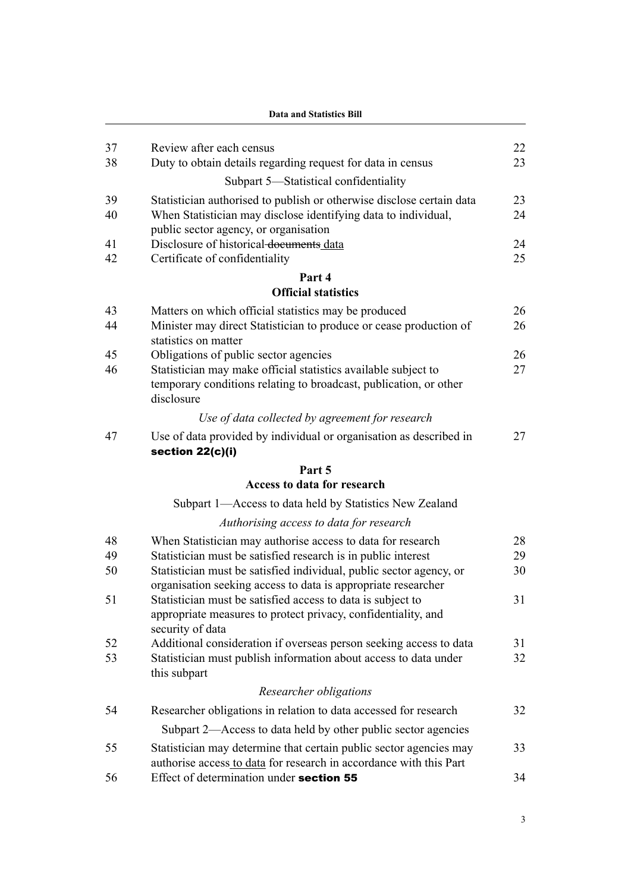|          | <b>Data and Statistics Bill</b>                                                                         |          |  |  |
|----------|---------------------------------------------------------------------------------------------------------|----------|--|--|
|          |                                                                                                         |          |  |  |
| 37<br>38 | Review after each census<br>Duty to obtain details regarding request for data in census                 | 22<br>23 |  |  |
|          | Subpart 5-Statistical confidentiality                                                                   |          |  |  |
|          |                                                                                                         |          |  |  |
| 39<br>40 | Statistician authorised to publish or otherwise disclose certain data                                   | 23<br>24 |  |  |
|          | When Statistician may disclose identifying data to individual,<br>public sector agency, or organisation |          |  |  |
| 41       | Disclosure of historical-documents data                                                                 | 24       |  |  |
| 42       | Certificate of confidentiality                                                                          | 25       |  |  |
|          | Part 4                                                                                                  |          |  |  |
|          | <b>Official statistics</b>                                                                              |          |  |  |
| 43       | Matters on which official statistics may be produced                                                    | 26       |  |  |
| 44       | Minister may direct Statistician to produce or cease production of                                      | 26       |  |  |
|          | statistics on matter                                                                                    |          |  |  |
| 45       | Obligations of public sector agencies                                                                   | 26       |  |  |
| 46       | Statistician may make official statistics available subject to                                          | 27       |  |  |
|          | temporary conditions relating to broadcast, publication, or other<br>disclosure                         |          |  |  |
|          | Use of data collected by agreement for research                                                         |          |  |  |
| 47       | Use of data provided by individual or organisation as described in                                      | 27       |  |  |
|          | section 22(c)(i)                                                                                        |          |  |  |
|          | Part 5                                                                                                  |          |  |  |
|          | Access to data for research                                                                             |          |  |  |
|          | Subpart 1—Access to data held by Statistics New Zealand                                                 |          |  |  |
|          | Authorising access to data for research                                                                 |          |  |  |
| 48       | When Statistician may authorise access to data for research                                             | 28       |  |  |
| 49       | Statistician must be satisfied research is in public interest                                           | 29       |  |  |
| 50       | Statistician must be satisfied individual, public sector agency, or                                     | 30       |  |  |
|          | organisation seeking access to data is appropriate researcher                                           |          |  |  |
| 51       | Statistician must be satisfied access to data is subject to                                             | 31       |  |  |
|          | appropriate measures to protect privacy, confidentiality, and<br>security of data                       |          |  |  |
| 52       | Additional consideration if overseas person seeking access to data                                      | 31       |  |  |
| 53       | Statistician must publish information about access to data under                                        | 32       |  |  |
|          | this subpart                                                                                            |          |  |  |
|          | Researcher obligations                                                                                  |          |  |  |
| 54       | Researcher obligations in relation to data accessed for research                                        | 32       |  |  |
|          | Subpart 2—Access to data held by other public sector agencies                                           |          |  |  |
| 55       | Statistician may determine that certain public sector agencies may                                      | 33       |  |  |
|          | authorise access to data for research in accordance with this Part                                      |          |  |  |
| 56       | Effect of determination under section 55                                                                | 34       |  |  |
|          |                                                                                                         |          |  |  |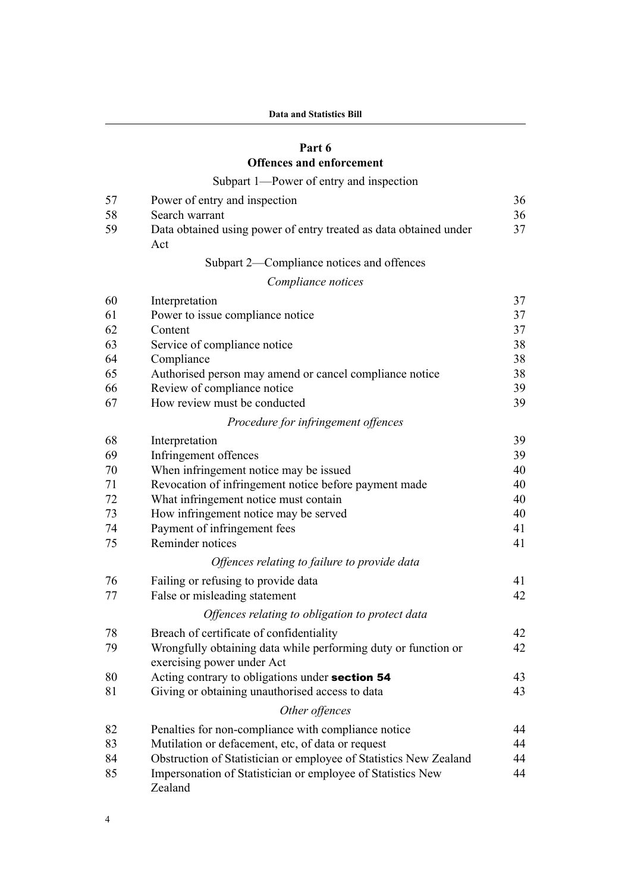# **[Part 6](#page-47-0)**

# **[Offences and enforcement](#page-47-0)**

# [Subpart 1—Power of entry and inspection](#page-47-0)

| 57 | Power of entry and inspection                                                                | 36 |
|----|----------------------------------------------------------------------------------------------|----|
| 58 | Search warrant                                                                               | 36 |
| 59 | Data obtained using power of entry treated as data obtained under<br>Act                     | 37 |
|    | Subpart 2—Compliance notices and offences                                                    |    |
|    | Compliance notices                                                                           |    |
| 60 | Interpretation                                                                               | 37 |
| 61 | Power to issue compliance notice                                                             | 37 |
| 62 | Content                                                                                      | 37 |
| 63 | Service of compliance notice                                                                 | 38 |
| 64 | Compliance                                                                                   | 38 |
| 65 | Authorised person may amend or cancel compliance notice                                      | 38 |
| 66 | Review of compliance notice                                                                  | 39 |
| 67 | How review must be conducted                                                                 | 39 |
|    | Procedure for infringement offences                                                          |    |
| 68 | Interpretation                                                                               | 39 |
| 69 | Infringement offences                                                                        | 39 |
| 70 | When infringement notice may be issued                                                       | 40 |
| 71 | Revocation of infringement notice before payment made                                        | 40 |
| 72 | What infringement notice must contain                                                        | 40 |
| 73 | How infringement notice may be served                                                        | 40 |
| 74 | Payment of infringement fees                                                                 | 41 |
| 75 | Reminder notices                                                                             | 41 |
|    | Offences relating to failure to provide data                                                 |    |
| 76 | Failing or refusing to provide data                                                          | 41 |
| 77 | False or misleading statement                                                                | 42 |
|    | Offences relating to obligation to protect data                                              |    |
| 78 | Breach of certificate of confidentiality                                                     | 42 |
| 79 | Wrongfully obtaining data while performing duty or function or<br>exercising power under Act | 42 |
| 80 | Acting contrary to obligations under section 54                                              | 43 |
| 81 | Giving or obtaining unauthorised access to data                                              | 43 |
|    | Other offences                                                                               |    |
| 82 | Penalties for non-compliance with compliance notice                                          | 44 |
| 83 | Mutilation or defacement, etc, of data or request                                            | 44 |
| 84 | Obstruction of Statistician or employee of Statistics New Zealand                            | 44 |
| 85 | Impersonation of Statistician or employee of Statistics New<br>Zealand                       | 44 |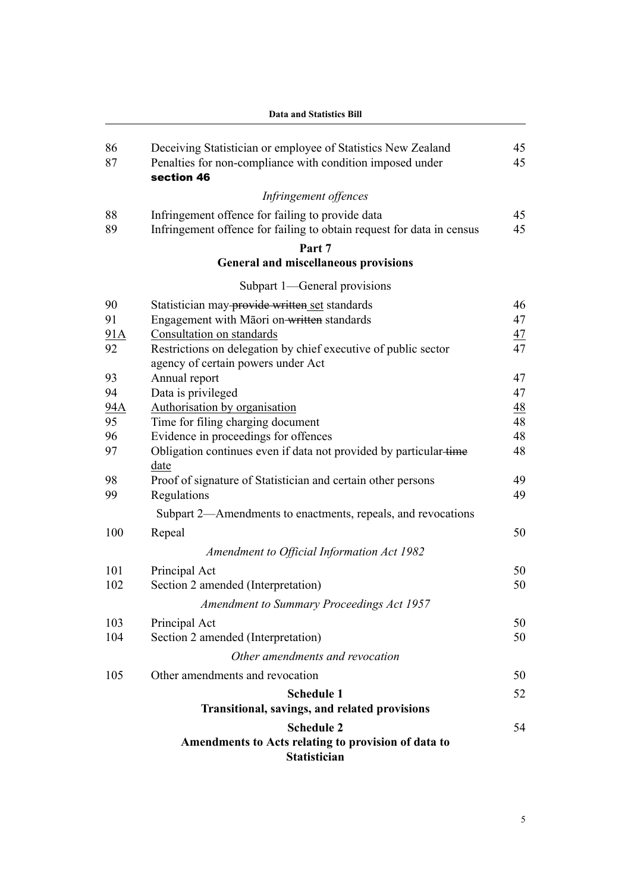|          | <b>Data and Statistics Bill</b>                                                                                                         |                |  |  |  |
|----------|-----------------------------------------------------------------------------------------------------------------------------------------|----------------|--|--|--|
| 86<br>87 | Deceiving Statistician or employee of Statistics New Zealand<br>Penalties for non-compliance with condition imposed under<br>section 46 | 45<br>45       |  |  |  |
|          | Infringement offences                                                                                                                   |                |  |  |  |
| 88       | Infringement offence for failing to provide data                                                                                        | 45             |  |  |  |
| 89       | Infringement offence for failing to obtain request for data in census                                                                   | 45             |  |  |  |
|          | Part 7                                                                                                                                  |                |  |  |  |
|          | <b>General and miscellaneous provisions</b>                                                                                             |                |  |  |  |
|          | Subpart 1—General provisions                                                                                                            |                |  |  |  |
| 90       | Statistician may-provide written set standards                                                                                          | 46             |  |  |  |
| 91       | Engagement with Māori on-written standards                                                                                              | 47             |  |  |  |
| 91A      | Consultation on standards                                                                                                               | 47             |  |  |  |
| 92       | Restrictions on delegation by chief executive of public sector<br>agency of certain powers under Act                                    | 47             |  |  |  |
| 93       | Annual report                                                                                                                           | 47             |  |  |  |
| 94       | Data is privileged                                                                                                                      | 47             |  |  |  |
| 94A      | Authorisation by organisation                                                                                                           | $\frac{48}{5}$ |  |  |  |
| 95       | Time for filing charging document                                                                                                       | 48             |  |  |  |
| 96       | Evidence in proceedings for offences                                                                                                    | 48             |  |  |  |
| 97       | Obligation continues even if data not provided by particular-time<br>date                                                               | 48             |  |  |  |
| 98       | Proof of signature of Statistician and certain other persons                                                                            | 49             |  |  |  |
| 99       | Regulations                                                                                                                             | 49             |  |  |  |
|          | Subpart 2—Amendments to enactments, repeals, and revocations                                                                            |                |  |  |  |
| 100      | Repeal                                                                                                                                  | 50             |  |  |  |
|          | Amendment to Official Information Act 1982                                                                                              |                |  |  |  |
| 101      | Principal Act                                                                                                                           | 50             |  |  |  |
| 102      | Section 2 amended (Interpretation)                                                                                                      | 50             |  |  |  |
|          | Amendment to Summary Proceedings Act 1957                                                                                               |                |  |  |  |
| 103      | Principal Act                                                                                                                           | 50             |  |  |  |
| 104      | Section 2 amended (Interpretation)                                                                                                      | 50             |  |  |  |
|          | Other amendments and revocation                                                                                                         |                |  |  |  |
| 105      | Other amendments and revocation                                                                                                         | 50             |  |  |  |
|          | <b>Schedule 1</b>                                                                                                                       | 52             |  |  |  |
|          | Transitional, savings, and related provisions                                                                                           |                |  |  |  |
|          | <b>Schedule 2</b>                                                                                                                       | 54             |  |  |  |
|          | Amendments to Acts relating to provision of data to<br><b>Statistician</b>                                                              |                |  |  |  |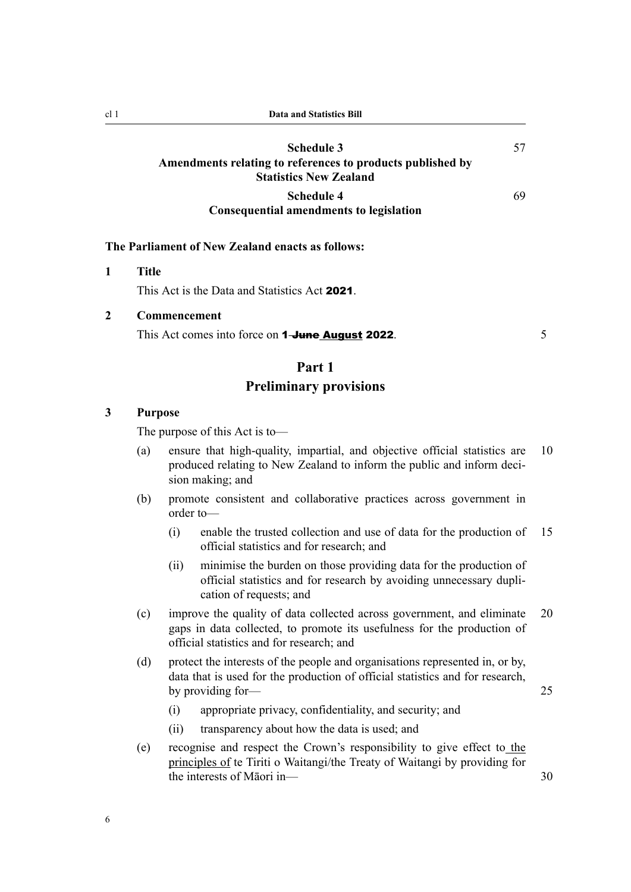<span id="page-17-0"></span>

| cl 1 | Data and Statistics Bill                                                                                  |    |
|------|-----------------------------------------------------------------------------------------------------------|----|
|      | Schedule 3<br>Amendments relating to references to products published by<br><b>Statistics New Zealand</b> | 57 |
|      | <b>Schedule 4</b><br><b>Consequential amendments to legislation</b>                                       | 69 |
|      | The Parliament of New Zealand enacts as follows:                                                          |    |
|      | <b>Title</b><br>This Act is the Data and Statistics Act 2021.                                             |    |

**2 Commencement**

This Act comes into force on **1-June August 2022**.

### **Part 1**

# **Preliminary provisions**

#### **3 Purpose**

The purpose of this Act is to—

- (a) ensure that high-quality, impartial, and objective official statistics are 10 produced relating to New Zealand to inform the public and inform decision making; and
- (b) promote consistent and collaborative practices across government in order to—
	- (i) enable the trusted collection and use of data for the production of 15 official statistics and for research; and
	- (ii) minimise the burden on those providing data for the production of official statistics and for research by avoiding unnecessary dupli‐ cation of requests; and
- (c) improve the quality of data collected across government, and eliminate 20 gaps in data collected, to promote its usefulness for the production of official statistics and for research; and
- (d) protect the interests of the people and organisations represented in, or by, data that is used for the production of official statistics and for research, by providing for — 25
	- (i) appropriate privacy, confidentiality, and security; and
	- (ii) transparency about how the data is used; and
- (e) recognise and respect the Crown's responsibility to give effect to the principles of te Tiriti o Waitangi/the Treaty of Waitangi by providing for the interests of Māori in—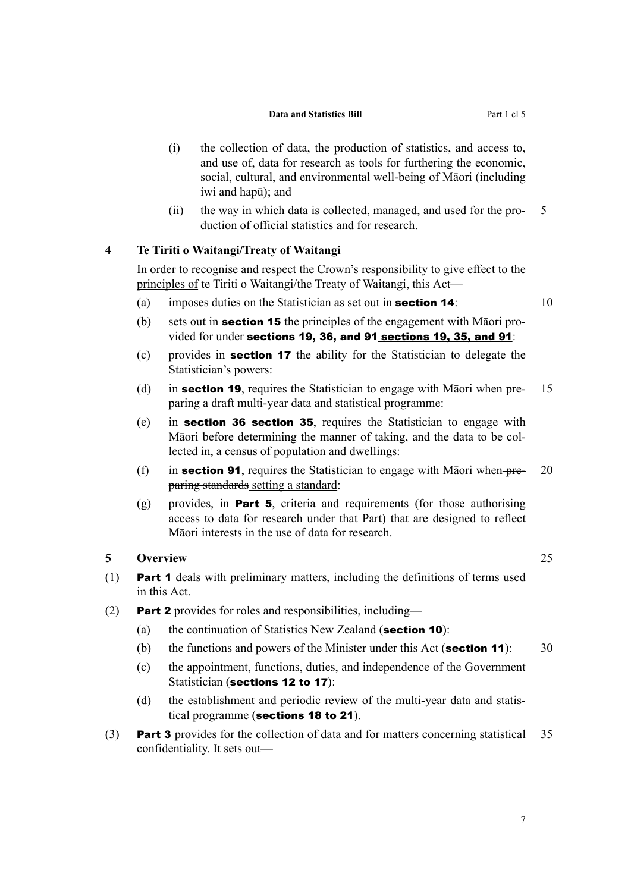- <span id="page-18-0"></span>(i) the collection of data, the production of statistics, and access to, and use of, data for research as tools for furthering the economic, social, cultural, and environmental well-being of Māori (including iwi and hapū); and
- (ii) the way in which data is collected, managed, and used for the pro‐ 5 duction of official statistics and for research.

### **4 Te Tiriti o Waitangi/Treaty of Waitangi**

In order to recognise and respect the Crown's responsibility to give effect to the principles of te Tiriti o Waitangi/the Treaty of Waitangi, this Act—

- (a) imposes duties on the Statistician as set out in **section 14**:  $10$
- (b) sets out in **section 15** the principles of the engagement with Māori provided for under-sections 19, 36, and 91 sections 19, 35, and 91:
- (c) provides in section 17 the ability for the Statistician to delegate the Statistician's powers:
- (d) in **section 19.** requires the Statistician to engage with Māori when pre- 15 paring a draft multi-year data and statistical programme:
- (e) in section 36 section 35, requires the Statistician to engage with Māori before determining the manner of taking, and the data to be col‐ lected in, a census of population and dwellings:
- (f) in **section 91**, requires the Statistician to engage with Māori when  $p_1 p_2 = 20$ paring standards setting a standard:
- $(g)$  provides, in **Part 5**, criteria and requirements (for those authorising access to data for research under that Part) that are designed to reflect Māori interests in the use of data for research.

#### **5 Overview** 25

- (1) Part 1 deals with preliminary matters, including the definitions of terms used in this Act.
- (2) **Part 2** provides for roles and responsibilities, including—
	- (a) the continuation of Statistics New Zealand (section 10):
	- (b) the functions and powers of the Minister under this Act (section 11):  $30$
	- (c) the appointment, functions, duties, and independence of the Government Statistician (sections 12 to 17):
	- (d) the establishment and periodic review of the multi-year data and statistical programme (sections 18 to 21).
- (3) **Part 3** provides for the collection of data and for matters concerning statistical 35 confidentiality. It sets out—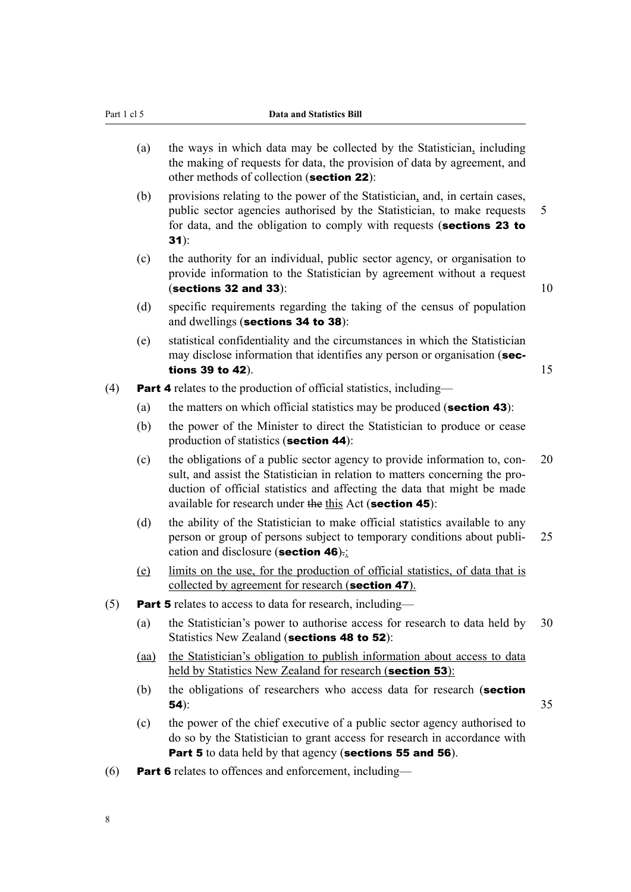- (a) the ways in which data may be collected by the Statistician, including the making of requests for data, the provision of data by agreement, and other methods of collection (section 22):
- (b) provisions relating to the power of the Statistician, and, in certain cases, public sector agencies authorised by the Statistician, to make requests 5 for data, and the obligation to comply with requests (sections 23 to 31):
- (c) the authority for an individual, public sector agency, or organisation to provide information to the Statistician by agreement without a request (sections 32 and 33):  $10$

- (d) specific requirements regarding the taking of the census of population and dwellings (sections 34 to 38):
- (e) statistical confidentiality and the circumstances in which the Statistician may disclose information that identifies any person or organisation (sections 39 to 42).  $15$ 
	-
- (4) **Part 4** relates to the production of official statistics, including—
	- (a) the matters on which official statistics may be produced (section 43):
	- (b) the power of the Minister to direct the Statistician to produce or cease production of statistics (section 44):
	- (c) the obligations of a public sector agency to provide information to, con‐ 20 sult, and assist the Statistician in relation to matters concerning the production of official statistics and affecting the data that might be made available for research under the this Act (section 45):
	- (d) the ability of the Statistician to make official statistics available to any person or group of persons subject to temporary conditions about publi- 25 cation and disclosure (section 46).:
	- (e) limits on the use, for the production of official statistics, of data that is collected by agreement for research (section 47).
- (5) **Part 5** relates to access to data for research, including—
	- (a) the Statistician's power to authorise access for research to data held by 30 Statistics New Zealand (sections 48 to 52):
	- (aa) the Statistician's obligation to publish information about access to data held by Statistics New Zealand for research (section 53):
	- (b) the obligations of researchers who access data for research (section **54**):  $35$
	- (c) the power of the chief executive of a public sector agency authorised to do so by the Statistician to grant access for research in accordance with Part 5 to data held by that agency (sections 55 and 56).
- (6) **Part 6** relates to offences and enforcement, including—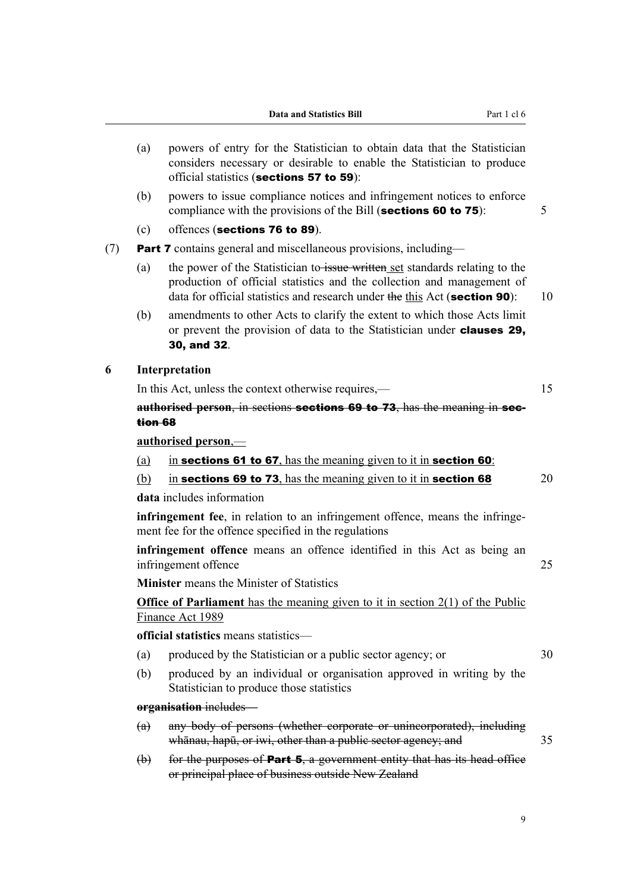<span id="page-20-0"></span>

|          | (a)      | powers of entry for the Statistician to obtain data that the Statistician<br>considers necessary or desirable to enable the Statistician to produce<br>official statistics (sections 57 to 59):                                      |    |
|----------|----------|--------------------------------------------------------------------------------------------------------------------------------------------------------------------------------------------------------------------------------------|----|
|          | (b)      | powers to issue compliance notices and infringement notices to enforce<br>compliance with the provisions of the Bill (sections 60 to 75):                                                                                            | 5  |
|          | (c)      | offences (sections 76 to 89).                                                                                                                                                                                                        |    |
|          |          | <b>Part 7</b> contains general and miscellaneous provisions, including—                                                                                                                                                              |    |
|          | (a)      | the power of the Statistician to issue written set standards relating to the<br>production of official statistics and the collection and management of<br>data for official statistics and research under the this Act (section 90): | 10 |
|          | (b)      | amendments to other Acts to clarify the extent to which those Acts limit<br>or prevent the provision of data to the Statistician under <b>clauses 29,</b><br>30, and 32.                                                             |    |
|          |          | Interpretation                                                                                                                                                                                                                       |    |
|          |          | In this Act, unless the context otherwise requires,—                                                                                                                                                                                 | 15 |
| (7)<br>6 | tion 68  | <b>authorised person, in sections sections 69 to 73, has the meaning in sec-</b>                                                                                                                                                     |    |
|          |          | authorised person,-                                                                                                                                                                                                                  |    |
|          | (a)      | in sections 61 to 67, has the meaning given to it in section 60:                                                                                                                                                                     |    |
|          | (b)      | in sections 69 to 73, has the meaning given to it in section 68                                                                                                                                                                      | 20 |
|          |          | data includes information                                                                                                                                                                                                            |    |
|          |          | infringement fee, in relation to an infringement offence, means the infringe-<br>ment fee for the offence specified in the regulations                                                                                               |    |
|          |          | infringement offence means an offence identified in this Act as being an<br>infringement offence                                                                                                                                     | 25 |
|          |          | <b>Minister</b> means the Minister of Statistics                                                                                                                                                                                     |    |
|          |          | <b>Office of Parliament</b> has the meaning given to it in section $2(1)$ of the Public<br>Finance Act 1989                                                                                                                          |    |
|          |          | official statistics means statistics-                                                                                                                                                                                                |    |
|          | (a)      | produced by the Statistician or a public sector agency; or                                                                                                                                                                           | 30 |
|          | (b)      | produced by an individual or organisation approved in writing by the<br>Statistician to produce those statistics                                                                                                                     |    |
|          |          | organisation includes—                                                                                                                                                                                                               |    |
|          | (a)      | any body of persons (whether corporate or unincorporated), including<br>whānau, hapū, or iwi, other than a public sector agency; and                                                                                                 | 35 |
|          | $\Theta$ | for the purposes of <b>Part 5</b> , a government entity that has its head office<br>or principal place of business outside New Zealand                                                                                               |    |
|          |          |                                                                                                                                                                                                                                      |    |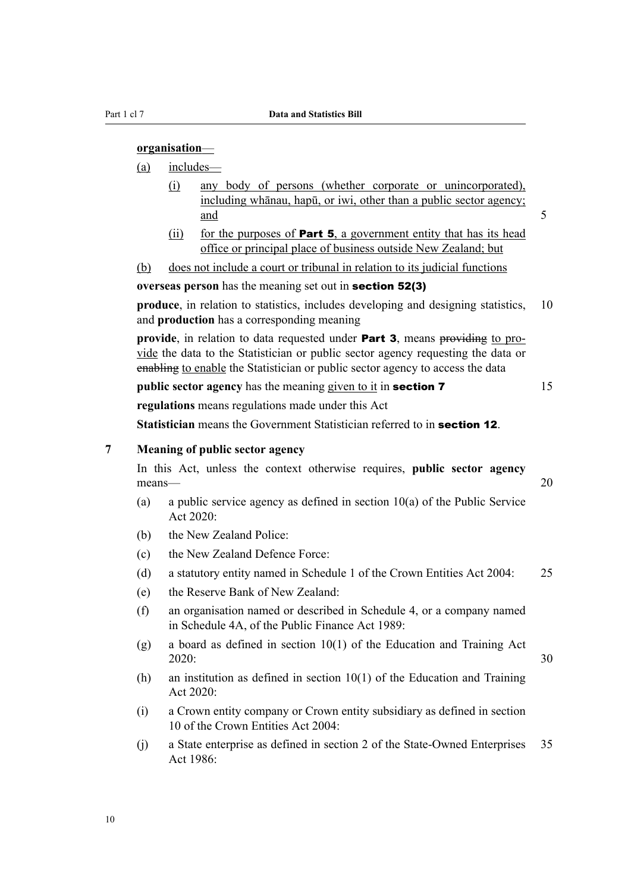#### <span id="page-21-0"></span>**organisation**—

(a) includes—

- (i) any body of persons (whether corporate or unincorporated), including whānau, hapū, or iwi, other than a public sector agency; and 5
- (ii) for the purposes of **Part 5**, a government entity that has its head office or principal place of business outside New Zealand; but
- (b) does not include a court or tribunal in relation to its judicial functions

**overseas person** has the meaning set out in section 52(3)

**produce**, in relation to statistics, includes developing and designing statistics, 10 and **production** has a corresponding meaning

**provide**, in relation to data requested under **Part 3**, means providing to provide the data to the Statistician or public sector agency requesting the data or enabling to enable the Statistician or public sector agency to access the data

**public sector agency** has the meaning given to it in **section 7** 15 **regulations** means regulations made under this Act

**Statistician** means the Government Statistician referred to in **section 12**.

#### **7 Meaning of public sector agency**

In this Act, unless the context otherwise requires, **public sector agency** means— 20

- (a) a public service agency as defined in section 10(a) of the Public Service Act 2020:
- (b) the New Zealand Police:
- (c) the New Zealand Defence Force:
- (d) a statutory entity named in Schedule 1 of the Crown Entities Act 2004: 25
- (e) the Reserve Bank of New Zealand:
- (f) an organisation named or described in Schedule 4, or a company named in Schedule 4A, of the Public Finance Act 1989:
- (g) a board as defined in section 10(1) of the Education and Training Act 2020: 30
- (h) an institution as defined in section 10(1) of the Education and Training Act 2020:
- (i) a Crown entity company or Crown entity subsidiary as defined in section 10 of the Crown Entities Act 2004:
- (j) a State enterprise as defined in section 2 of the State-Owned Enterprises 35 Act 1986: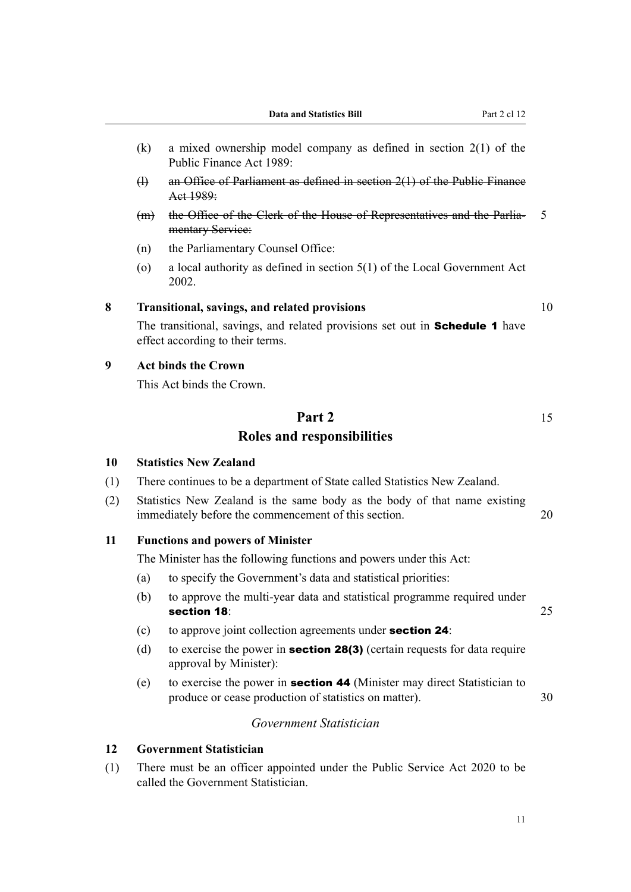- <span id="page-22-0"></span>(k) a mixed ownership model company as defined in section 2(1) of the Public Finance Act 1989:
- (l) an Office of Parliament as defined in section 2(1) of the Public Finance Act 1989:
- (m) the Office of the Clerk of the House of Representatives and the Parlia‐ 5 mentary Service:
- (n) the Parliamentary Counsel Office:
- (o) a local authority as defined in section 5(1) of the Local Government Act 2002.

### **8 Transitional, savings, and related provisions** 10

The transitional, savings, and related provisions set out in **Schedule 1** have effect according to their terms.

#### **9 Act binds the Crown**

This Act binds the Crown.

# **Part 2** 15 **Roles and responsibilities**

#### **10 Statistics New Zealand**

- (1) There continues to be a department of State called Statistics New Zealand.
- (2) Statistics New Zealand is the same body as the body of that name existing immediately before the commencement of this section. 20

#### **11 Functions and powers of Minister**

The Minister has the following functions and powers under this Act:

- (a) to specify the Government's data and statistical priorities:
- (b) to approve the multi-year data and statistical programme required under section 18: 25
- (c) to approve joint collection agreements under section 24:
- (d) to exercise the power in **section 28(3)** (certain requests for data require approval by Minister):
- (e) to exercise the power in section 44 (Minister may direct Statistician to produce or cease production of statistics on matter). 30

### *Government Statistician*

#### **12 Government Statistician**

(1) There must be an officer appointed under the Public Service Act 2020 to be called the Government Statistician.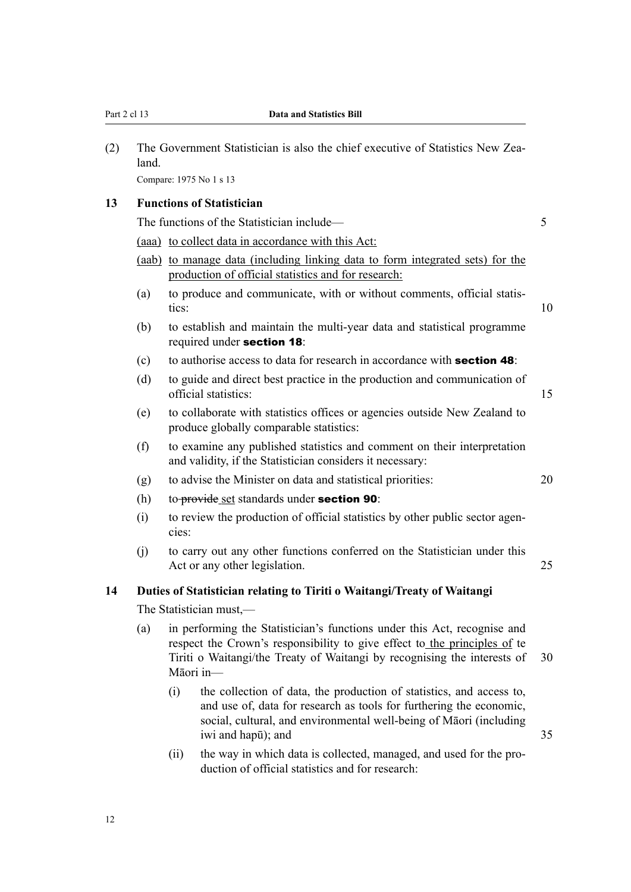<span id="page-23-0"></span>

| (2) | land.            | The Government Statistician is also the chief executive of Statistics New Zea- |                                                                                                                                                                                                                                         |    |  |  |
|-----|------------------|--------------------------------------------------------------------------------|-----------------------------------------------------------------------------------------------------------------------------------------------------------------------------------------------------------------------------------------|----|--|--|
|     |                  |                                                                                | Compare: 1975 No 1 s 13                                                                                                                                                                                                                 |    |  |  |
| 13  |                  |                                                                                | <b>Functions of Statistician</b>                                                                                                                                                                                                        |    |  |  |
|     |                  |                                                                                | The functions of the Statistician include—                                                                                                                                                                                              | 5  |  |  |
|     |                  |                                                                                | (aaa) to collect data in accordance with this Act:                                                                                                                                                                                      |    |  |  |
|     |                  |                                                                                | (aab) to manage data (including linking data to form integrated sets) for the<br>production of official statistics and for research:                                                                                                    |    |  |  |
|     | (a)              | tics:                                                                          | to produce and communicate, with or without comments, official statis-                                                                                                                                                                  | 10 |  |  |
|     | (b)              |                                                                                | to establish and maintain the multi-year data and statistical programme<br>required under section 18:                                                                                                                                   |    |  |  |
|     | (c)              |                                                                                | to authorise access to data for research in accordance with <b>section 48</b> :                                                                                                                                                         |    |  |  |
|     | (d)              |                                                                                | to guide and direct best practice in the production and communication of<br>official statistics:                                                                                                                                        | 15 |  |  |
|     | (e)              |                                                                                | to collaborate with statistics offices or agencies outside New Zealand to<br>produce globally comparable statistics:                                                                                                                    |    |  |  |
|     | (f)              |                                                                                | to examine any published statistics and comment on their interpretation<br>and validity, if the Statistician considers it necessary:                                                                                                    |    |  |  |
|     | (g)              |                                                                                | to advise the Minister on data and statistical priorities:                                                                                                                                                                              | 20 |  |  |
|     | (h)              |                                                                                | to-provide_set standards under section 90:                                                                                                                                                                                              |    |  |  |
|     | (i)              | cies:                                                                          | to review the production of official statistics by other public sector agen-                                                                                                                                                            |    |  |  |
|     | (j)              |                                                                                | to carry out any other functions conferred on the Statistician under this<br>Act or any other legislation.                                                                                                                              | 25 |  |  |
| 14  |                  |                                                                                | Duties of Statistician relating to Tiriti o Waitangi/Treaty of Waitangi                                                                                                                                                                 |    |  |  |
|     |                  | The Statistician must,—                                                        |                                                                                                                                                                                                                                         |    |  |  |
|     | (a)<br>Māori in- |                                                                                | in performing the Statistician's functions under this Act, recognise and<br>respect the Crown's responsibility to give effect to the principles of te<br>Tiriti o Waitangi/the Treaty of Waitangi by recognising the interests of       | 30 |  |  |
|     |                  | (i)                                                                            | the collection of data, the production of statistics, and access to,<br>and use of, data for research as tools for furthering the economic,<br>social, cultural, and environmental well-being of Māori (including<br>iwi and hapū); and | 35 |  |  |
|     |                  | (ii)                                                                           | the way in which data is collected, managed, and used for the pro-                                                                                                                                                                      |    |  |  |

duction of official statistics and for research: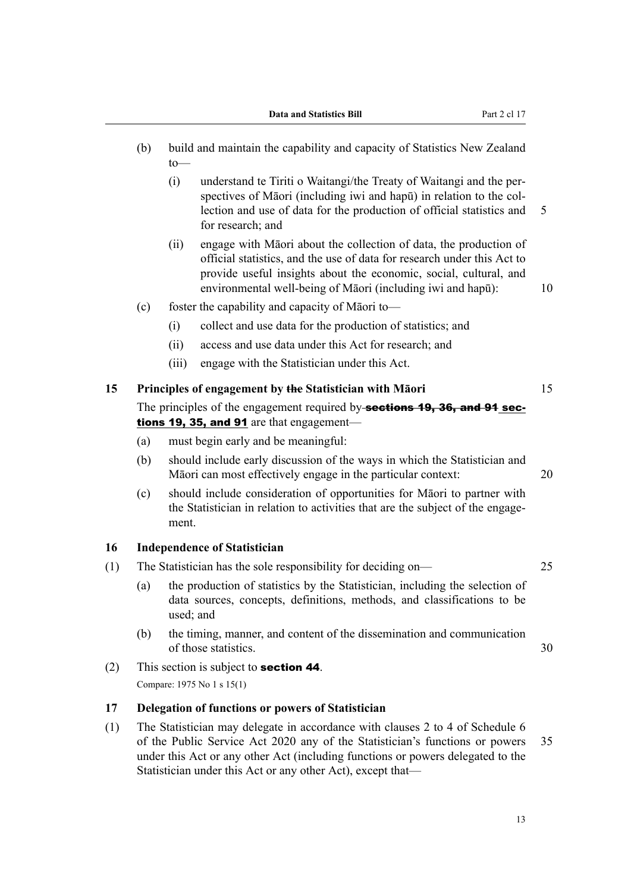- <span id="page-24-0"></span>(b) build and maintain the capability and capacity of Statistics New Zealand to—
	- (i) understand te Tiriti o Waitangi/the Treaty of Waitangi and the per‐ spectives of Māori (including iwi and hapū) in relation to the collection and use of data for the production of official statistics and 5 for research; and
	- (ii) engage with Māori about the collection of data, the production of official statistics, and the use of data for research under this Act to provide useful insights about the economic, social, cultural, and environmental well-being of Māori (including iwi and hapū): 10
- (c) foster the capability and capacity of Māori to—
	- (i) collect and use data for the production of statistics; and
	- (ii) access and use data under this Act for research; and
	- (iii) engage with the Statistician under this Act.

### **15 Principles of engagement by the Statistician with Māori** 15

- The principles of the engagement required by-sections 19, 36, and 91 sections 19, 35, and 91 are that engagement—
- (a) must begin early and be meaningful:
- (b) should include early discussion of the ways in which the Statistician and Māori can most effectively engage in the particular context: 20
- (c) should include consideration of opportunities for Māori to partner with the Statistician in relation to activities that are the subject of the engage‐ ment.

#### **16 Independence of Statistician**

- (1) The Statistician has the sole responsibility for deciding on— 25
	- (a) the production of statistics by the Statistician, including the selection of data sources, concepts, definitions, methods, and classifications to be used; and
	- (b) the timing, manner, and content of the dissemination and communication of those statistics. 30
- (2) This section is subject to **section 44**. Compare: 1975 No 1 s 15(1)

#### **17 Delegation of functions or powers of Statistician**

(1) The Statistician may delegate in accordance with clauses 2 to 4 of Schedule 6 of the Public Service Act 2020 any of the Statistician's functions or powers 35 under this Act or any other Act (including functions or powers delegated to the Statistician under this Act or any other Act), except that—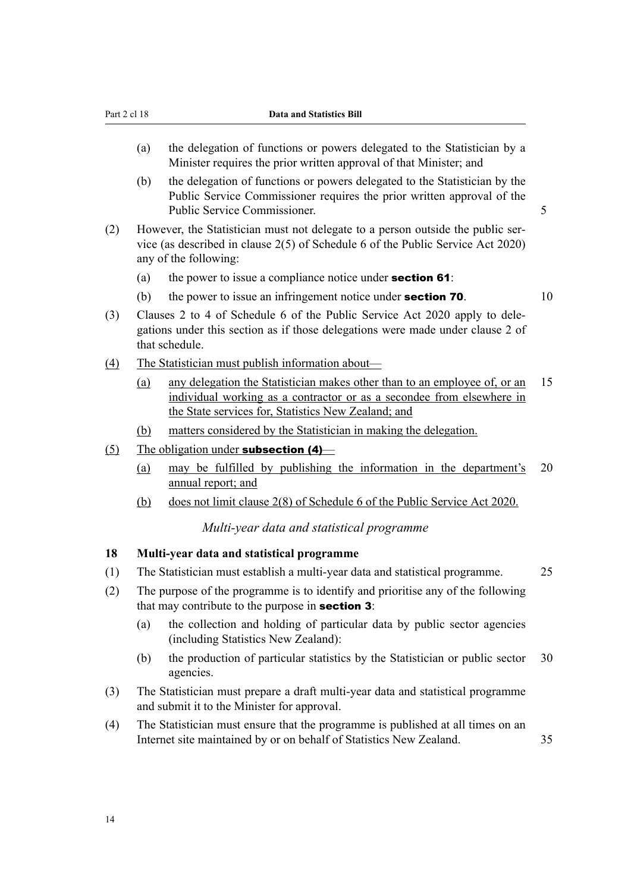- <span id="page-25-0"></span>(a) the delegation of functions or powers delegated to the Statistician by a Minister requires the prior written approval of that Minister; and
- (b) the delegation of functions or powers delegated to the Statistician by the Public Service Commissioner requires the prior written approval of the Public Service Commissioner. 5
- (2) However, the Statistician must not delegate to a person outside the public ser‐ vice (as described in clause 2(5) of Schedule 6 of the Public Service Act 2020) any of the following:
	- (a) the power to issue a compliance notice under **section 61**:
	- (b) the power to issue an infringement notice under **section 70**.  $10$
- (3) Clauses 2 to 4 of Schedule 6 of the Public Service Act 2020 apply to dele‐ gations under this section as if those delegations were made under clause 2 of that schedule.
- (4) The Statistician must publish information about—
	- (a) any delegation the Statistician makes other than to an employee of, or an 15 individual working as a contractor or as a secondee from elsewhere in the State services for, Statistics New Zealand; and
	- (b) matters considered by the Statistician in making the delegation.
- (5) The obligation under **subsection (4)**
	- (a) may be fulfilled by publishing the information in the department's 20 annual report; and
	- (b) does not limit clause 2(8) of Schedule 6 of the Public Service Act 2020.

*Multi-year data and statistical programme*

#### **18 Multi-year data and statistical programme**

- (1) The Statistician must establish a multi-year data and statistical programme. 25
- (2) The purpose of the programme is to identify and prioritise any of the following that may contribute to the purpose in **section 3**:
	- (a) the collection and holding of particular data by public sector agencies (including Statistics New Zealand):
	- (b) the production of particular statistics by the Statistician or public sector 30 agencies.
- (3) The Statistician must prepare a draft multi-year data and statistical programme and submit it to the Minister for approval.
- (4) The Statistician must ensure that the programme is published at all times on an Internet site maintained by or on behalf of Statistics New Zealand. 35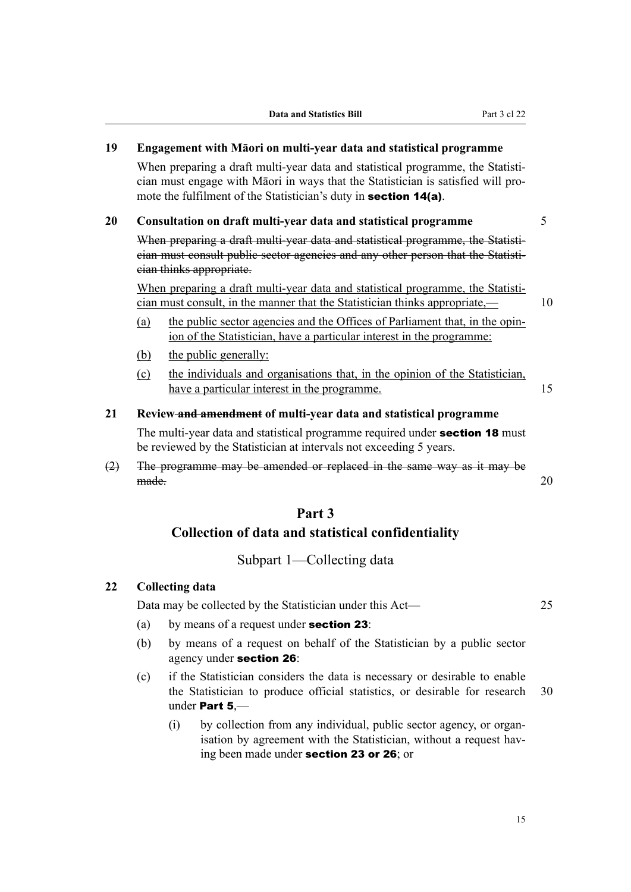# <span id="page-26-0"></span>**19 Engagement with Māori on multi-year data and statistical programme**

When preparing a draft multi-year data and statistical programme, the Statistician must engage with Māori in ways that the Statistician is satisfied will pro‐ mote the fulfilment of the Statistician's duty in **section 14(a)**.

#### **20 Consultation on draft multi-year data and statistical programme** 5

When preparing a draft multi-year data and statistical programme, the Statistician must consult public sector agencies and any other person that the Statisti‐ cian thinks appropriate.

When preparing a draft multi-year data and statistical programme, the Statistician must consult, in the manner that the Statistician thinks appropriate,— 10

- (a) the public sector agencies and the Offices of Parliament that, in the opin‐ ion of the Statistician, have a particular interest in the programme:
- (b) the public generally:
- (c) the individuals and organisations that, in the opinion of the Statistician, have a particular interest in the programme.

# **21 Review and amendment of multi-year data and statistical programme**

The multi-year data and statistical programme required under **section 18** must be reviewed by the Statistician at intervals not exceeding 5 years.

(2) The programme may be amended or replaced in the same way as it may be made. 20

### **Part 3**

#### **Collection of data and statistical confidentiality**

### Subpart 1—Collecting data

#### **22 Collecting data**

Data may be collected by the Statistician under this Act— 25

- (a) by means of a request under **section 23**:
- (b) by means of a request on behalf of the Statistician by a public sector agency under section 26:
- (c) if the Statistician considers the data is necessary or desirable to enable the Statistician to produce official statistics, or desirable for research 30 under Part 5,—
	- (i) by collection from any individual, public sector agency, or organ‐ isation by agreement with the Statistician, without a request having been made under section 23 or 26; or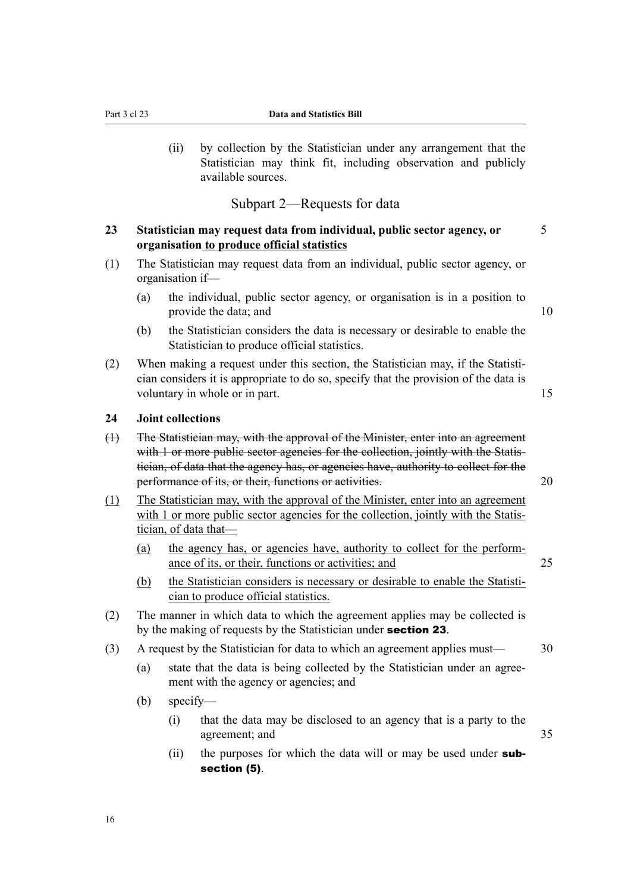<span id="page-27-0"></span>(ii) by collection by the Statistician under any arrangement that the Statistician may think fit, including observation and publicly available sources.

### Subpart 2—Requests for data

### **23 Statistician may request data from individual, public sector agency, or** 5 **organisation to produce official statistics**

- (1) The Statistician may request data from an individual, public sector agency, or organisation if—
	- (a) the individual, public sector agency, or organisation is in a position to provide the data; and 10
	- (b) the Statistician considers the data is necessary or desirable to enable the Statistician to produce official statistics.
- (2) When making a request under this section, the Statistician may, if the Statisti‐ cian considers it is appropriate to do so, specify that the provision of the data is voluntary in whole or in part. 15

#### **24 Joint collections**

- (1) The Statistician may, with the approval of the Minister, enter into an agreement with 1 or more public sector agencies for the collection, jointly with the Statistician, of data that the agency has, or agencies have, authority to collect for the performance of its, or their, functions or activities. 20
- (1) The Statistician may, with the approval of the Minister, enter into an agreement with 1 or more public sector agencies for the collection, jointly with the Statistician, of data that—
	- (a) the agency has, or agencies have, authority to collect for the perform‐ ance of its, or their, functions or activities; and 25
	- (b) the Statistician considers is necessary or desirable to enable the Statistician to produce official statistics.
- (2) The manner in which data to which the agreement applies may be collected is by the making of requests by the Statistician under **section 23**.
- (3) A request by the Statistician for data to which an agreement applies must— 30
	- (a) state that the data is being collected by the Statistician under an agree‐ ment with the agency or agencies; and
	- (b) specify—
		- (i) that the data may be disclosed to an agency that is a party to the agreement; and 35
		- (ii) the purposes for which the data will or may be used under **sub**section (5).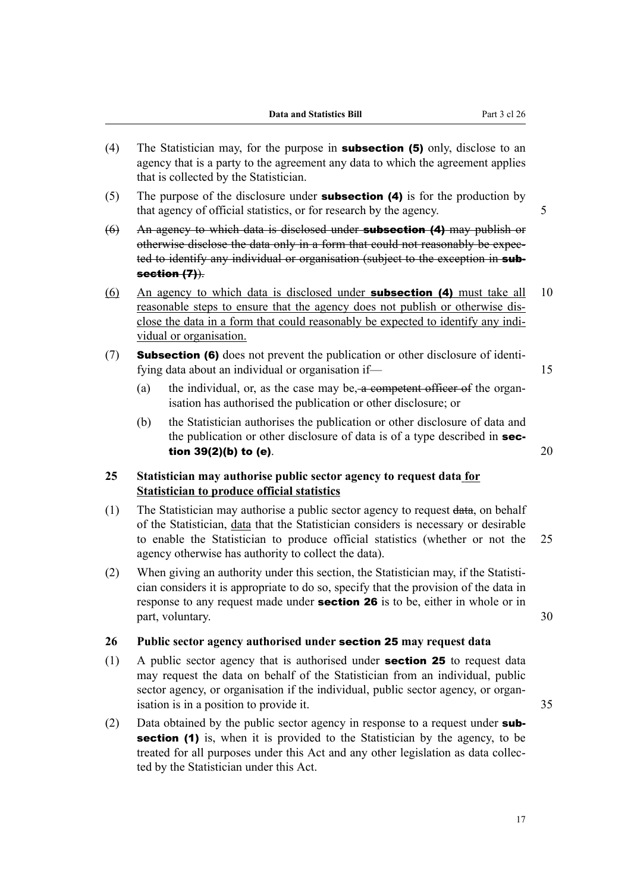- <span id="page-28-0"></span>(4) The Statistician may, for the purpose in **subsection (5)** only, disclose to an agency that is a party to the agreement any data to which the agreement applies that is collected by the Statistician.
- (5) The purpose of the disclosure under **subsection (4)** is for the production by that agency of official statistics, or for research by the agency. 5
- $(6)$  An agency to which data is disclosed under **subsection (4)** may publish or otherwise disclose the data only in a form that could not reasonably be expec‐ ted to identify any individual or organisation (subject to the exception in subsection (7)).
- (6) An agency to which data is disclosed under **subsection (4)** must take all  $10$ reasonable steps to ensure that the agency does not publish or otherwise dis‐ close the data in a form that could reasonably be expected to identify any individual or organisation.
- (7) Subsection (6) does not prevent the publication or other disclosure of identifying data about an individual or organisation if—
	- (a) the individual, or, as the case may be, a competent officer of the organisation has authorised the publication or other disclosure; or
	- (b) the Statistician authorises the publication or other disclosure of data and the publication or other disclosure of data is of a type described in **section 39(2)(b) to (e).** 20

### **25 Statistician may authorise public sector agency to request data for Statistician to produce official statistics**

- (1) The Statistician may authorise a public sector agency to request data, on behalf of the Statistician, data that the Statistician considers is necessary or desirable to enable the Statistician to produce official statistics (whether or not the 25 agency otherwise has authority to collect the data).
- (2) When giving an authority under this section, the Statistician may, if the Statisti‐ cian considers it is appropriate to do so, specify that the provision of the data in response to any request made under **section 26** is to be, either in whole or in part, voluntary. 30

#### **26 Public sector agency authorised under** section 25 **may request data**

- $(1)$  A public sector agency that is authorised under **section 25** to request data may request the data on behalf of the Statistician from an individual, public sector agency, or organisation if the individual, public sector agency, or organisation is in a position to provide it.  $35$
- (2) Data obtained by the public sector agency in response to a request under  $sub$ section (1) is, when it is provided to the Statistician by the agency, to be treated for all purposes under this Act and any other legislation as data collec‐ ted by the Statistician under this Act.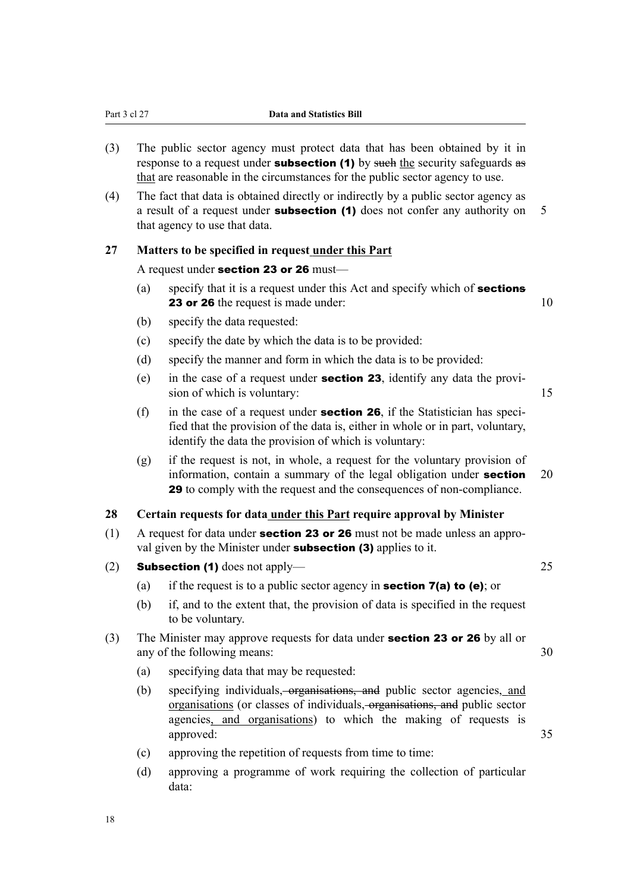- <span id="page-29-0"></span>(3) The public sector agency must protect data that has been obtained by it in response to a request under **subsection (1)** by such the security safeguards as that are reasonable in the circumstances for the public sector agency to use.
- (4) The fact that data is obtained directly or indirectly by a public sector agency as a result of a request under **subsection (1)** does not confer any authority on 5 that agency to use that data.

### **27 Matters to be specified in request under this Part**

#### A request under section 23 or 26 must—

- (a) specify that it is a request under this Act and specify which of **sections 23 or 26** the request is made under: 10
- (b) specify the data requested:
- (c) specify the date by which the data is to be provided:
- (d) specify the manner and form in which the data is to be provided:
- (e) in the case of a request under **section 23**, identify any data the provision of which is voluntary: 15
- (f) in the case of a request under **section 26**, if the Statistician has specified that the provision of the data is, either in whole or in part, voluntary, identify the data the provision of which is voluntary:
- (g) if the request is not, in whole, a request for the voluntary provision of information, contain a summary of the legal obligation under **section** 20 29 to comply with the request and the consequences of non-compliance.

### **28 Certain requests for data under this Part require approval by Minister**

- (1) A request for data under **section 23 or 26** must not be made unless an approval given by the Minister under **subsection (3)** applies to it.
- (2) Subsection (1) does not apply— 25
	- (a) if the request is to a public sector agency in **section 7(a) to (e)**; or
	- (b) if, and to the extent that, the provision of data is specified in the request to be voluntary.
- (3) The Minister may approve requests for data under section 23 or 26 by all or any of the following means: 30
	- (a) specifying data that may be requested:
	- (b) specifying individuals, organisations, and public sector agencies, and organisations (or classes of individuals, organisations, and public sector agencies, and organisations) to which the making of requests is approved: 35
	- (c) approving the repetition of requests from time to time:
	- (d) approving a programme of work requiring the collection of particular data: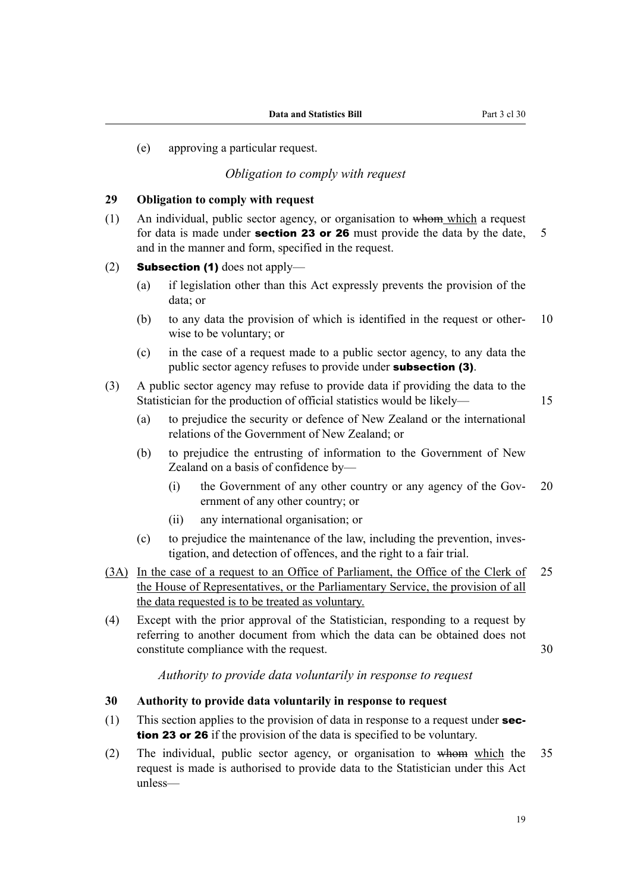<span id="page-30-0"></span>(e) approving a particular request.

## *Obligation to comply with request*

#### **29 Obligation to comply with request**

- (1) An individual, public sector agency, or organisation to whom which a request for data is made under **section 23 or 26** must provide the data by the date,  $\overline{5}$ and in the manner and form, specified in the request.
- (2) **Subsection (1)** does not apply—
	- (a) if legislation other than this Act expressly prevents the provision of the data; or
	- (b) to any data the provision of which is identified in the request or other–  $10$ wise to be voluntary; or
	- (c) in the case of a request made to a public sector agency, to any data the public sector agency refuses to provide under subsection (3).
- (3) A public sector agency may refuse to provide data if providing the data to the Statistician for the production of official statistics would be likely— 15

- (a) to prejudice the security or defence of New Zealand or the international relations of the Government of New Zealand; or
- (b) to prejudice the entrusting of information to the Government of New Zealand on a basis of confidence by—
	- (i) the Government of any other country or any agency of the Gov- 20 ernment of any other country; or
	- (ii) any international organisation; or
- (c) to prejudice the maintenance of the law, including the prevention, investigation, and detection of offences, and the right to a fair trial.
- (3A) In the case of a request to an Office of Parliament, the Office of the Clerk of 25 the House of Representatives, or the Parliamentary Service, the provision of all the data requested is to be treated as voluntary.
- (4) Except with the prior approval of the Statistician, responding to a request by referring to another document from which the data can be obtained does not constitute compliance with the request. 30

*Authority to provide data voluntarily in response to request*

#### **30 Authority to provide data voluntarily in response to request**

- (1) This section applies to the provision of data in response to a request under section 23 or 26 if the provision of the data is specified to be voluntary.
- (2) The individual, public sector agency, or organisation to whom which the 35 request is made is authorised to provide data to the Statistician under this Act unless—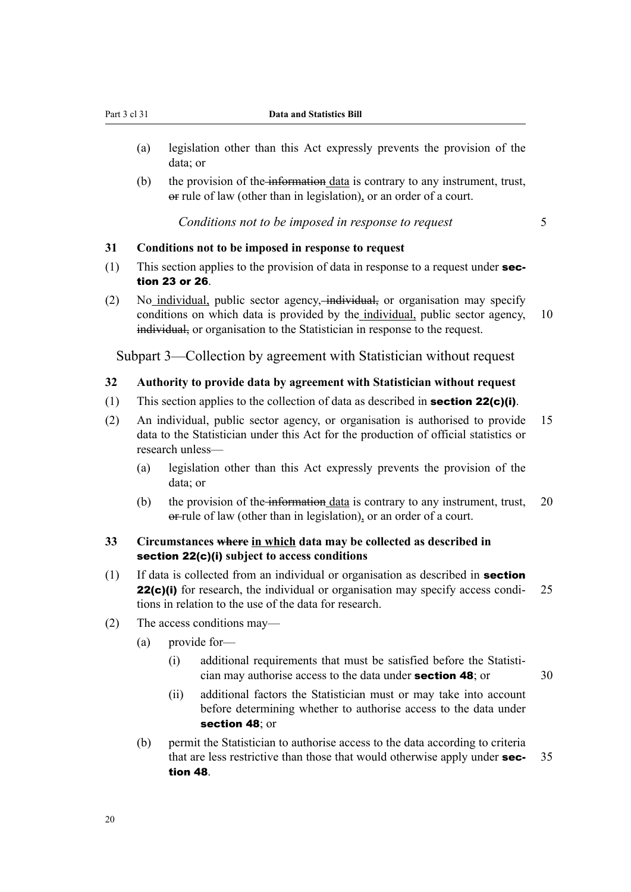- <span id="page-31-0"></span>(a) legislation other than this Act expressly prevents the provision of the data; or
- $(b)$  the provision of the information data is contrary to any instrument, trust, or rule of law (other than in legislation), or an order of a court.

*Conditions not to be imposed in response to request* 5

#### **31 Conditions not to be imposed in response to request**

- (1) This section applies to the provision of data in response to a request under  $\sec$ tion 23 or 26.
- (2) No individual, public sector agency, individual, or organisation may specify conditions on which data is provided by the individual, public sector agency, 10 individual, or organisation to the Statistician in response to the request.

Subpart 3—Collection by agreement with Statistician without request

#### **32 Authority to provide data by agreement with Statistician without request**

- (1) This section applies to the collection of data as described in **section 22(c)(i)**.
- (2) An individual, public sector agency, or organisation is authorised to provide 15 data to the Statistician under this Act for the production of official statistics or research unless—
	- (a) legislation other than this Act expressly prevents the provision of the data; or
	- (b) the provision of the information data is contrary to any instrument, trust,  $20$ or-rule of law (other than in legislation), or an order of a court.

### **33 Circumstances where in which data may be collected as described in** section 22(c)(i) **subject to access conditions**

- (1) If data is collected from an individual or organisation as described in section **22(c)(i)** for research, the individual or organisation may specify access condi- 25 tions in relation to the use of the data for research.
- (2) The access conditions may—
	- (a) provide for—
		- (i) additional requirements that must be satisfied before the Statisti‐ cian may authorise access to the data under **section 48**; or  $30$
		- (ii) additional factors the Statistician must or may take into account before determining whether to authorise access to the data under section 48; or
	- (b) permit the Statistician to authorise access to the data according to criteria that are less restrictive than those that would otherwise apply under **sec-** 35 tion 48.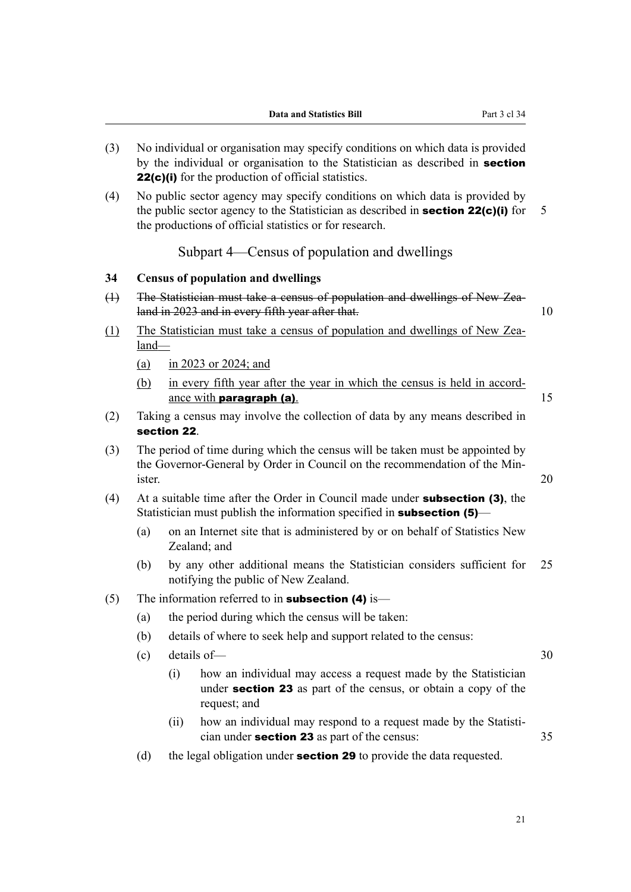- <span id="page-32-0"></span>(3) No individual or organisation may specify conditions on which data is provided by the individual or organisation to the Statistician as described in **section** 22(c)(i) for the production of official statistics.
- (4) No public sector agency may specify conditions on which data is provided by the public sector agency to the Statistician as described in **section 22(c)(i)** for  $\overline{5}$ the productions of official statistics or for research.

### Subpart 4—Census of population and dwellings

#### **34 Census of population and dwellings**

- (1) The Statistician must take a census of population and dwellings of New Zealand in 2023 and in every fifth year after that. 10
- (1) The Statistician must take a census of population and dwellings of New Zea‐ land—
	- (a) in 2023 or 2024; and
	- (b) in every fifth year after the year in which the census is held in accordance with **paragraph (a)**.  $15$
- (2) Taking a census may involve the collection of data by any means described in section 22.
- (3) The period of time during which the census will be taken must be appointed by the Governor-General by Order in Council on the recommendation of the Minister. 20
- (4) At a suitable time after the Order in Council made under **subsection (3)**, the Statistician must publish the information specified in **subsection (5)**—
	- (a) on an Internet site that is administered by or on behalf of Statistics New Zealand; and
	- (b) by any other additional means the Statistician considers sufficient for 25 notifying the public of New Zealand.
- (5) The information referred to in **subsection (4)** is—
	- (a) the period during which the census will be taken:
	- (b) details of where to seek help and support related to the census:
	- (c) details of— 30
		- (i) how an individual may access a request made by the Statistician under section 23 as part of the census, or obtain a copy of the request; and
		- (ii) how an individual may respond to a request made by the Statistician under section 23 as part of the census: 35
	- (d) the legal obligation under **section 29** to provide the data requested.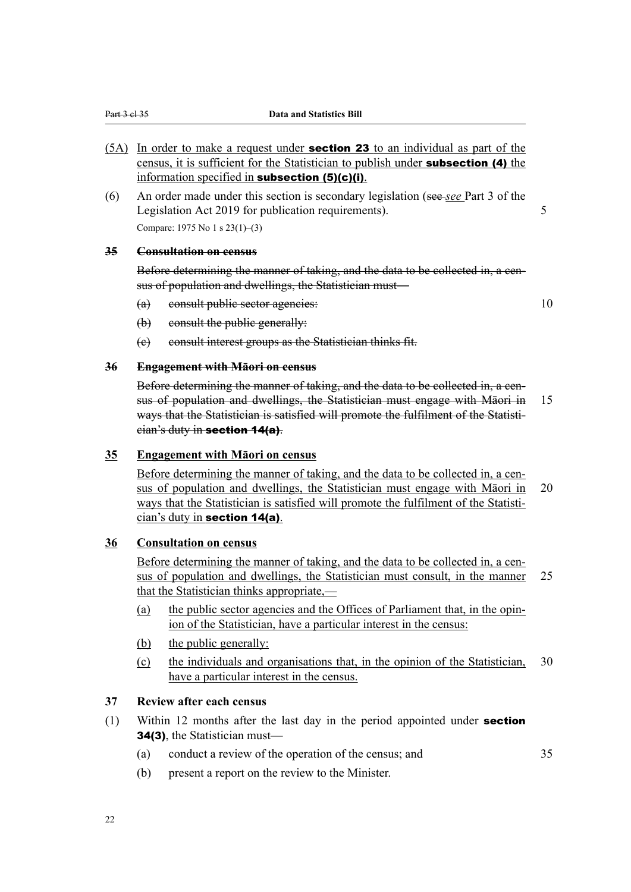- <span id="page-33-0"></span>(5A) In order to make a request under section 23 to an individual as part of the census, it is sufficient for the Statistician to publish under subsection (4) the information specified in subsection (5)(c)(i).
- (6) An order made under this section is secondary legislation (see *see* Part 3 of the Legislation Act 2019 for publication requirements). Compare: 1975 No 1 s 23(1)–(3)

#### **35 Consultation on census**

Before determining the manner of taking, and the data to be collected in, a census of population and dwellings, the Statistician must—

(a) consult public sector agencies: 10

- (b) consult the public generally:
- (c) consult interest groups as the Statistician thinks fit.

#### **36 Engagement with Māori on census**

Before determining the manner of taking, and the data to be collected in, a census of population and dwellings, the Statistician must engage with Māori in 15 ways that the Statistician is satisfied will promote the fulfilment of the Statistician's duty in section 14(a).

#### **35 Engagement with Māori on census**

Before determining the manner of taking, and the data to be collected in, a census of population and dwellings, the Statistician must engage with Māori in 20 ways that the Statistician is satisfied will promote the fulfilment of the Statistician's duty in section 14(a).

### **36 Consultation on census**

Before determining the manner of taking, and the data to be collected in, a census of population and dwellings, the Statistician must consult, in the manner 25 that the Statistician thinks appropriate,—

- (a) the public sector agencies and the Offices of Parliament that, in the opin‐ ion of the Statistician, have a particular interest in the census:
- (b) the public generally:
- (c) the individuals and organisations that, in the opinion of the Statistician, 30 have a particular interest in the census.

#### **37 Review after each census**

- (1) Within 12 months after the last day in the period appointed under section 34(3), the Statistician must—
	- (a) conduct a review of the operation of the census; and 35
	- (b) present a report on the review to the Minister.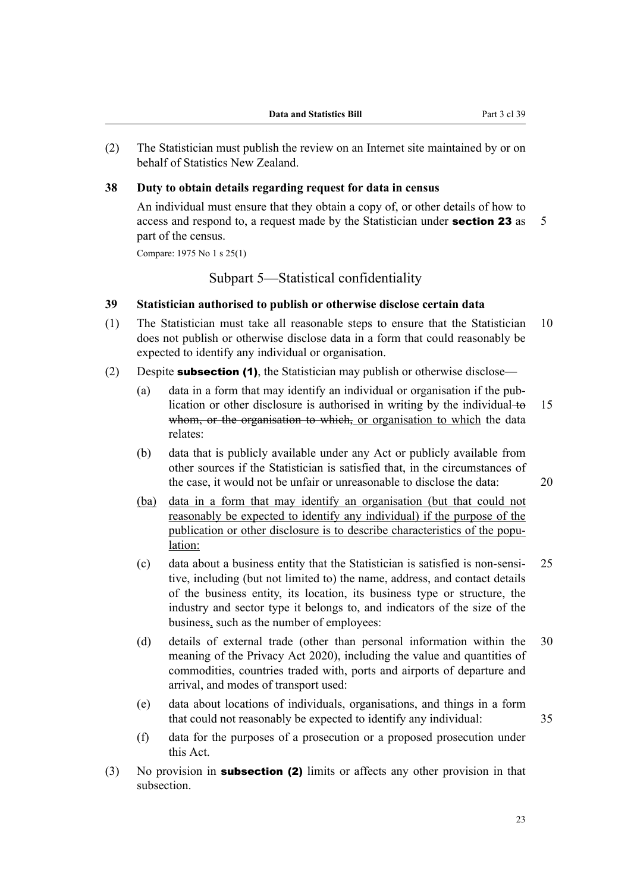<span id="page-34-0"></span>(2) The Statistician must publish the review on an Internet site maintained by or on behalf of Statistics New Zealand.

#### **38 Duty to obtain details regarding request for data in census**

An individual must ensure that they obtain a copy of, or other details of how to access and respond to, a request made by the Statistician under **section 23** as 5 part of the census.

Compare: 1975 No 1 s 25(1)

Subpart 5—Statistical confidentiality

#### **39 Statistician authorised to publish or otherwise disclose certain data**

- (1) The Statistician must take all reasonable steps to ensure that the Statistician 10 does not publish or otherwise disclose data in a form that could reasonably be expected to identify any individual or organisation.
- (2) Despite **subsection (1)**, the Statistician may publish or otherwise disclose—
	- (a) data in a form that may identify an individual or organisation if the pub‐ lication or other disclosure is authorised in writing by the individual to  $15$ whom, or the organisation to which, or organisation to which the data relates:
	- (b) data that is publicly available under any Act or publicly available from other sources if the Statistician is satisfied that, in the circumstances of the case, it would not be unfair or unreasonable to disclose the data: 20
	- (ba) data in a form that may identify an organisation (but that could not reasonably be expected to identify any individual) if the purpose of the publication or other disclosure is to describe characteristics of the population:
	- (c) data about a business entity that the Statistician is satisfied is non-sensi‐ 25 tive, including (but not limited to) the name, address, and contact details of the business entity, its location, its business type or structure, the industry and sector type it belongs to, and indicators of the size of the business, such as the number of employees:
	- (d) details of external trade (other than personal information within the 30 meaning of the Privacy Act 2020), including the value and quantities of commodities, countries traded with, ports and airports of departure and arrival, and modes of transport used:
	- (e) data about locations of individuals, organisations, and things in a form that could not reasonably be expected to identify any individual: 35
	- (f) data for the purposes of a prosecution or a proposed prosecution under this Act.
- (3) No provision in subsection (2) limits or affects any other provision in that subsection.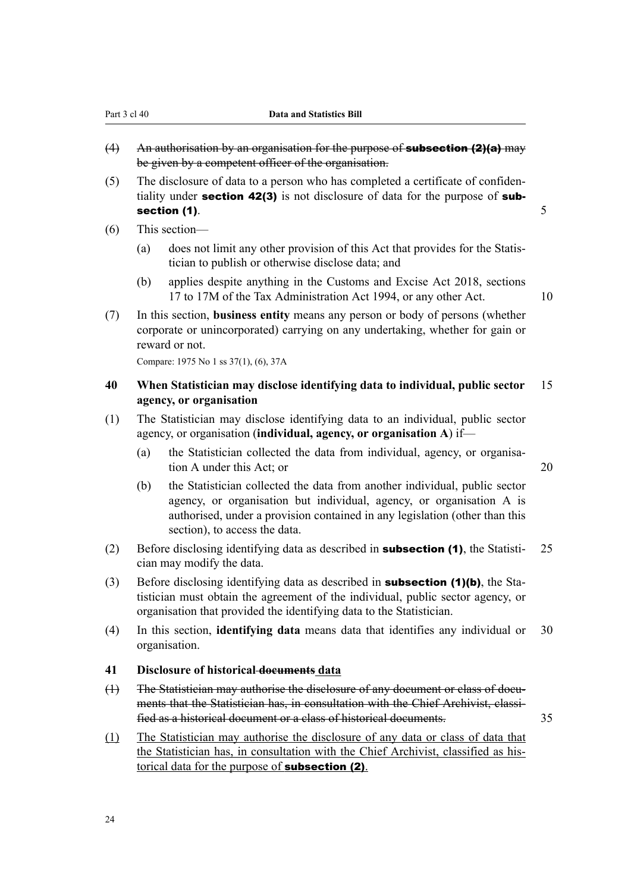- <span id="page-35-0"></span> $(4)$  An authorisation by an organisation for the purpose of **subsection (2)(a)** may be given by a competent officer of the organisation.
- (5) The disclosure of data to a person who has completed a certificate of confiden‐ tiality under **section 42(3)** is not disclosure of data for the purpose of **sub**section (1).  $\qquad \qquad \qquad$  5
- (6) This section—
	- (a) does not limit any other provision of this Act that provides for the Statis‐ tician to publish or otherwise disclose data; and
	- (b) applies despite anything in the Customs and Excise Act 2018, sections 17 to 17M of the Tax Administration Act 1994, or any other Act. 10
- (7) In this section, **business entity** means any person or body of persons (whether corporate or unincorporated) carrying on any undertaking, whether for gain or reward or not.

Compare: 1975 No 1 ss 37(1), (6), 37A

### **40 When Statistician may disclose identifying data to individual, public sector** 15 **agency, or organisation**

- (1) The Statistician may disclose identifying data to an individual, public sector agency, or organisation (**individual, agency, or organisation A**) if—
	- (a) the Statistician collected the data from individual, agency, or organisation A under this Act; or 20
	- (b) the Statistician collected the data from another individual, public sector agency, or organisation but individual, agency, or organisation A is authorised, under a provision contained in any legislation (other than this section), to access the data.
- (2) Before disclosing identifying data as described in **subsection (1)**, the Statisti- 25 cian may modify the data.
- (3) Before disclosing identifying data as described in **subsection (1)(b)**, the Statistician must obtain the agreement of the individual, public sector agency, or organisation that provided the identifying data to the Statistician.
- (4) In this section, **identifying data** means data that identifies any individual or 30 organisation.

#### **41 Disclosure of historical documents data**

- (1) The Statistician may authorise the disclosure of any document or class of documents that the Statistician has, in consultation with the Chief Archivist, classified as a historical document or a class of historical documents. 35
- (1) The Statistician may authorise the disclosure of any data or class of data that the Statistician has, in consultation with the Chief Archivist, classified as his‐ torical data for the purpose of subsection (2).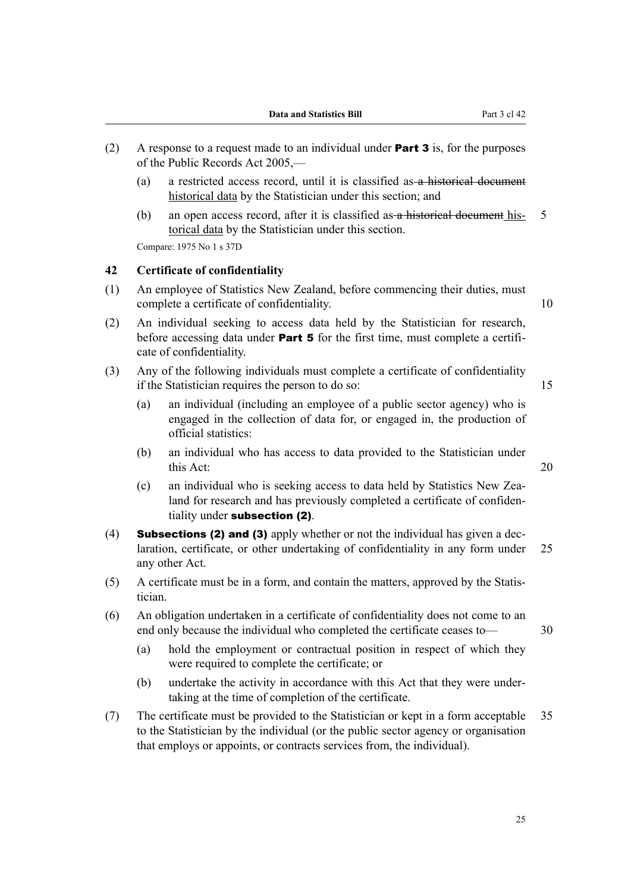- (2) A response to a request made to an individual under **Part 3** is, for the purposes of the Public Records Act 2005,—
	- (a) a restricted access record, until it is classified as a historical document historical data by the Statistician under this section; and
	- (b) an open access record, after it is classified as a historical document his- 5 torical data by the Statistician under this section.

Compare: 1975 No 1 s 37D

### **42 Certificate of confidentiality**

- (1) An employee of Statistics New Zealand, before commencing their duties, must complete a certificate of confidentiality. 10
	-
- (2) An individual seeking to access data held by the Statistician for research, before accessing data under **Part 5** for the first time, must complete a certificate of confidentiality.
- (3) Any of the following individuals must complete a certificate of confidentiality if the Statistician requires the person to do so: 15

- (a) an individual (including an employee of a public sector agency) who is engaged in the collection of data for, or engaged in, the production of official statistics:
- (b) an individual who has access to data provided to the Statistician under this Act: 20
- (c) an individual who is seeking access to data held by Statistics New Zea‐ land for research and has previously completed a certificate of confidentiality under subsection (2).
- (4) **Subsections (2) and (3)** apply whether or not the individual has given a declaration, certificate, or other undertaking of confidentiality in any form under 25 any other Act.
- (5) A certificate must be in a form, and contain the matters, approved by the Statis‐ tician.
- (6) An obligation undertaken in a certificate of confidentiality does not come to an end only because the individual who completed the certificate ceases to — 30
	-
	- (a) hold the employment or contractual position in respect of which they were required to complete the certificate; or
	- (b) undertake the activity in accordance with this Act that they were under‐ taking at the time of completion of the certificate.
- (7) The certificate must be provided to the Statistician or kept in a form acceptable 35 to the Statistician by the individual (or the public sector agency or organisation that employs or appoints, or contracts services from, the individual).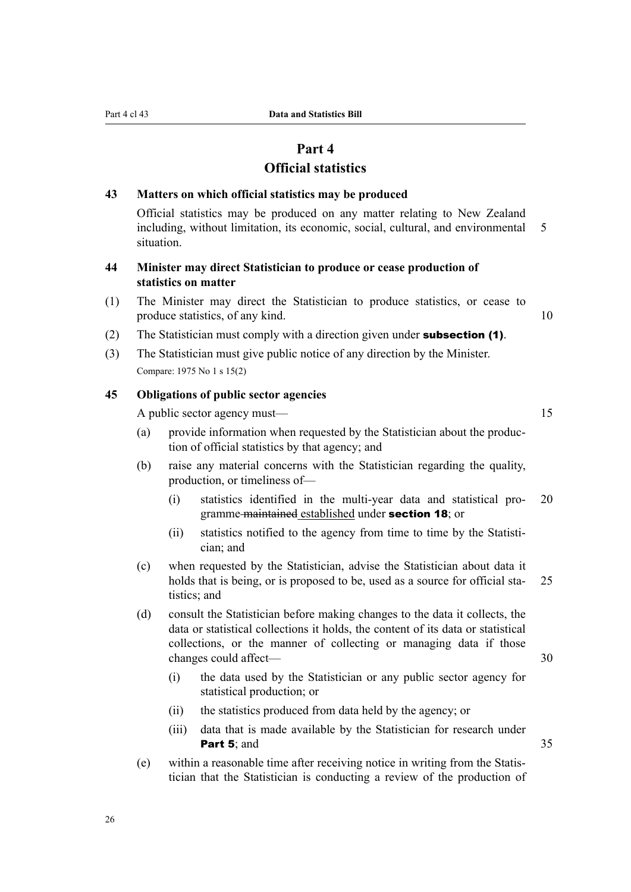# **Part 4**

# **Official statistics**

### **43 Matters on which official statistics may be produced**

Official statistics may be produced on any matter relating to New Zealand including, without limitation, its economic, social, cultural, and environmental 5 situation.

# **44 Minister may direct Statistician to produce or cease production of statistics on matter**

- (1) The Minister may direct the Statistician to produce statistics, or cease to produce statistics, of any kind. 10
- (2) The Statistician must comply with a direction given under subsection (1).
- (3) The Statistician must give public notice of any direction by the Minister. Compare: 1975 No 1 s 15(2)

# **45 Obligations of public sector agencies**

A public sector agency must— 15

- (a) provide information when requested by the Statistician about the produc‐ tion of official statistics by that agency; and
- (b) raise any material concerns with the Statistician regarding the quality, production, or timeliness of—
	- (i) statistics identified in the multi-year data and statistical pro‐ 20 gramme maintained established under section 18; or
	- (ii) statistics notified to the agency from time to time by the Statistician; and
- (c) when requested by the Statistician, advise the Statistician about data it holds that is being, or is proposed to be, used as a source for official sta- 25 tistics; and
- (d) consult the Statistician before making changes to the data it collects, the data or statistical collections it holds, the content of its data or statistical collections, or the manner of collecting or managing data if those changes could affect— 30
	- (i) the data used by the Statistician or any public sector agency for statistical production; or
	- (ii) the statistics produced from data held by the agency; or
	- (iii) data that is made available by the Statistician for research under **Part 5:** and 35
- (e) within a reasonable time after receiving notice in writing from the Statis‐ tician that the Statistician is conducting a review of the production of

26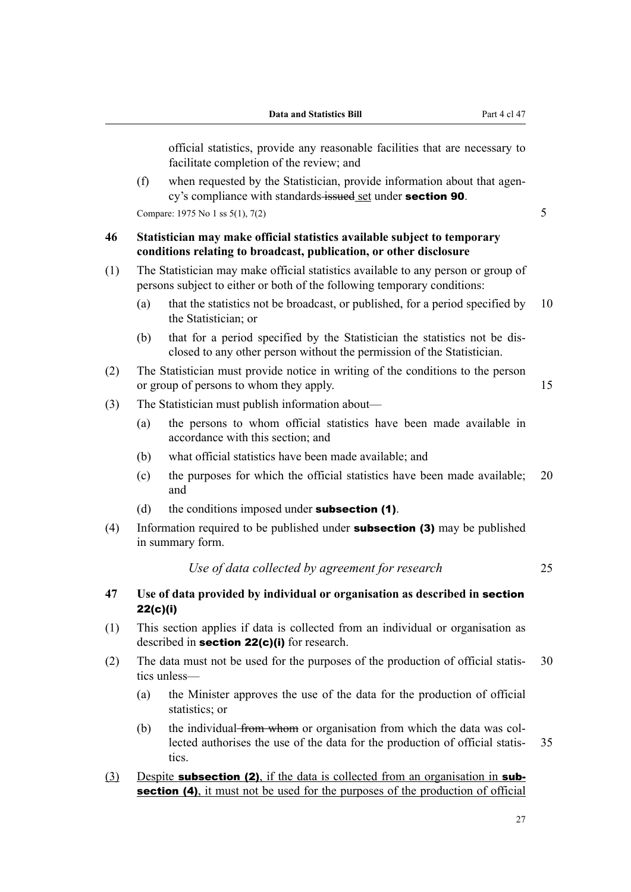official statistics, provide any reasonable facilities that are necessary to facilitate completion of the review; and  $(f)$  when requested by the Statistician, provide information about that agency's compliance with standards issued set under **section 90**. Compare: 1975 No 1 ss  $5(1)$ ,  $7(2)$  5 **46 Statistician may make official statistics available subject to temporary conditions relating to broadcast, publication, or other disclosure** (1) The Statistician may make official statistics available to any person or group of persons subject to either or both of the following temporary conditions: (a) that the statistics not be broadcast, or published, for a period specified by 10 the Statistician; or (b) that for a period specified by the Statistician the statistics not be dis‐ closed to any other person without the permission of the Statistician. (2) The Statistician must provide notice in writing of the conditions to the person or group of persons to whom they apply. 15 (3) The Statistician must publish information about— (a) the persons to whom official statistics have been made available in accordance with this section; and (b) what official statistics have been made available; and (c) the purposes for which the official statistics have been made available; 20 and (d) the conditions imposed under **subsection (1)**. (4) Information required to be published under **subsection (3)** may be published in summary form. *Use of data collected by agreement for research* 25 **47 Use of data provided by individual or organisation as described in** section 22(c)(i) (1) This section applies if data is collected from an individual or organisation as described in **section 22(c)(i)** for research. (2) The data must not be used for the purposes of the production of official statis- 30 tics unless— (a) the Minister approves the use of the data for the production of official statistics; or

- (b) the individual from whom or organisation from which the data was collected authorises the use of the data for the production of official statis-35 tics.
- (3) Despite **subsection (2)**, if the data is collected from an organisation in **sub**section (4), it must not be used for the purposes of the production of official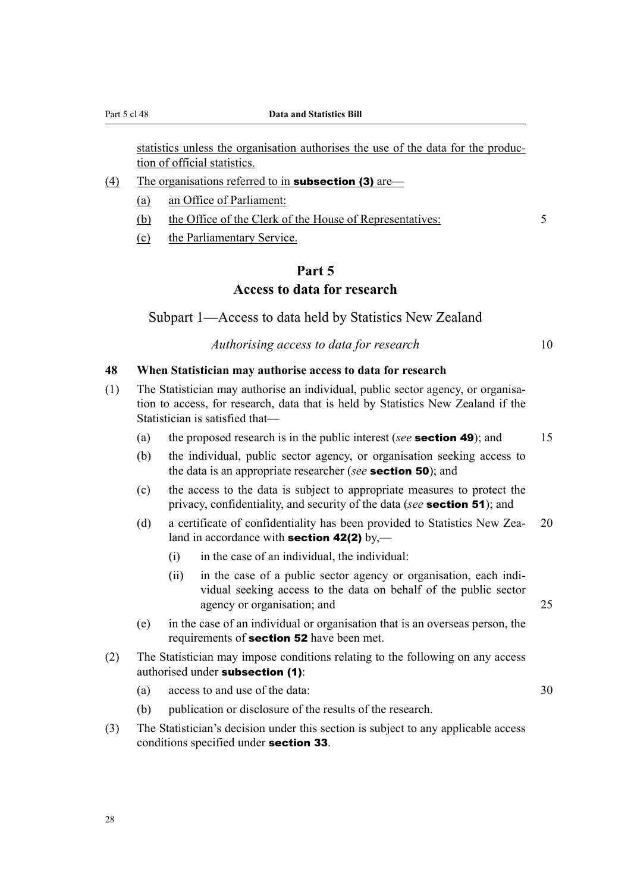statistics unless the organisation authorises the use of the data for the produc‐ tion of official statistics.

- (4) The organisations referred to in **subsection (3)** are—
	- (a) an Office of Parliament:
	- (b) the Office of the Clerk of the House of Representatives: 5
	- (c) the Parliamentary Service.

# **Part 5 Access to data for research**

Subpart 1—Access to data held by Statistics New Zealand

*Authorising access to data for research* 10

#### **48 When Statistician may authorise access to data for research**

- (1) The Statistician may authorise an individual, public sector agency, or organisa‐ tion to access, for research, data that is held by Statistics New Zealand if the Statistician is satisfied that—
	- (a) the proposed research is in the public interest (*see* section 49); and 15
	- (b) the individual, public sector agency, or organisation seeking access to the data is an appropriate researcher (*see* section 50); and
	- (c) the access to the data is subject to appropriate measures to protect the privacy, confidentiality, and security of the data (*see* section 51); and
	- (d) a certificate of confidentiality has been provided to Statistics New Zea‐ 20 land in accordance with **section 42(2)** by,—
		- (i) in the case of an individual, the individual:
		- (ii) in the case of a public sector agency or organisation, each individual seeking access to the data on behalf of the public sector agency or organisation; and 25
	- (e) in the case of an individual or organisation that is an overseas person, the requirements of section 52 have been met.
- (2) The Statistician may impose conditions relating to the following on any access authorised under subsection (1):
	- (a) access to and use of the data: 30
		-

- (b) publication or disclosure of the results of the research.
- (3) The Statistician's decision under this section is subject to any applicable access conditions specified under section 33.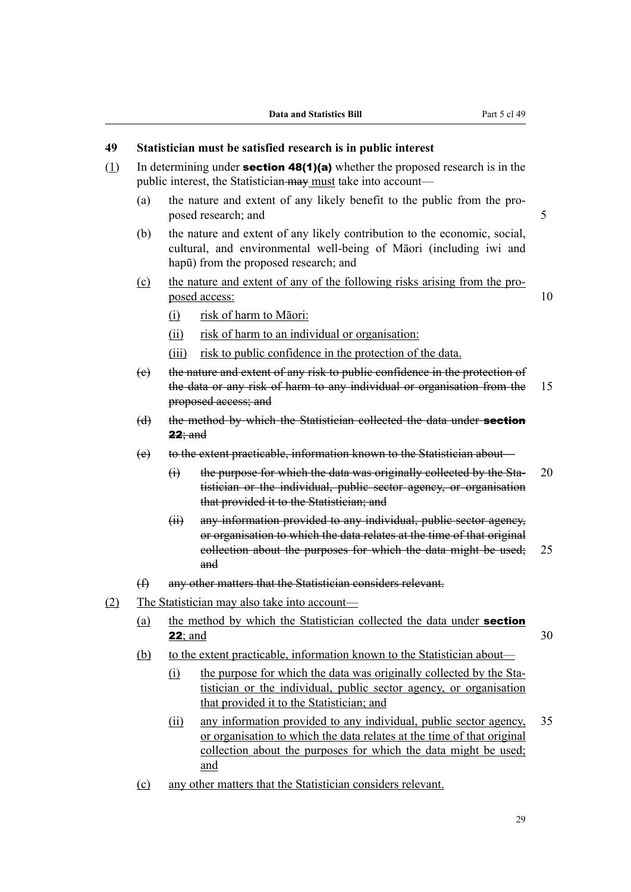# **49 Statistician must be satisfied research is in public interest**

- (1) In determining under **section 48(1)(a)** whether the proposed research is in the public interest, the Statistician may must take into account—
	- (a) the nature and extent of any likely benefit to the public from the pro‐ posed research; and 5
	- (b) the nature and extent of any likely contribution to the economic, social, cultural, and environmental well-being of Māori (including iwi and hapū) from the proposed research; and
	- (c) the nature and extent of any of the following risks arising from the pro‐ posed access:  $10$

- (i) risk of harm to Māori:
- (ii) risk of harm to an individual or organisation:
- (iii) risk to public confidence in the protection of the data.
- (c) the nature and extent of any risk to public confidence in the protection of the data or any risk of harm to any individual or organisation from the 15 proposed access; and
- (d) the method by which the Statistician collected the data under **section**  $22:$  and
- (e) to the extent practicable, information known to the Statistician about—
	- $(i)$  the purpose for which the data was originally collected by the Sta- 20 tistician or the individual, public sector agency, or organisation that provided it to the Statistician; and
	- (ii) any information provided to any individual, public sector agency, or organisation to which the data relates at the time of that original collection about the purposes for which the data might be used; 25 and
- (f) any other matters that the Statistician considers relevant.
- (2) The Statistician may also take into account—
	- (a) the method by which the Statistician collected the data under **section 22**; and  $30$
	- (b) to the extent practicable, information known to the Statistician about—
		- (i) the purpose for which the data was originally collected by the Statistician or the individual, public sector agency, or organisation that provided it to the Statistician; and
		- (ii) any information provided to any individual, public sector agency, 35 or organisation to which the data relates at the time of that original collection about the purposes for which the data might be used; and
	- (c) any other matters that the Statistician considers relevant.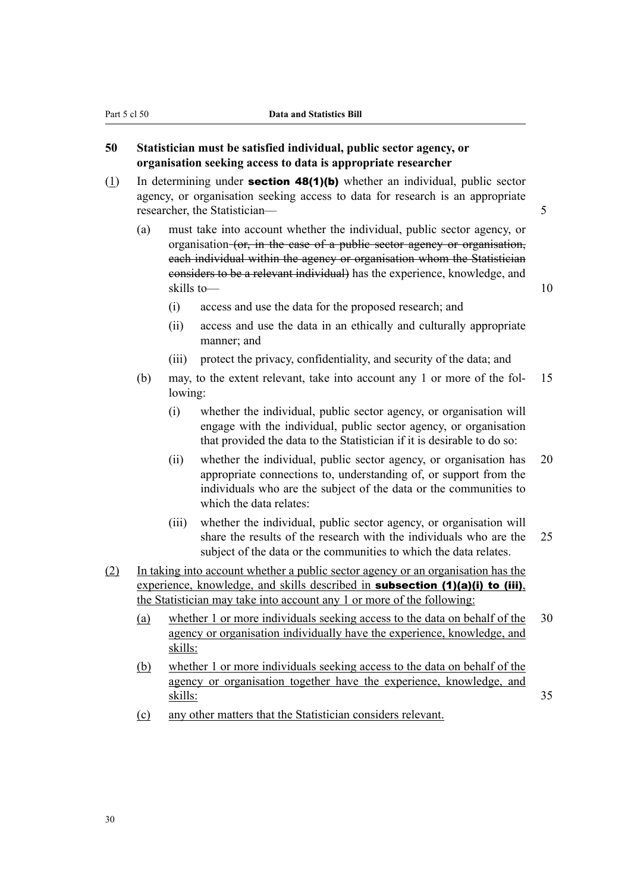# **50 Statistician must be satisfied individual, public sector agency, or organisation seeking access to data is appropriate researcher**

- (1) In determining under **section 48(1)(b)** whether an individual, public sector agency, or organisation seeking access to data for research is an appropriate researcher, the Statistician— 5
	- (a) must take into account whether the individual, public sector agency, or organisation (or, in the case of a public sector agency or organisation, each individual within the agency or organisation whom the Statistician considers to be a relevant individual) has the experience, knowledge, and skills to— 10
		- (i) access and use the data for the proposed research; and
		- (ii) access and use the data in an ethically and culturally appropriate manner; and
		- (iii) protect the privacy, confidentiality, and security of the data; and
	- (b) may, to the extent relevant, take into account any 1 or more of the fol‐ 15 lowing:
		- (i) whether the individual, public sector agency, or organisation will engage with the individual, public sector agency, or organisation that provided the data to the Statistician if it is desirable to do so:
		- (ii) whether the individual, public sector agency, or organisation has 20 appropriate connections to, understanding of, or support from the individuals who are the subject of the data or the communities to which the data relates:
		- (iii) whether the individual, public sector agency, or organisation will share the results of the research with the individuals who are the 25 subject of the data or the communities to which the data relates.
- (2) In taking into account whether a public sector agency or an organisation has the experience, knowledge, and skills described in **subsection (1)(a)(i) to (iii)**, the Statistician may take into account any 1 or more of the following:
	- (a) whether 1 or more individuals seeking access to the data on behalf of the 30 agency or organisation individually have the experience, knowledge, and skills:
	- (b) whether 1 or more individuals seeking access to the data on behalf of the agency or organisation together have the experience, knowledge, and skills: 35
	- (c) any other matters that the Statistician considers relevant.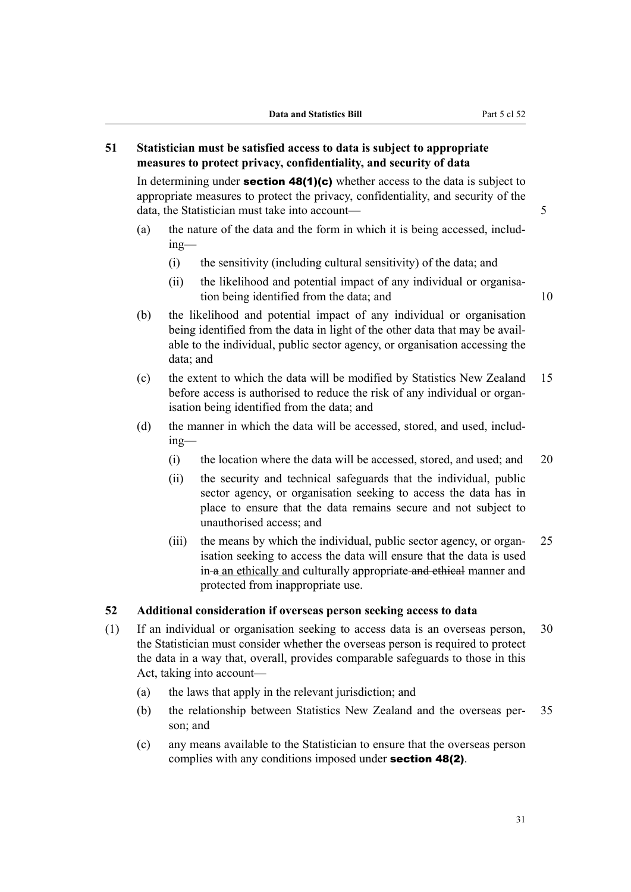# **51 Statistician must be satisfied access to data is subject to appropriate measures to protect privacy, confidentiality, and security of data**

In determining under **section 48(1)(c)** whether access to the data is subject to appropriate measures to protect the privacy, confidentiality, and security of the data, the Statistician must take into account—

- (a) the nature of the data and the form in which it is being accessed, including—
	- (i) the sensitivity (including cultural sensitivity) of the data; and
	- (ii) the likelihood and potential impact of any individual or organisation being identified from the data; and 10

- (b) the likelihood and potential impact of any individual or organisation being identified from the data in light of the other data that may be available to the individual, public sector agency, or organisation accessing the data; and
- (c) the extent to which the data will be modified by Statistics New Zealand 15 before access is authorised to reduce the risk of any individual or organisation being identified from the data; and
- (d) the manner in which the data will be accessed, stored, and used, including—
	- (i) the location where the data will be accessed, stored, and used; and 20
	- (ii) the security and technical safeguards that the individual, public sector agency, or organisation seeking to access the data has in place to ensure that the data remains secure and not subject to unauthorised access; and
	- (iii) the means by which the individual, public sector agency, or organ- $25$ isation seeking to access the data will ensure that the data is used in a an ethically and culturally appropriate and ethical manner and protected from inappropriate use.

# **52 Additional consideration if overseas person seeking access to data**

- (1) If an individual or organisation seeking to access data is an overseas person, 30 the Statistician must consider whether the overseas person is required to protect the data in a way that, overall, provides comparable safeguards to those in this Act, taking into account—
	- (a) the laws that apply in the relevant jurisdiction; and
	- (b) the relationship between Statistics New Zealand and the overseas per‐ 35 son; and
	- (c) any means available to the Statistician to ensure that the overseas person complies with any conditions imposed under section 48(2).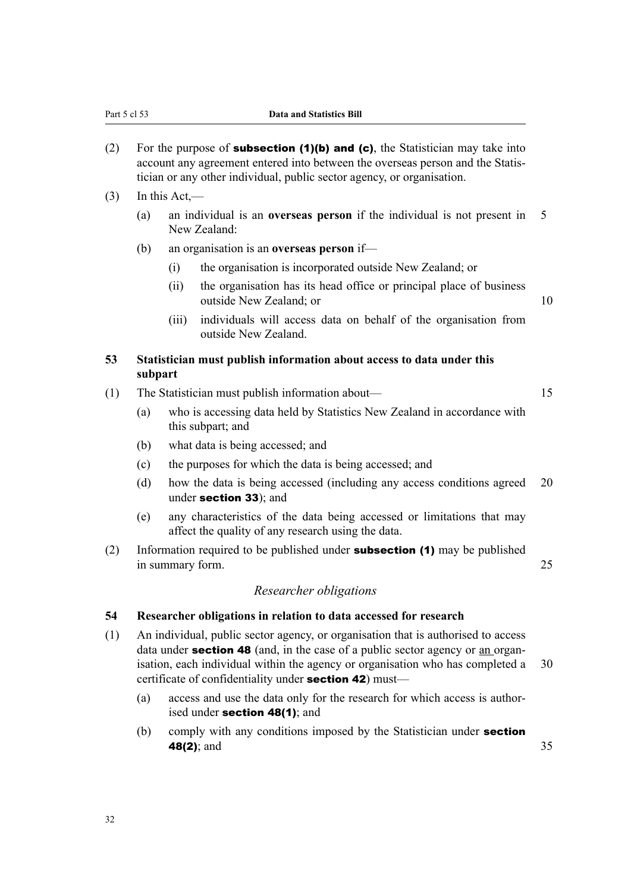- (2) For the purpose of **subsection (1)(b) and (c)**, the Statistician may take into account any agreement entered into between the overseas person and the Statis‐ tician or any other individual, public sector agency, or organisation.
- $(3)$  In this Act,—
	- (a) an individual is an **overseas person** if the individual is not present in 5 New Zealand:
	- (b) an organisation is an **overseas person** if—
		- (i) the organisation is incorporated outside New Zealand; or
		- (ii) the organisation has its head office or principal place of business outside New Zealand; or 10
		- (iii) individuals will access data on behalf of the organisation from outside New Zealand.

# **53 Statistician must publish information about access to data under this subpart**

- (1) The Statistician must publish information about— 15
	- (a) who is accessing data held by Statistics New Zealand in accordance with this subpart; and
	- (b) what data is being accessed; and
	- (c) the purposes for which the data is being accessed; and
	- (d) how the data is being accessed (including any access conditions agreed 20 under section 33); and
	- (e) any characteristics of the data being accessed or limitations that may affect the quality of any research using the data.
- (2) Information required to be published under **subsection (1)** may be published in summary form. 25

# *Researcher obligations*

#### **54 Researcher obligations in relation to data accessed for research**

- (1) An individual, public sector agency, or organisation that is authorised to access data under **section 48** (and, in the case of a public sector agency or an organisation, each individual within the agency or organisation who has completed a 30 certificate of confidentiality under section 42) must—
	- (a) access and use the data only for the research for which access is author‐ ised under **section 48(1)**; and
	- (b) comply with any conditions imposed by the Statistician under **section 48(2)**; and 35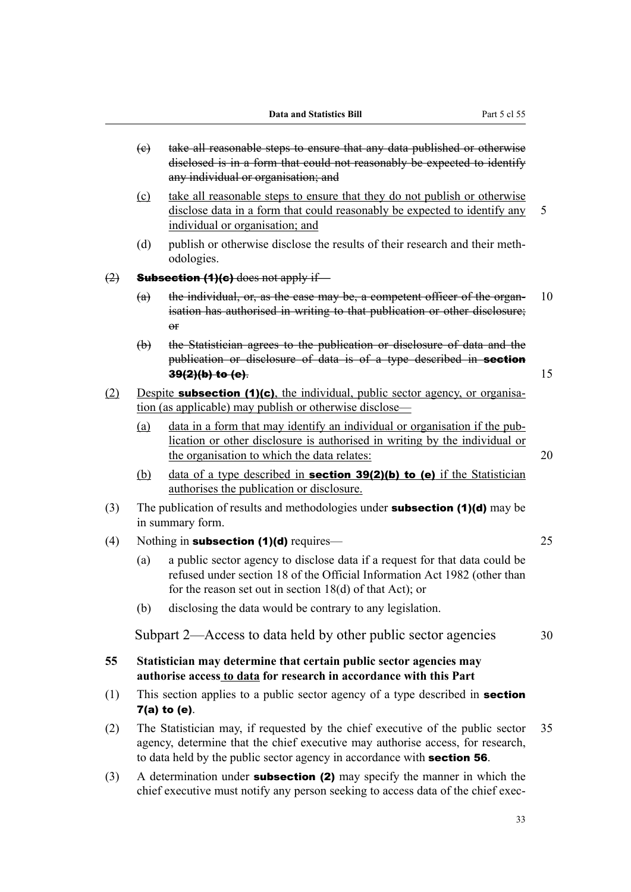- (c) take all reasonable steps to ensure that any data published or otherwise disclosed is in a form that could not reasonably be expected to identify any individual or organisation; and
- (c) take all reasonable steps to ensure that they do not publish or otherwise disclose data in a form that could reasonably be expected to identify any 5 individual or organisation; and
- (d) publish or otherwise disclose the results of their research and their methodologies.

 $(2)$  **Subsection (1)(c)** does not apply if—

- (a) the individual, or, as the case may be, a competent officer of the organ-  $10$ isation has authorised in writing to that publication or other disclosure; or
- (b) the Statistician agrees to the publication or disclosure of data and the publication or disclosure of data is of a type described in **section**  $39(2)(b)$  to (e). 15
- (2) Despite **subsection (1)(c)**, the individual, public sector agency, or organisation (as applicable) may publish or otherwise disclose—
	- (a) data in a form that may identify an individual or organisation if the pub‐ lication or other disclosure is authorised in writing by the individual or the organisation to which the data relates: 20
	- (b) data of a type described in **section 39(2)(b) to (e)** if the Statistician authorises the publication or disclosure.
- (3) The publication of results and methodologies under **subsection (1)(d)** may be in summary form.
- (4) Nothing in subsection  $(1)(d)$  requires— 25
	- (a) a public sector agency to disclose data if a request for that data could be refused under section 18 of the Official Information Act 1982 (other than for the reason set out in section 18(d) of that Act); or
	- (b) disclosing the data would be contrary to any legislation.

Subpart 2—Access to data held by other public sector agencies 30

# **55 Statistician may determine that certain public sector agencies may authorise access to data for research in accordance with this Part**

- (1) This section applies to a public sector agency of a type described in **section** 7(a) to (e).
- (2) The Statistician may, if requested by the chief executive of the public sector 35 agency, determine that the chief executive may authorise access, for research, to data held by the public sector agency in accordance with section 56.
- (3) A determination under **subsection (2)** may specify the manner in which the chief executive must notify any person seeking to access data of the chief exec-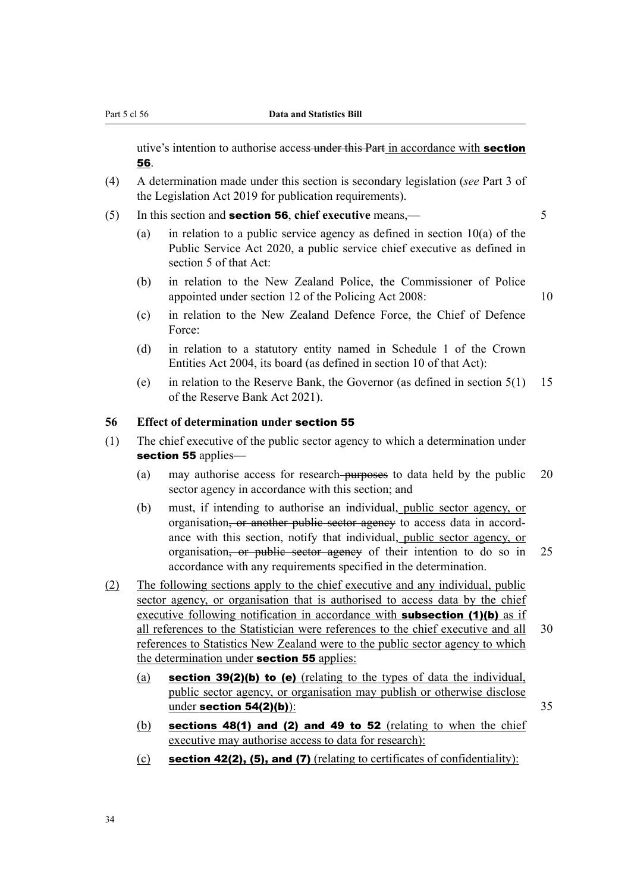utive's intention to authorise access under this Part in accordance with **section** 56.

- (4) A determination made under this section is secondary legislation (*see* Part 3 of the Legislation Act 2019 for publication requirements).
- (5) In this section and section 56, **chief executive** means,— 5
	- (a) in relation to a public service agency as defined in section 10(a) of the Public Service Act 2020, a public service chief executive as defined in section 5 of that Act:
	- (b) in relation to the New Zealand Police, the Commissioner of Police appointed under section 12 of the Policing Act 2008: 10

- (c) in relation to the New Zealand Defence Force, the Chief of Defence Force:
- (d) in relation to a statutory entity named in Schedule 1 of the Crown Entities Act 2004, its board (as defined in section 10 of that Act):
- (e) in relation to the Reserve Bank, the Governor (as defined in section 5(1) 15 of the Reserve Bank Act 2021).

#### **56 Effect of determination under** section 55

- (1) The chief executive of the public sector agency to which a determination under section 55 applies-
	- (a) may authorise access for research- $\frac{1}{2}$  purposes to data held by the public 20 sector agency in accordance with this section; and
	- (b) must, if intending to authorise an individual, public sector agency, or organisation, or another public sector agency to access data in accordance with this section, notify that individual, public sector agency, or organisation, or public sector agency of their intention to do so in 25 accordance with any requirements specified in the determination.
- (2) The following sections apply to the chief executive and any individual, public sector agency, or organisation that is authorised to access data by the chief executive following notification in accordance with **subsection (1)(b)** as if all references to the Statistician were references to the chief executive and all 30 references to Statistics New Zealand were to the public sector agency to which the determination under **section 55** applies:
	- (a) section 39(2)(b) to (e) (relating to the types of data the individual, public sector agency, or organisation may publish or otherwise disclose under section  $54(2)(b)$ :  $35$
	- (b) sections  $48(1)$  and  $(2)$  and  $49$  to 52 (relating to when the chief executive may authorise access to data for research):
	- (c) section 42(2), (5), and (7) (relating to certificates of confidentiality):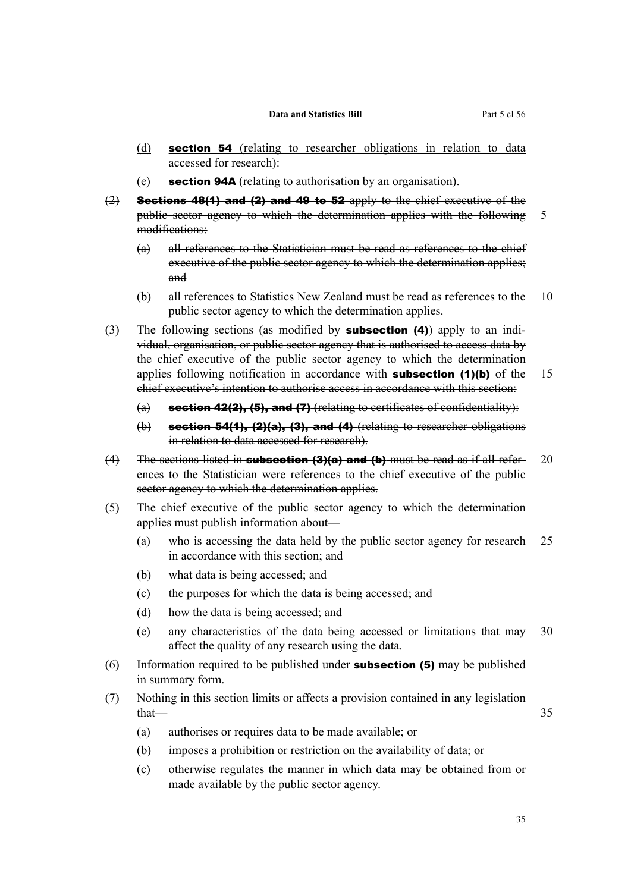- (d) section 54 (relating to researcher obligations in relation to data accessed for research):
- (e) section 94A (relating to authorisation by an organisation).
- $(2)$  Sections 48(1) and (2) and 49 to 52 apply to the chief executive of the public sector agency to which the determination applies with the following 5 modifications:
	- (a) all references to the Statistician must be read as references to the chief executive of the public sector agency to which the determination applies; and
	- (b) all references to Statistics New Zealand must be read as references to the 10 public sector agency to which the determination applies.
- (3) The following sections (as modified by **subsection (4)**) apply to an individual, organisation, or public sector agency that is authorised to access data by the chief executive of the public sector agency to which the determination applies following notification in accordance with **subsection (1)(b)** of the 15 chief executive's intention to authorise access in accordance with this section:
	- (a) section 42(2), (5), and (7) (relating to certificates of confidentiality):
	- $(b)$  section 54(1), (2)(a), (3), and (4) (relating to researcher obligations in relation to data accessed for research).
- (4) The sections listed in **subsection (3)(a) and (b)** must be read as if all refer- 20 ences to the Statistician were references to the chief executive of the public sector agency to which the determination applies.
- (5) The chief executive of the public sector agency to which the determination applies must publish information about—
	- (a) who is accessing the data held by the public sector agency for research 25 in accordance with this section; and
	- (b) what data is being accessed; and
	- (c) the purposes for which the data is being accessed; and
	- (d) how the data is being accessed; and
	- (e) any characteristics of the data being accessed or limitations that may 30 affect the quality of any research using the data.
- (6) Information required to be published under **subsection (5)** may be published in summary form.
- (7) Nothing in this section limits or affects a provision contained in any legislation  $that$   $-$  35
	- (a) authorises or requires data to be made available; or
	- (b) imposes a prohibition or restriction on the availability of data; or
	- (c) otherwise regulates the manner in which data may be obtained from or made available by the public sector agency.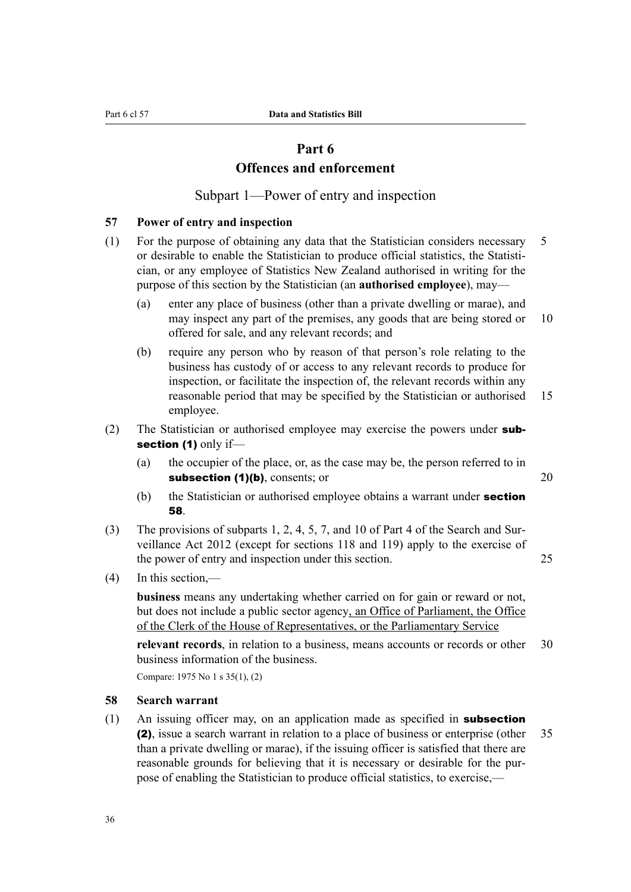# **Part 6 Offences and enforcement**

Subpart 1—Power of entry and inspection

#### **57 Power of entry and inspection**

- (1) For the purpose of obtaining any data that the Statistician considers necessary 5 or desirable to enable the Statistician to produce official statistics, the Statisti‐ cian, or any employee of Statistics New Zealand authorised in writing for the purpose of this section by the Statistician (an **authorised employee**), may—
	- (a) enter any place of business (other than a private dwelling or marae), and may inspect any part of the premises, any goods that are being stored or 10 offered for sale, and any relevant records; and
	- (b) require any person who by reason of that person's role relating to the business has custody of or access to any relevant records to produce for inspection, or facilitate the inspection of, the relevant records within any reasonable period that may be specified by the Statistician or authorised 15 employee.
- (2) The Statistician or authorised employee may exercise the powers under subsection (1) only if-
	- (a) the occupier of the place, or, as the case may be, the person referred to in subsection (1)(b), consents; or 20
	- (b) the Statistician or authorised employee obtains a warrant under **section** 58.
- (3) The provisions of subparts 1, 2, 4, 5, 7, and 10 of Part 4 of the Search and Sur‐ veillance Act 2012 (except for sections 118 and 119) apply to the exercise of the power of entry and inspection under this section. 25
- (4) In this section,—

**business** means any undertaking whether carried on for gain or reward or not, but does not include a public sector agency, an Office of Parliament, the Office of the Clerk of the House of Representatives, or the Parliamentary Service

**relevant records**, in relation to a business, means accounts or records or other 30 business information of the business.

Compare: 1975 No 1 s 35(1), (2)

# **58 Search warrant**

 $(1)$  An issuing officer may, on an application made as specified in **subsection** (2), issue a search warrant in relation to a place of business or enterprise (other 35 than a private dwelling or marae), if the issuing officer is satisfied that there are reasonable grounds for believing that it is necessary or desirable for the purpose of enabling the Statistician to produce official statistics, to exercise,—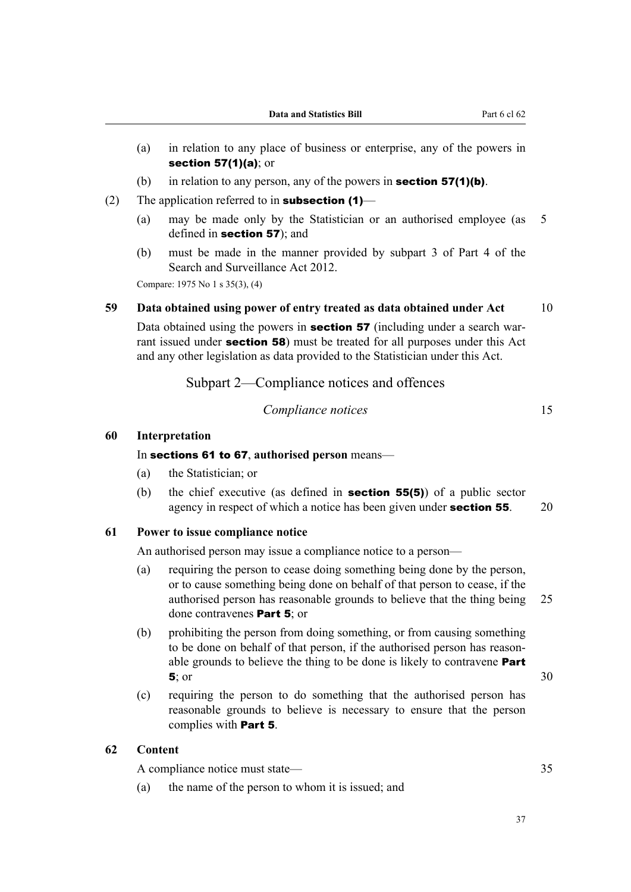- (a) in relation to any place of business or enterprise, any of the powers in section 57(1)(a); or
- (b) in relation to any person, any of the powers in **section 57(1)(b)**.
- (2) The application referred to in **subsection (1)**
	- (a) may be made only by the Statistician or an authorised employee (as 5 defined in section 57); and
	- (b) must be made in the manner provided by subpart 3 of Part 4 of the Search and Surveillance Act 2012.

Compare: 1975 No 1 s 35(3), (4)

# **59 Data obtained using power of entry treated as data obtained under Act** 10

Data obtained using the powers in **section 57** (including under a search warrant issued under **section 58**) must be treated for all purposes under this Act and any other legislation as data provided to the Statistician under this Act.

Subpart 2—Compliance notices and offences

#### *Compliance notices* 15

### **60 Interpretation**

In sections 61 to 67, **authorised person** means—

- (a) the Statistician; or
- (b) the chief executive (as defined in section 55(5)) of a public sector agency in respect of which a notice has been given under **section 55**. 20

#### **61 Power to issue compliance notice**

An authorised person may issue a compliance notice to a person—

- (a) requiring the person to cease doing something being done by the person, or to cause something being done on behalf of that person to cease, if the authorised person has reasonable grounds to believe that the thing being 25 done contravenes Part 5; or
- (b) prohibiting the person from doing something, or from causing something to be done on behalf of that person, if the authorised person has reasonable grounds to believe the thing to be done is likely to contravene **Part 5**; or  $30$
- (c) requiring the person to do something that the authorised person has reasonable grounds to believe is necessary to ensure that the person complies with Part 5.

# **62 Content**

A compliance notice must state— 35

(a) the name of the person to whom it is issued; and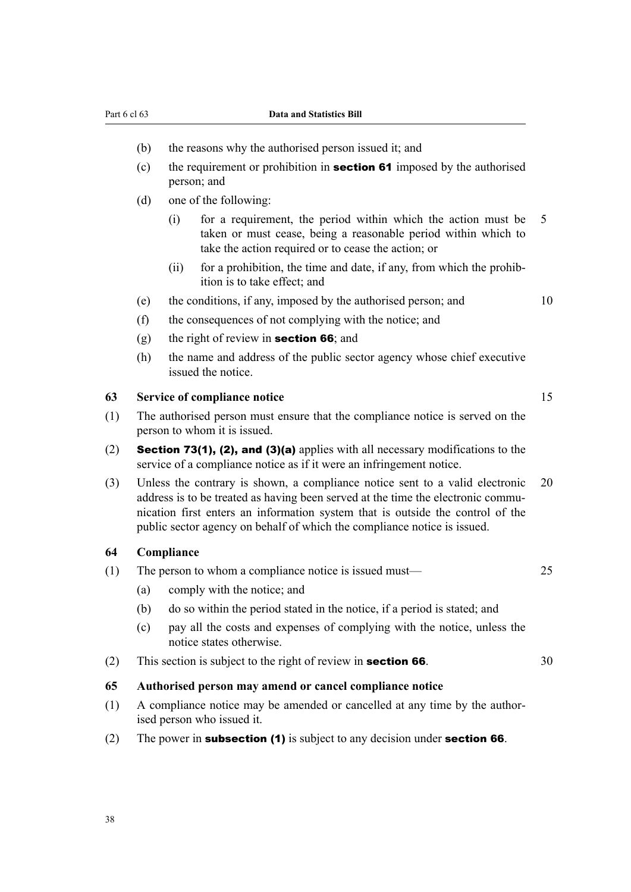#### Part 6 cl 63 **Data and Statistics Bill**

- (b) the reasons why the authorised person issued it; and
- (c) the requirement or prohibition in **section 61** imposed by the authorised person; and
- (d) one of the following:
	- (i) for a requirement, the period within which the action must be 5 taken or must cease, being a reasonable period within which to take the action required or to cease the action; or
	- $(ii)$  for a prohibition, the time and date, if any, from which the prohibition is to take effect; and
- (e) the conditions, if any, imposed by the authorised person; and 10
- (f) the consequences of not complying with the notice; and
- (g) the right of review in **section 66**; and
- (h) the name and address of the public sector agency whose chief executive issued the notice.

# **63 Service of compliance notice** 15

- (1) The authorised person must ensure that the compliance notice is served on the person to whom it is issued.
- (2) Section 73(1), (2), and (3)(a) applies with all necessary modifications to the service of a compliance notice as if it were an infringement notice.
- (3) Unless the contrary is shown, a compliance notice sent to a valid electronic 20 address is to be treated as having been served at the time the electronic communication first enters an information system that is outside the control of the public sector agency on behalf of which the compliance notice is issued.

### **64 Compliance**

- (1) The person to whom a compliance notice is issued must— 25
	- (a) comply with the notice; and
	- (b) do so within the period stated in the notice, if a period is stated; and
	- (c) pay all the costs and expenses of complying with the notice, unless the notice states otherwise.
- (2) This section is subject to the right of review in **section 66**.  $30$

#### **65 Authorised person may amend or cancel compliance notice**

- (1) A compliance notice may be amended or cancelled at any time by the author‐ ised person who issued it.
- (2) The power in subsection  $(1)$  is subject to any decision under section 66.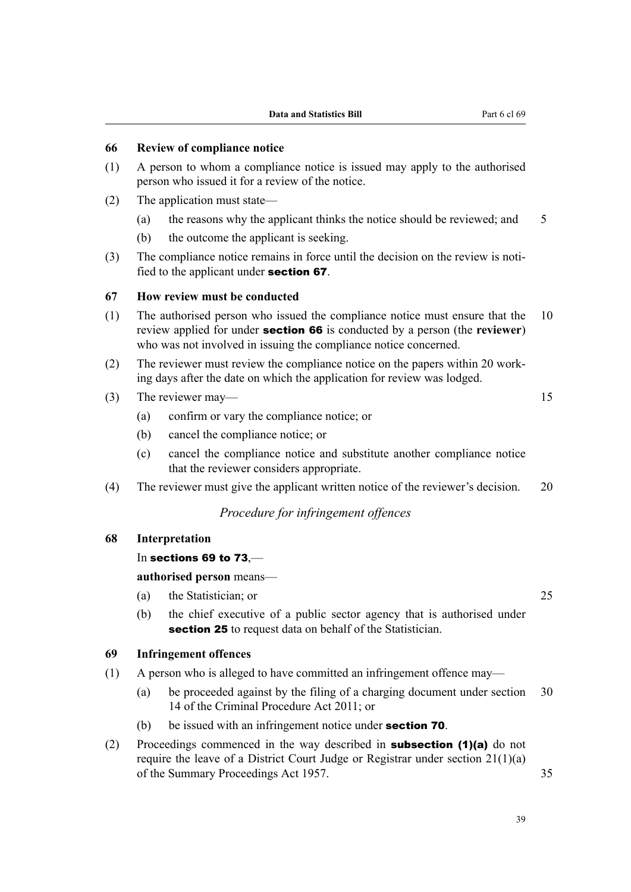## **66 Review of compliance notice**

- (1) A person to whom a compliance notice is issued may apply to the authorised person who issued it for a review of the notice.
- (2) The application must state—
	- (a) the reasons why the applicant thinks the notice should be reviewed; and 5
	- (b) the outcome the applicant is seeking.
- (3) The compliance notice remains in force until the decision on the review is notified to the applicant under section 67.

#### **67 How review must be conducted**

- (1) The authorised person who issued the compliance notice must ensure that the 10 review applied for under section 66 is conducted by a person (the **reviewer**) who was not involved in issuing the compliance notice concerned.
- (2) The reviewer must review the compliance notice on the papers within 20 work‐ ing days after the date on which the application for review was lodged.
- (3) The reviewer may— 15
	- (a) confirm or vary the compliance notice; or
	- (b) cancel the compliance notice; or
	- (c) cancel the compliance notice and substitute another compliance notice that the reviewer considers appropriate.
- (4) The reviewer must give the applicant written notice of the reviewer's decision. 20

# *Procedure for infringement offences*

### **68 Interpretation**

#### In sections 69 to 73,—

#### **authorised person** means—

- (a) the Statistician; or 25
- (b) the chief executive of a public sector agency that is authorised under section 25 to request data on behalf of the Statistician.

### **69 Infringement offences**

- (1) A person who is alleged to have committed an infringement offence may—
	- (a) be proceeded against by the filing of a charging document under section 30 14 of the Criminal Procedure Act 2011; or
	- (b) be issued with an infringement notice under **section 70**.
- (2) Proceedings commenced in the way described in **subsection (1)(a)** do not require the leave of a District Court Judge or Registrar under section 21(1)(a) of the Summary Proceedings Act 1957. 35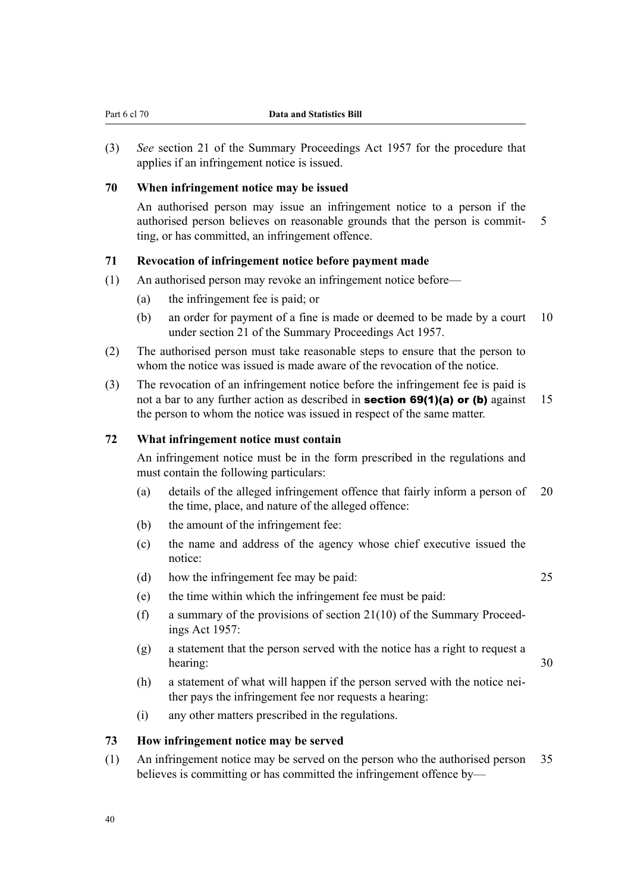(3) *See* section 21 of the Summary Proceedings Act 1957 for the procedure that applies if an infringement notice is issued.

### **70 When infringement notice may be issued**

An authorised person may issue an infringement notice to a person if the authorised person believes on reasonable grounds that the person is commit- 5 ting, or has committed, an infringement offence.

### **71 Revocation of infringement notice before payment made**

- (1) An authorised person may revoke an infringement notice before—
	- (a) the infringement fee is paid; or
	- (b) an order for payment of a fine is made or deemed to be made by a court 10 under section 21 of the Summary Proceedings Act 1957.
- (2) The authorised person must take reasonable steps to ensure that the person to whom the notice was issued is made aware of the revocation of the notice.
- (3) The revocation of an infringement notice before the infringement fee is paid is not a bar to any further action as described in **section 69(1)(a) or (b)** against 15 the person to whom the notice was issued in respect of the same matter.

# **72 What infringement notice must contain**

An infringement notice must be in the form prescribed in the regulations and must contain the following particulars:

- (a) details of the alleged infringement offence that fairly inform a person of 20 the time, place, and nature of the alleged offence:
- (b) the amount of the infringement fee:
- (c) the name and address of the agency whose chief executive issued the notice:
- (d) how the infringement fee may be paid: 25

- (e) the time within which the infringement fee must be paid:
- (f) a summary of the provisions of section  $21(10)$  of the Summary Proceedings Act 1957:
- (g) a statement that the person served with the notice has a right to request a hearing: 30
- (h) a statement of what will happen if the person served with the notice neither pays the infringement fee nor requests a hearing:
- (i) any other matters prescribed in the regulations.

### **73 How infringement notice may be served**

(1) An infringement notice may be served on the person who the authorised person 35 believes is committing or has committed the infringement offence by—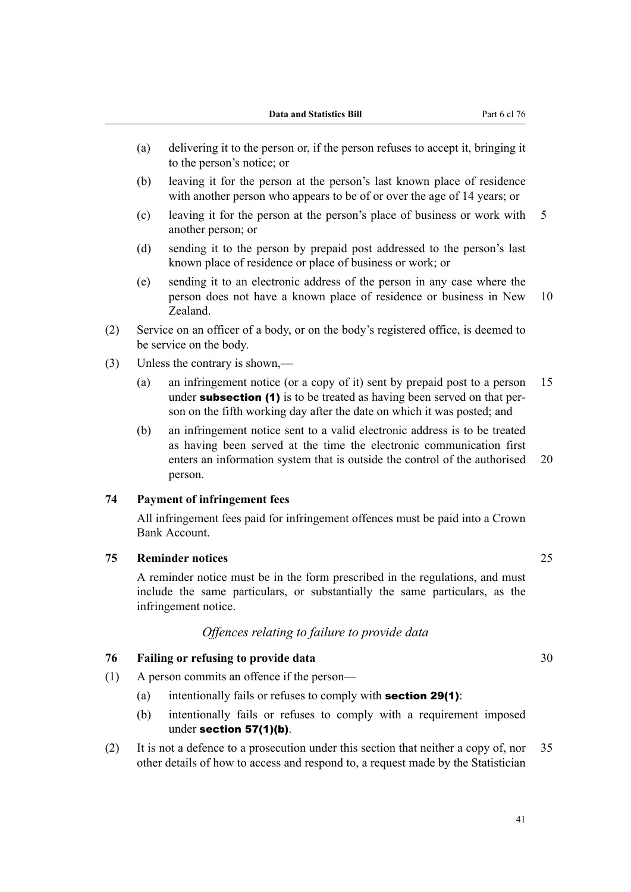- (a) delivering it to the person or, if the person refuses to accept it, bringing it to the person's notice; or
- (b) leaving it for the person at the person's last known place of residence with another person who appears to be of or over the age of 14 years; or
- (c) leaving it for the person at the person's place of business or work with 5 another person; or
- (d) sending it to the person by prepaid post addressed to the person's last known place of residence or place of business or work; or
- (e) sending it to an electronic address of the person in any case where the person does not have a known place of residence or business in New 10 Zealand.
- (2) Service on an officer of a body, or on the body's registered office, is deemed to be service on the body.
- (3) Unless the contrary is shown,—
	- (a) an infringement notice (or a copy of it) sent by prepaid post to a person 15 under **subsection (1)** is to be treated as having been served on that person on the fifth working day after the date on which it was posted; and
	- (b) an infringement notice sent to a valid electronic address is to be treated as having been served at the time the electronic communication first enters an information system that is outside the control of the authorised 20 person.

# **74 Payment of infringement fees**

All infringement fees paid for infringement offences must be paid into a Crown Bank Account.

### **75 Reminder notices** 25

A reminder notice must be in the form prescribed in the regulations, and must include the same particulars, or substantially the same particulars, as the infringement notice.

# *Offences relating to failure to provide data*

### **76 Failing or refusing to provide data** 30

- (1) A person commits an offence if the person—
	- (a) intentionally fails or refuses to comply with **section 29(1)**:
	- (b) intentionally fails or refuses to comply with a requirement imposed under section 57(1)(b).
- (2) It is not a defence to a prosecution under this section that neither a copy of, nor 35 other details of how to access and respond to, a request made by the Statistician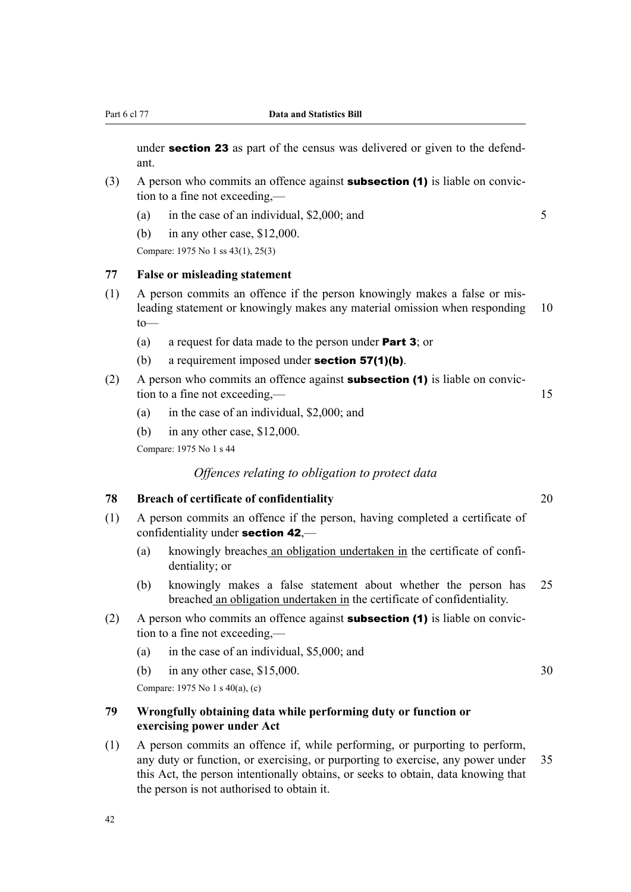under **section 23** as part of the census was delivered or given to the defendant.

- (3) A person who commits an offence against **subsection (1)** is liable on conviction to a fine not exceeding,—
	- (a) in the case of an individual,  $$2,000$ ; and  $$5$
	- (b) in any other case, \$12,000.

Compare: 1975 No 1 ss 43(1), 25(3)

### **77 False or misleading statement**

- (1) A person commits an offence if the person knowingly makes a false or mis‐ leading statement or knowingly makes any material omission when responding 10  $t_0$ —
	- (a) a request for data made to the person under Part 3; or
	- (b) a requirement imposed under **section 57(1)(b)**.
- (2) A person who commits an offence against **subsection (1)** is liable on conviction to a fine not exceeding,— 15
	- (a) in the case of an individual, \$2,000; and
	- (b) in any other case, \$12,000.

Compare: 1975 No 1 s 44

# *Offences relating to obligation to protect data*

#### **78 Breach of certificate of confidentiality** 20

- (1) A person commits an offence if the person, having completed a certificate of confidentiality under section 42,—
	- (a) knowingly breaches an obligation undertaken in the certificate of confi‐ dentiality; or
	- (b) knowingly makes a false statement about whether the person has 25 breached an obligation undertaken in the certificate of confidentiality.
- (2) A person who commits an offence against **subsection (1)** is liable on conviction to a fine not exceeding,—
	- (a) in the case of an individual, \$5,000; and
	- (b) in any other case, \$15,000. 30

Compare: 1975 No 1 s 40(a), (c)

# **79 Wrongfully obtaining data while performing duty or function or exercising power under Act**

(1) A person commits an offence if, while performing, or purporting to perform, any duty or function, or exercising, or purporting to exercise, any power under 35 this Act, the person intentionally obtains, or seeks to obtain, data knowing that the person is not authorised to obtain it.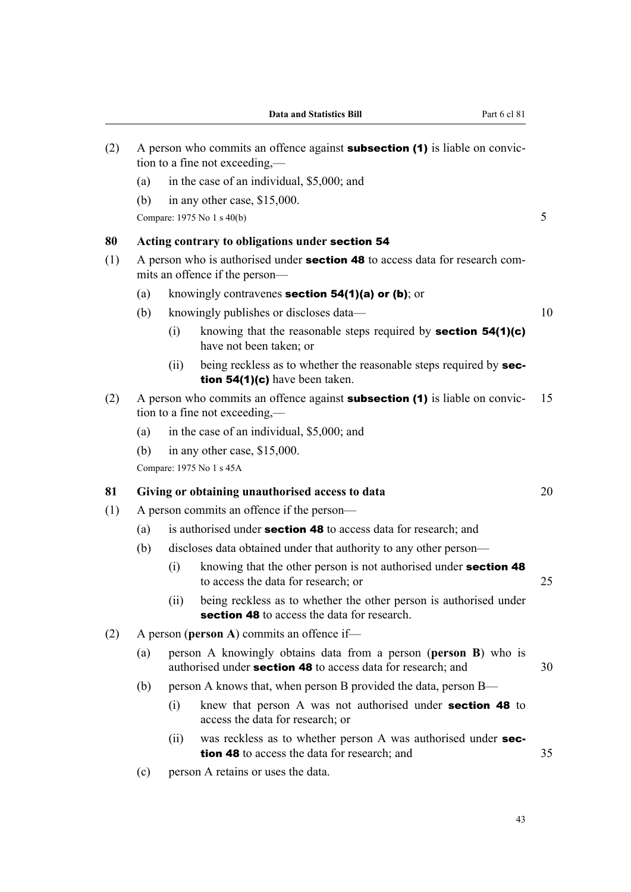| (2) | A person who commits an offence against <b>subsection (1)</b> is liable on convic-<br>tion to a fine not exceeding,—  |                                                                                         |                                                                                                                  |    |  |  |
|-----|-----------------------------------------------------------------------------------------------------------------------|-----------------------------------------------------------------------------------------|------------------------------------------------------------------------------------------------------------------|----|--|--|
|     | (a)                                                                                                                   |                                                                                         | in the case of an individual, \$5,000; and                                                                       |    |  |  |
|     | (b)                                                                                                                   |                                                                                         | in any other case, \$15,000.                                                                                     |    |  |  |
|     | Compare: 1975 No 1 s 40(b)                                                                                            |                                                                                         |                                                                                                                  |    |  |  |
| 80  | Acting contrary to obligations under section 54                                                                       |                                                                                         |                                                                                                                  |    |  |  |
| (1) | A person who is authorised under <b>section 48</b> to access data for research com-<br>mits an offence if the person- |                                                                                         |                                                                                                                  |    |  |  |
|     | (a)                                                                                                                   | knowingly contravenes section 54(1)(a) or (b); or                                       |                                                                                                                  |    |  |  |
|     | (b)                                                                                                                   | knowingly publishes or discloses data-                                                  |                                                                                                                  |    |  |  |
|     |                                                                                                                       | (i)                                                                                     | knowing that the reasonable steps required by section $54(1)(c)$<br>have not been taken; or                      |    |  |  |
|     |                                                                                                                       | (ii)                                                                                    | being reckless as to whether the reasonable steps required by sec-<br>tion $54(1)(c)$ have been taken.           |    |  |  |
| (2) | A person who commits an offence against <b>subsection (1)</b> is liable on convic-<br>tion to a fine not exceeding,—  |                                                                                         |                                                                                                                  |    |  |  |
|     | (a)                                                                                                                   | in the case of an individual, \$5,000; and                                              |                                                                                                                  |    |  |  |
|     | (b)                                                                                                                   | in any other case, \$15,000.                                                            |                                                                                                                  |    |  |  |
|     |                                                                                                                       | Compare: 1975 No 1 s 45A                                                                |                                                                                                                  |    |  |  |
| 81  |                                                                                                                       | Giving or obtaining unauthorised access to data<br>20                                   |                                                                                                                  |    |  |  |
| (1) | A person commits an offence if the person—                                                                            |                                                                                         |                                                                                                                  |    |  |  |
|     | (a)                                                                                                                   | is authorised under <b>section 48</b> to access data for research; and                  |                                                                                                                  |    |  |  |
|     | (b)                                                                                                                   | discloses data obtained under that authority to any other person-                       |                                                                                                                  |    |  |  |
|     |                                                                                                                       | (i)                                                                                     | knowing that the other person is not authorised under section 48<br>to access the data for research; or          | 25 |  |  |
|     |                                                                                                                       | (ii)                                                                                    | being reckless as to whether the other person is authorised under<br>section 48 to access the data for research. |    |  |  |
| (2) | A person (person A) commits an offence if-                                                                            |                                                                                         |                                                                                                                  |    |  |  |
|     |                                                                                                                       | (a) nerson $\Lambda$ knowingly obtains data from a nerson (nerson $\mathbf{R}$ ) who is |                                                                                                                  |    |  |  |

- (a) person A knowingly obtains data from a person (**person B**) who is authorised under **section 48** to access data for research; and 30
- (b) person A knows that, when person B provided the data, person B—
	- (i) knew that person A was not authorised under section 48 to access the data for research; or
	- (ii) was reckless as to whether person A was authorised under section 48 to access the data for research; and 35
- (c) person A retains or uses the data.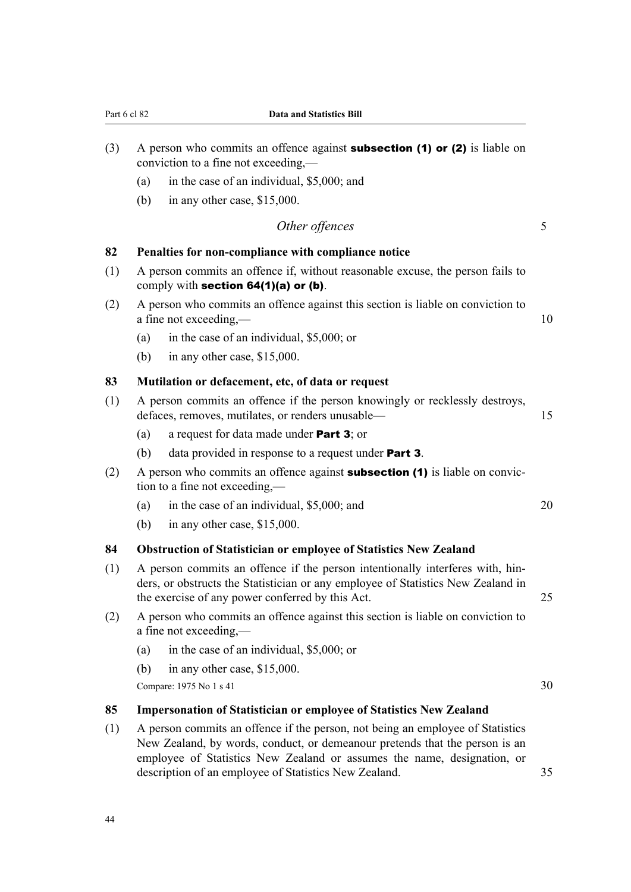| (3) | A person who commits an offence against <b>subsection (1) or (2)</b> is liable on<br>conviction to a fine not exceeding,—                                                                                                   |                                                              |    |  |  |
|-----|-----------------------------------------------------------------------------------------------------------------------------------------------------------------------------------------------------------------------------|--------------------------------------------------------------|----|--|--|
|     | (a)                                                                                                                                                                                                                         | in the case of an individual, \$5,000; and                   |    |  |  |
|     | (b)                                                                                                                                                                                                                         | in any other case, \$15,000.                                 |    |  |  |
|     |                                                                                                                                                                                                                             | Other offences                                               | 5  |  |  |
| 82  | Penalties for non-compliance with compliance notice                                                                                                                                                                         |                                                              |    |  |  |
| (1) | A person commits an offence if, without reasonable excuse, the person fails to<br>comply with section 64(1)(a) or (b).                                                                                                      |                                                              |    |  |  |
| (2) | A person who commits an offence against this section is liable on conviction to<br>a fine not exceeding,—                                                                                                                   |                                                              |    |  |  |
|     | (a)                                                                                                                                                                                                                         | in the case of an individual, \$5,000; or                    |    |  |  |
|     | (b)                                                                                                                                                                                                                         | in any other case, \$15,000.                                 |    |  |  |
| 83  |                                                                                                                                                                                                                             | Mutilation or defacement, etc, of data or request            |    |  |  |
| (1) | A person commits an offence if the person knowingly or recklessly destroys,<br>defaces, removes, mutilates, or renders unusable-                                                                                            |                                                              |    |  |  |
|     | (a)                                                                                                                                                                                                                         | a request for data made under <b>Part 3</b> ; or             |    |  |  |
|     | (b)                                                                                                                                                                                                                         | data provided in response to a request under <b>Part 3</b> . |    |  |  |
| (2) | A person who commits an offence against <b>subsection (1)</b> is liable on convic-<br>tion to a fine not exceeding,—                                                                                                        |                                                              |    |  |  |
|     | (a)                                                                                                                                                                                                                         | in the case of an individual, \$5,000; and                   | 20 |  |  |
|     | (b)                                                                                                                                                                                                                         | in any other case, \$15,000.                                 |    |  |  |
| 84  | Obstruction of Statistician or employee of Statistics New Zealand                                                                                                                                                           |                                                              |    |  |  |
| (1) | A person commits an offence if the person intentionally interferes with, hin-<br>ders, or obstructs the Statistician or any employee of Statistics New Zealand in<br>the exercise of any power conferred by this Act.<br>25 |                                                              |    |  |  |
| (2) | A person who commits an offence against this section is liable on conviction to<br>a fine not exceeding,-                                                                                                                   |                                                              |    |  |  |
|     | (a)                                                                                                                                                                                                                         | in the case of an individual, \$5,000; or                    |    |  |  |
|     | (b)                                                                                                                                                                                                                         | in any other case, \$15,000.                                 |    |  |  |
|     | Compare: 1975 No 1 s 41                                                                                                                                                                                                     |                                                              |    |  |  |

Part 6 cl 82 **Data and Statistics Bill**

# **85 Impersonation of Statistician or employee of Statistics New Zealand**

(1) A person commits an offence if the person, not being an employee of Statistics New Zealand, by words, conduct, or demeanour pretends that the person is an employee of Statistics New Zealand or assumes the name, designation, or description of an employee of Statistics New Zealand. 35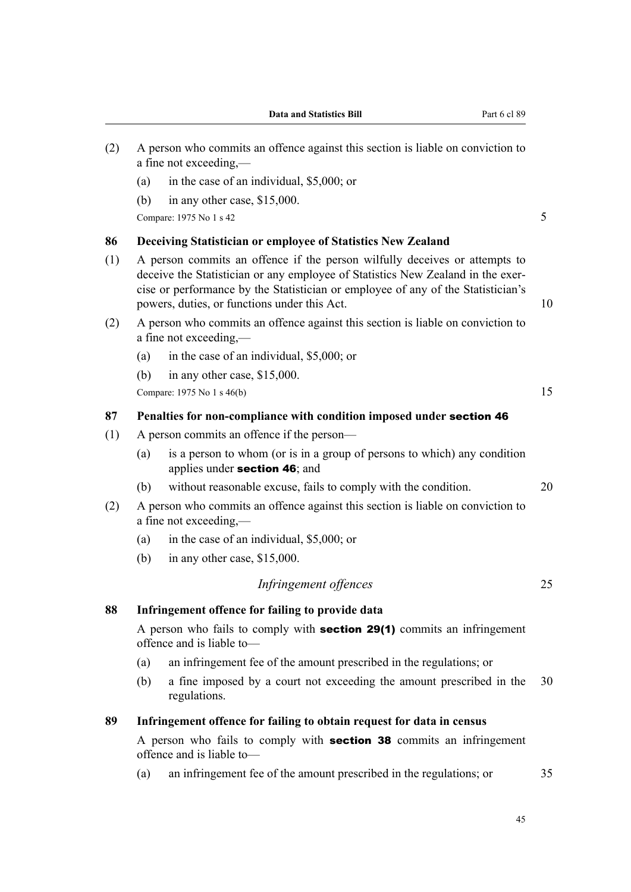- (2) A person who commits an offence against this section is liable on conviction to a fine not exceeding,— (a) in the case of an individual, \$5,000; or (b) in any other case, \$15,000.  $Compare: 1975 No 1 s 42$  5 **86 Deceiving Statistician or employee of Statistics New Zealand** (1) A person commits an offence if the person wilfully deceives or attempts to deceive the Statistician or any employee of Statistics New Zealand in the exercise or performance by the Statistician or employee of any of the Statistician's powers, duties, or functions under this Act. 10 (2) A person who commits an offence against this section is liable on conviction to a fine not exceeding,— (a) in the case of an individual, \$5,000; or (b) in any other case, \$15,000. Compare:  $1975 \text{ No } 1 \text{ s } 46(b)$  15 **87 Penalties for non-compliance with condition imposed under** section 46 (1) A person commits an offence if the person— (a) is a person to whom (or is in a group of persons to which) any condition applies under section 46; and (b) without reasonable excuse, fails to comply with the condition. 20 (2) A person who commits an offence against this section is liable on conviction to a fine not exceeding,— (a) in the case of an individual, \$5,000; or (b) in any other case, \$15,000. *Infringement offences* 25 **88 Infringement offence for failing to provide data** A person who fails to comply with section 29(1) commits an infringement offence and is liable to— (a) an infringement fee of the amount prescribed in the regulations; or (b) a fine imposed by a court not exceeding the amount prescribed in the 30 regulations. **89 Infringement offence for failing to obtain request for data in census** A person who fails to comply with **section 38** commits an infringement
	- (a) an infringement fee of the amount prescribed in the regulations; or 35

offence and is liable to—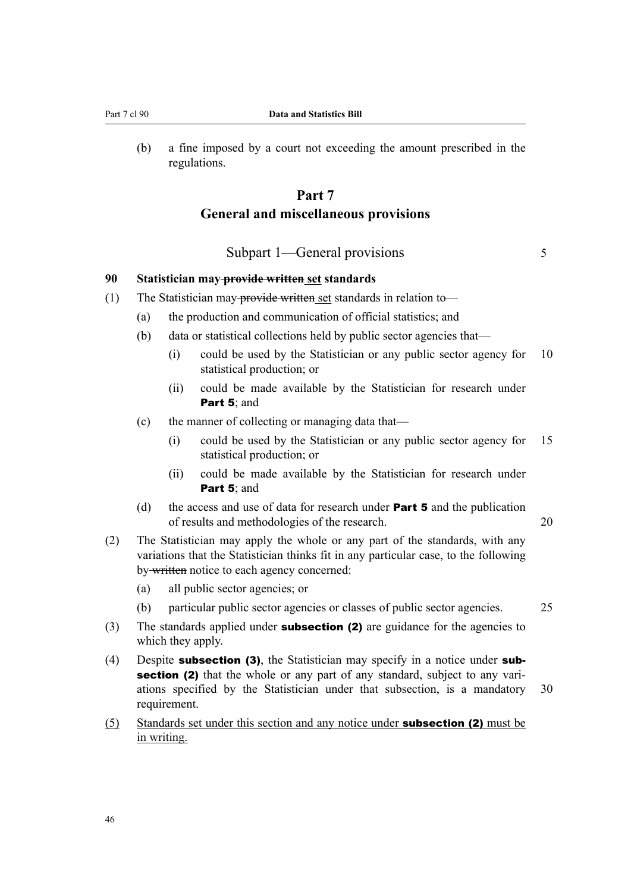(b) a fine imposed by a court not exceeding the amount prescribed in the regulations.

# **Part 7 General and miscellaneous provisions**

Subpart 1—General provisions 5

# **90 Statistician may provide written set standards**

- (1) The Statistician may-provide written set standards in relation to—
	- (a) the production and communication of official statistics; and
	- (b) data or statistical collections held by public sector agencies that—
		- (i) could be used by the Statistician or any public sector agency for 10 statistical production; or
		- (ii) could be made available by the Statistician for research under Part 5: and
	- (c) the manner of collecting or managing data that—
		- (i) could be used by the Statistician or any public sector agency for 15 statistical production; or
		- (ii) could be made available by the Statistician for research under Part 5; and
	- (d) the access and use of data for research under **Part 5** and the publication of results and methodologies of the research. 20
- (2) The Statistician may apply the whole or any part of the standards, with any variations that the Statistician thinks fit in any particular case, to the following by written notice to each agency concerned:
	- (a) all public sector agencies; or
	- (b) particular public sector agencies or classes of public sector agencies. 25
- (3) The standards applied under **subsection (2)** are guidance for the agencies to which they apply.
- (4) Despite **subsection (3)**, the Statistician may specify in a notice under **sub**section (2) that the whole or any part of any standard, subject to any variations specified by the Statistician under that subsection, is a mandatory 30 requirement.
- (5) Standards set under this section and any notice under **subsection (2)** must be in writing.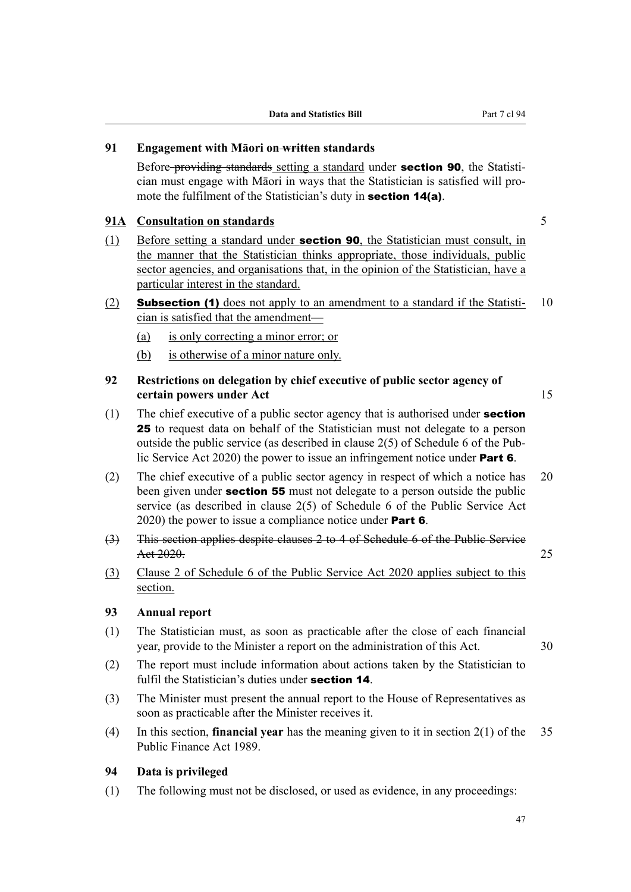# **91 Engagement with Māori on written standards**

Before-providing standards setting a standard under **section 90**, the Statistician must engage with Māori in ways that the Statistician is satisfied will pro‐ mote the fulfilment of the Statistician's duty in **section 14(a)**.

## **91A Consultation on standards** 5

- (1) Before setting a standard under **section 90**, the Statistician must consult, in the manner that the Statistician thinks appropriate, those individuals, public sector agencies, and organisations that, in the opinion of the Statistician, have a particular interest in the standard.
- (2) **Subsection (1)** does not apply to an amendment to a standard if the Statisti-  $10$ cian is satisfied that the amendment—
	- (a) is only correcting a minor error; or
	- (b) is otherwise of a minor nature only.
- **92 Restrictions on delegation by chief executive of public sector agency of certain powers under Act** 15
- (1) The chief executive of a public sector agency that is authorised under **section** 25 to request data on behalf of the Statistician must not delegate to a person outside the public service (as described in clause 2(5) of Schedule 6 of the Pub‐ lic Service Act 2020) the power to issue an infringement notice under **Part 6**.
- (2) The chief executive of a public sector agency in respect of which a notice has 20 been given under **section 55** must not delegate to a person outside the public service (as described in clause 2(5) of Schedule 6 of the Public Service Act 2020) the power to issue a compliance notice under **Part 6**.
- (3) This section applies despite clauses 2 to 4 of Schedule 6 of the Public Service Act 2020. 25
- (3) Clause 2 of Schedule 6 of the Public Service Act 2020 applies subject to this section.

# **93 Annual report**

- (1) The Statistician must, as soon as practicable after the close of each financial year, provide to the Minister a report on the administration of this Act. 30
- (2) The report must include information about actions taken by the Statistician to fulfil the Statistician's duties under section 14.
- (3) The Minister must present the annual report to the House of Representatives as soon as practicable after the Minister receives it.
- (4) In this section, **financial year** has the meaning given to it in section 2(1) of the 35 Public Finance Act 1989.

# **94 Data is privileged**

(1) The following must not be disclosed, or used as evidence, in any proceedings: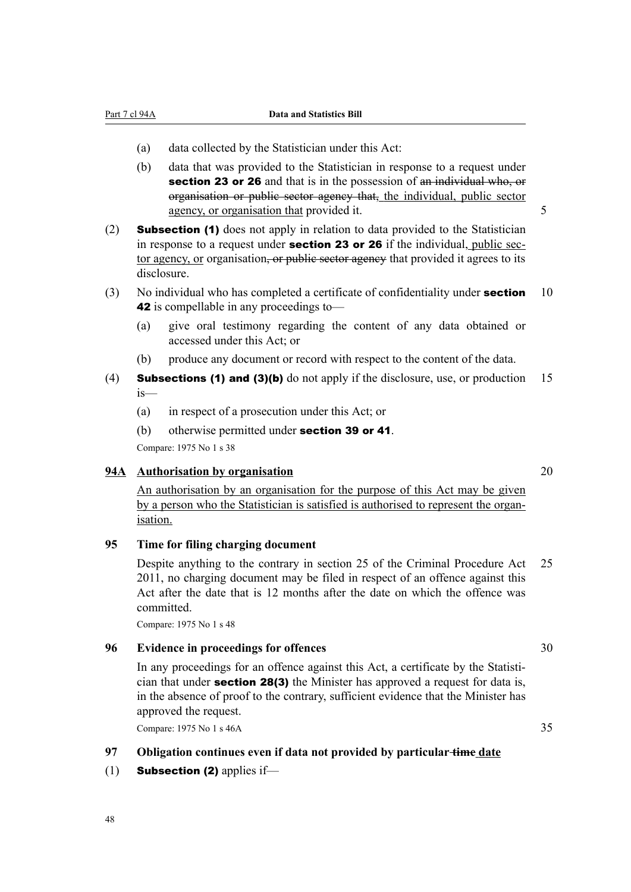Part 7 cl 94A **Data and Statistics Bill**

- (a) data collected by the Statistician under this Act:
- (b) data that was provided to the Statistician in response to a request under section 23 or 26 and that is in the possession of an individual who, or organisation or public sector agency that, the individual, public sector agency, or organisation that provided it. 5
- (2) Subsection (1) does not apply in relation to data provided to the Statistician in response to a request under **section 23 or 26** if the individual, public sector agency, or organisation, or public sector agency that provided it agrees to its disclosure.
- (3) No individual who has completed a certificate of confidentiality under **section**  $10$ 42 is compellable in any proceedings to—
	- (a) give oral testimony regarding the content of any data obtained or accessed under this Act; or
	- (b) produce any document or record with respect to the content of the data.
- (4) **Subsections (1) and (3)(b)** do not apply if the disclosure, use, or production  $15$ is—
	- (a) in respect of a prosecution under this Act; or
	- (b) otherwise permitted under **section 39 or 41**.

Compare: 1975 No 1 s 38

# **94A Authorisation by organisation** 20

An authorisation by an organisation for the purpose of this Act may be given by a person who the Statistician is satisfied is authorised to represent the organisation.

# **95 Time for filing charging document**

Despite anything to the contrary in section 25 of the Criminal Procedure Act 25 2011, no charging document may be filed in respect of an offence against this Act after the date that is 12 months after the date on which the offence was committed.

Compare: 1975 No 1 s 48

### **96 Evidence in proceedings for offences** 30

In any proceedings for an offence against this Act, a certificate by the Statistician that under section 28(3) the Minister has approved a request for data is, in the absence of proof to the contrary, sufficient evidence that the Minister has approved the request.

Compare: 1975 No 1 s 46A 35

### **97 Obligation continues even if data not provided by particular time date**

(1) **Subsection (2)** applies if—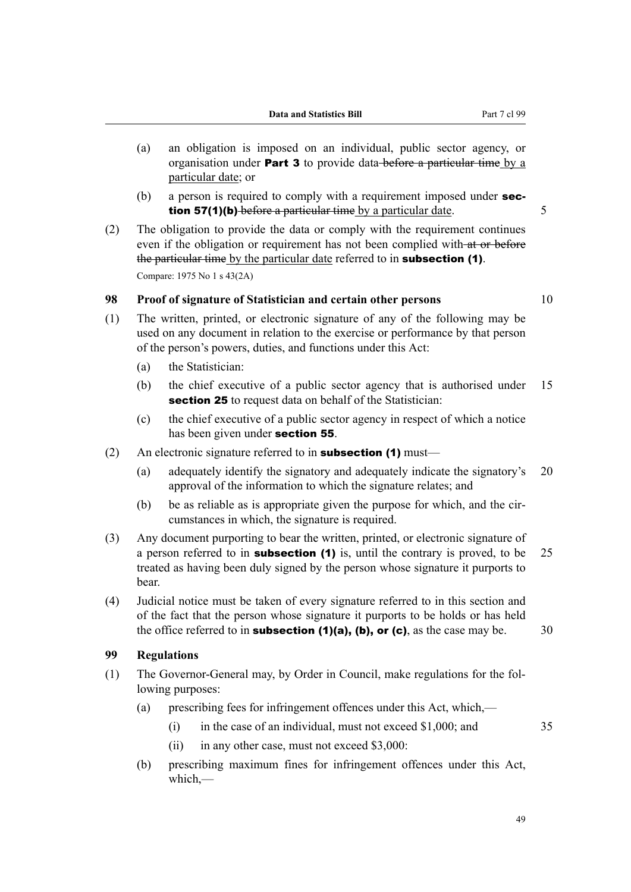- (a) an obligation is imposed on an individual, public sector agency, or organisation under Part 3 to provide data-before a particular time by a particular date; or
- (b) a person is required to comply with a requirement imposed under **section 57(1)(b)** before a particular time by a particular date. 5
- (2) The obligation to provide the data or comply with the requirement continues even if the obligation or requirement has not been complied with at or before the particular time by the particular date referred to in **subsection (1)**. Compare: 1975 No 1 s 43(2A)

# **98 Proof of signature of Statistician and certain other persons** 10

- (1) The written, printed, or electronic signature of any of the following may be used on any document in relation to the exercise or performance by that person of the person's powers, duties, and functions under this Act:
	- (a) the Statistician:
	- (b) the chief executive of a public sector agency that is authorised under 15 section 25 to request data on behalf of the Statistician:
	- (c) the chief executive of a public sector agency in respect of which a notice has been given under **section 55**.
- (2) An electronic signature referred to in **subsection (1)** must—
	- (a) adequately identify the signatory and adequately indicate the signatory's 20 approval of the information to which the signature relates; and
	- $(b)$  be as reliable as is appropriate given the purpose for which, and the circumstances in which, the signature is required.
- (3) Any document purporting to bear the written, printed, or electronic signature of a person referred to in **subsection (1)** is, until the contrary is proved, to be  $25$ treated as having been duly signed by the person whose signature it purports to bear.
- (4) Judicial notice must be taken of every signature referred to in this section and of the fact that the person whose signature it purports to be holds or has held the office referred to in **subsection (1)(a), (b), or (c)**, as the case may be.  $\qquad$  30

# **99 Regulations**

- (1) The Governor-General may, by Order in Council, make regulations for the fol‐ lowing purposes:
	- (a) prescribing fees for infringement offences under this Act, which,—
		- (i) in the case of an individual, must not exceed \$1,000; and 35
		- (ii) in any other case, must not exceed \$3,000:
	- (b) prescribing maximum fines for infringement offences under this Act, which,—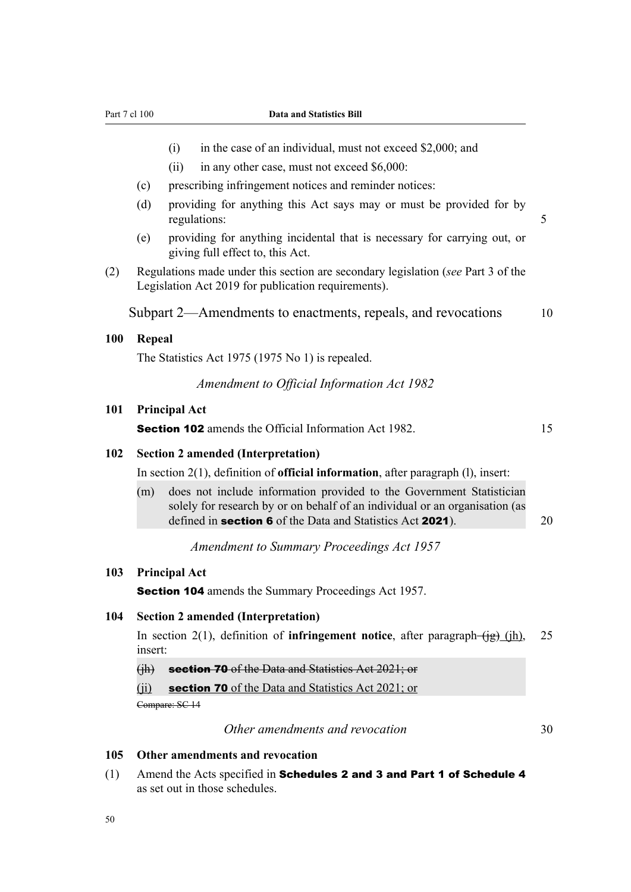#### Part 7 cl 100 **Data and Statistics Bill**

- (i) in the case of an individual, must not exceed \$2,000; and
- (ii) in any other case, must not exceed \$6,000:
- (c) prescribing infringement notices and reminder notices:
- (d) providing for anything this Act says may or must be provided for by regulations: 5
- (e) providing for anything incidental that is necessary for carrying out, or giving full effect to, this Act.
- (2) Regulations made under this section are secondary legislation (*see* Part 3 of the Legislation Act 2019 for publication requirements).

Subpart 2—Amendments to enactments, repeals, and revocations 10

#### **100 Repeal**

The Statistics Act 1975 (1975 No 1) is repealed.

#### *Amendment to Official Information Act 1982*

#### **101 Principal Act**

**Section 102** amends the Official Information Act 1982. 15

# **102 Section 2 amended (Interpretation)**

In section 2(1), definition of **official information**, after paragraph (l), insert:

(m) does not include information provided to the Government Statistician solely for research by or on behalf of an individual or an organisation (as defined in **section 6** of the Data and Statistics Act **2021**). 20

*Amendment to Summary Proceedings Act 1957*

### **103 Principal Act**

**Section 104** amends the Summary Proceedings Act 1957.

### **104 Section 2 amended (Interpretation)**

In section 2(1), definition of **infringement notice**, after paragraph- $\overline{(i}g)$  (jh), 25 insert:

(jh) section 70 of the Data and Statistics Act 2021; or

 $(i)$  section 70 of the Data and Statistics Act 2021; or

Compare: SC 14

*Other amendments and revocation* 30

#### **105 Other amendments and revocation**

 $(1)$  Amend the Acts specified in Schedules 2 and 3 and Part 1 of Schedule 4 as set out in those schedules.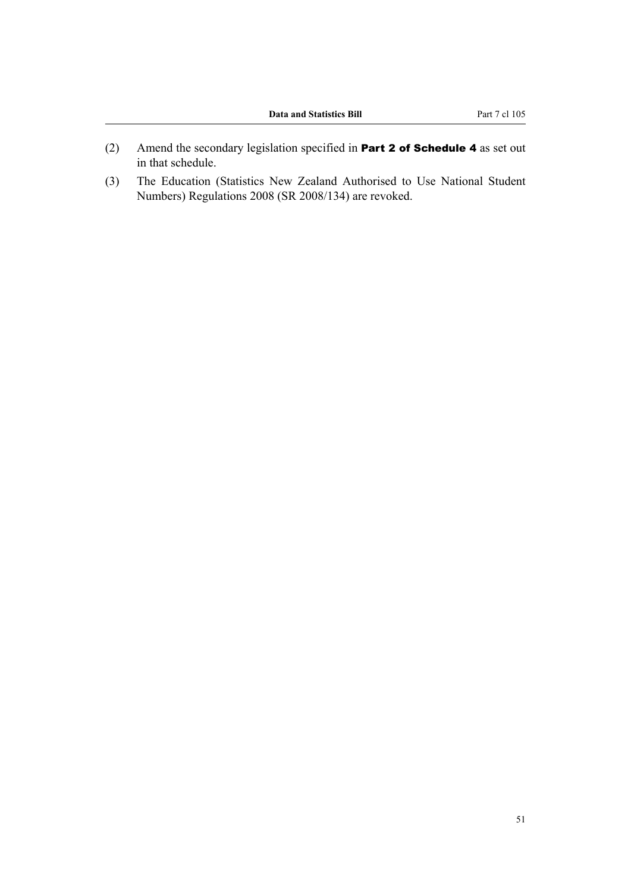- (2) Amend the secondary legislation specified in Part 2 of Schedule 4 as set out in that schedule.
- (3) The Education (Statistics New Zealand Authorised to Use National Student Numbers) Regulations 2008 (SR 2008/134) are revoked.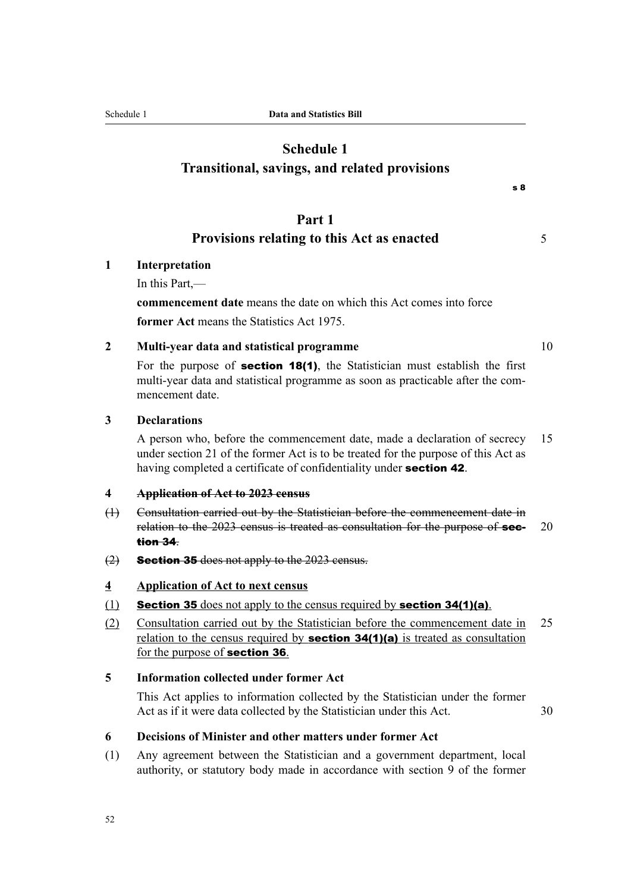# **Schedule 1 Transitional, savings, and related provisions**

# **Part 1**

# **Provisions relating to this Act as enacted** 5

# **1 Interpretation**

In this Part,—

**commencement date** means the date on which this Act comes into force **former Act** means the Statistics Act 1975.

## **2 Multi-year data and statistical programme** 10

For the purpose of section 18(1), the Statistician must establish the first multi-year data and statistical programme as soon as practicable after the commencement date.

#### **3 Declarations**

A person who, before the commencement date, made a declaration of secrecy 15 under section 21 of the former Act is to be treated for the purpose of this Act as having completed a certificate of confidentiality under **section 42**.

#### **4 Application of Act to 2023 census**

- (1) Consultation carried out by the Statistician before the commencement date in relation to the  $2023$  census is treated as consultation for the purpose of **sec-** 20 tion 34.
- $(2)$  Section 35 does not apply to the 2023 census.

#### **4 Application of Act to next census**

- (1) Section 35 does not apply to the census required by section  $34(1)(a)$ .
- (2) Consultation carried out by the Statistician before the commencement date in 25 relation to the census required by **section 34(1)(a)** is treated as consultation for the purpose of section 36.

# **5 Information collected under former Act**

This Act applies to information collected by the Statistician under the former Act as if it were data collected by the Statistician under this Act. 30

#### **6 Decisions of Minister and other matters under former Act**

(1) Any agreement between the Statistician and a government department, local authority, or statutory body made in accordance with section 9 of the former

s 8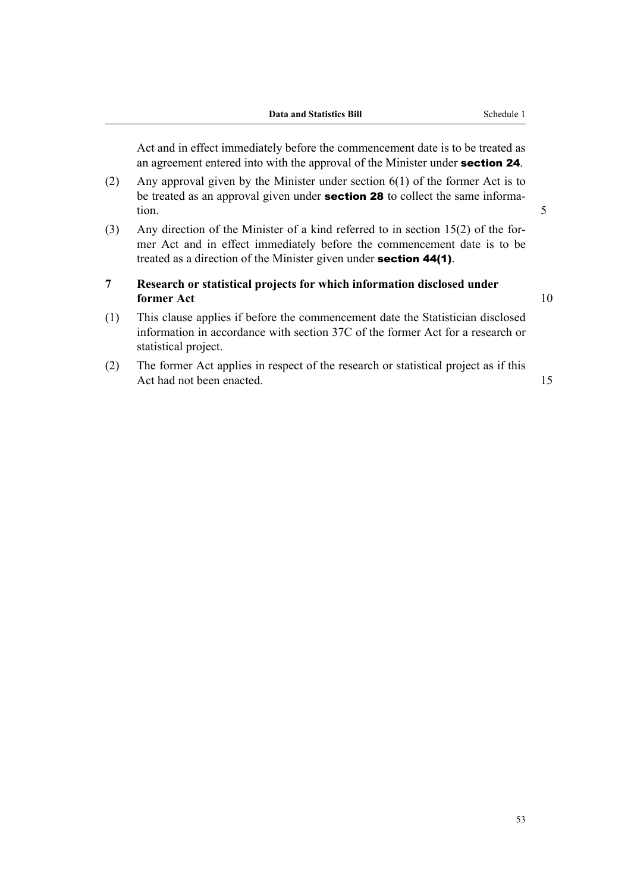Act and in effect immediately before the commencement date is to be treated as an agreement entered into with the approval of the Minister under section 24.

- (2) Any approval given by the Minister under section 6(1) of the former Act is to be treated as an approval given under **section 28** to collect the same information. 5
- (3) Any direction of the Minister of a kind referred to in section 15(2) of the for‐ mer Act and in effect immediately before the commencement date is to be treated as a direction of the Minister given under **section 44(1)**.
- **7 Research or statistical projects for which information disclosed under former Act** 10

- (1) This clause applies if before the commencement date the Statistician disclosed information in accordance with section 37C of the former Act for a research or statistical project.
- (2) The former Act applies in respect of the research or statistical project as if this Act had not been enacted. 15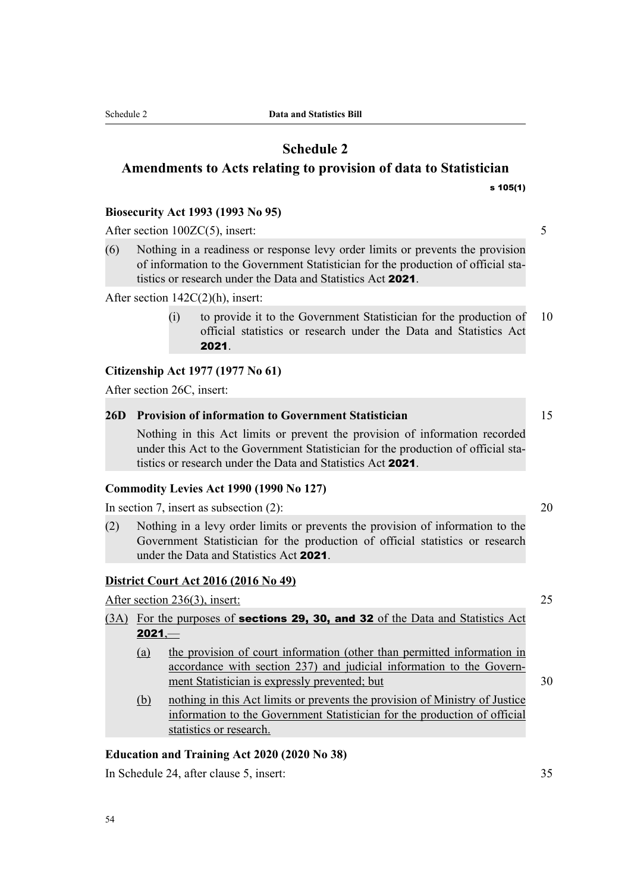Schedule 2 **Data and Statistics Bill**

# **Schedule 2 Amendments to Acts relating to provision of data to Statistician** s 105(1)

# **Biosecurity Act 1993 (1993 No 95)**

After section 100ZC(5), insert: 5

(6) Nothing in a readiness or response levy order limits or prevents the provision of information to the Government Statistician for the production of official statistics or research under the Data and Statistics Act 2021.

After section 142C(2)(h), insert:

(i) to provide it to the Government Statistician for the production of 10 official statistics or research under the Data and Statistics Act 2021.

# **Citizenship Act 1977 (1977 No 61)**

After section 26C, insert:

# **26D Provision of information to Government Statistician** 15

Nothing in this Act limits or prevent the provision of information recorded under this Act to the Government Statistician for the production of official statistics or research under the Data and Statistics Act 2021.

## **Commodity Levies Act 1990 (1990 No 127)**

In section 7, insert as subsection (2): 20

(2) Nothing in a levy order limits or prevents the provision of information to the Government Statistician for the production of official statistics or research under the Data and Statistics Act 2021.

## **District Court Act 2016 (2016 No 49)**

After section 236(3), insert: 25

# (3A) For the purposes of **sections 29, 30, and 32** of the Data and Statistics Act  $2021 -$

- (a) the provision of court information (other than permitted information in accordance with section 237) and judicial information to the Govern‐ ment Statistician is expressly prevented; but 30
- (b) nothing in this Act limits or prevents the provision of Ministry of Justice information to the Government Statistician for the production of official statistics or research.

## **Education and Training Act 2020 (2020 No 38)**

In Schedule 24, after clause 5, insert: 35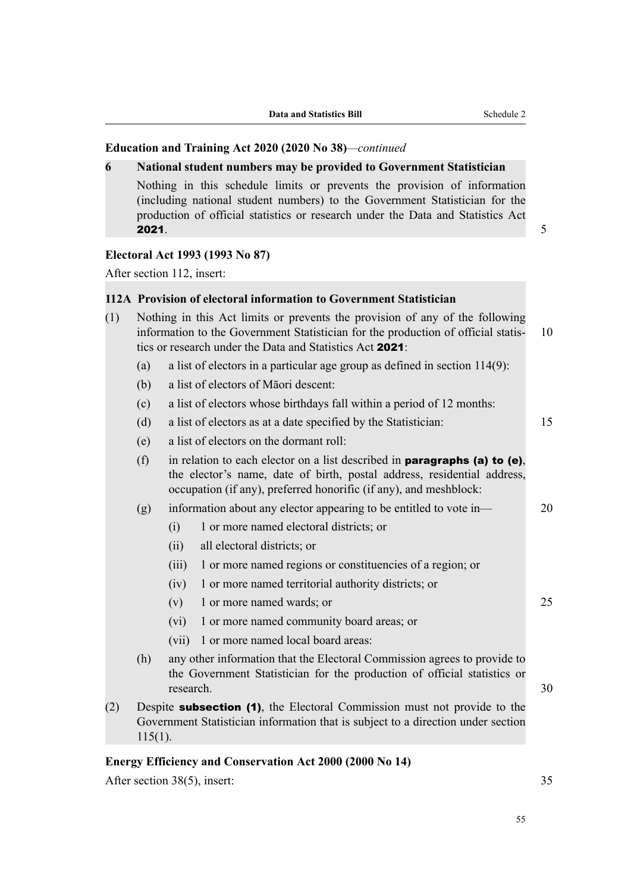### **Education and Training Act 2020 (2020 No 38)***—continued*

#### **6 National student numbers may be provided to Government Statistician**

Nothing in this schedule limits or prevents the provision of information (including national student numbers) to the Government Statistician for the production of official statistics or research under the Data and Statistics Act **2021.**  $\frac{1}{2}$  **2021.**  $\frac{1}{2}$  **3021.**  $\frac{1}{2}$  **5021.**  $\frac{1}{2}$  **5021.**  $\frac{1}{2}$  **5021.**  $\frac{1}{2}$  **5021.**  $\frac{1}{2}$  **5021.**  $\frac{1}{2}$  **5021.**  $\frac{1}{2}$  **5021.**  $\frac{1}{2}$  **5021.**  $\frac{1}{2}$  **5021.**  $\frac{1}{2}$  **5021** 

# **Electoral Act 1993 (1993 No 87)**

After section 112, insert:

# **112A Provision of electoral information to Government Statistician**

- (1) Nothing in this Act limits or prevents the provision of any of the following information to the Government Statistician for the production of official statis- 10 tics or research under the Data and Statistics Act 2021: (a) a list of electors in a particular age group as defined in section 114(9):
	- (b) a list of electors of Māori descent:
	- (c) a list of electors whose birthdays fall within a period of 12 months:
	- (d) a list of electors as at a date specified by the Statistician: 15
	- (e) a list of electors on the dormant roll:
	- (f) in relation to each elector on a list described in **paragraphs (a) to (e)**, the elector's name, date of birth, postal address, residential address, occupation (if any), preferred honorific (if any), and meshblock:

(g) information about any elector appearing to be entitled to vote in— 20

- (i) 1 or more named electoral districts; or
- (ii) all electoral districts; or
- (iii) 1 or more named regions or constituencies of a region; or
- (iv) 1 or more named territorial authority districts; or
- (v) 1 or more named wards; or 25
- (vi) 1 or more named community board areas; or
- (vii) 1 or more named local board areas:
- (h) any other information that the Electoral Commission agrees to provide to the Government Statistician for the production of official statistics or research. 30
- (2) Despite subsection (1), the Electoral Commission must not provide to the Government Statistician information that is subject to a direction under section  $115(1)$ .

### **Energy Efficiency and Conservation Act 2000 (2000 No 14)**

After section 38(5), insert: 35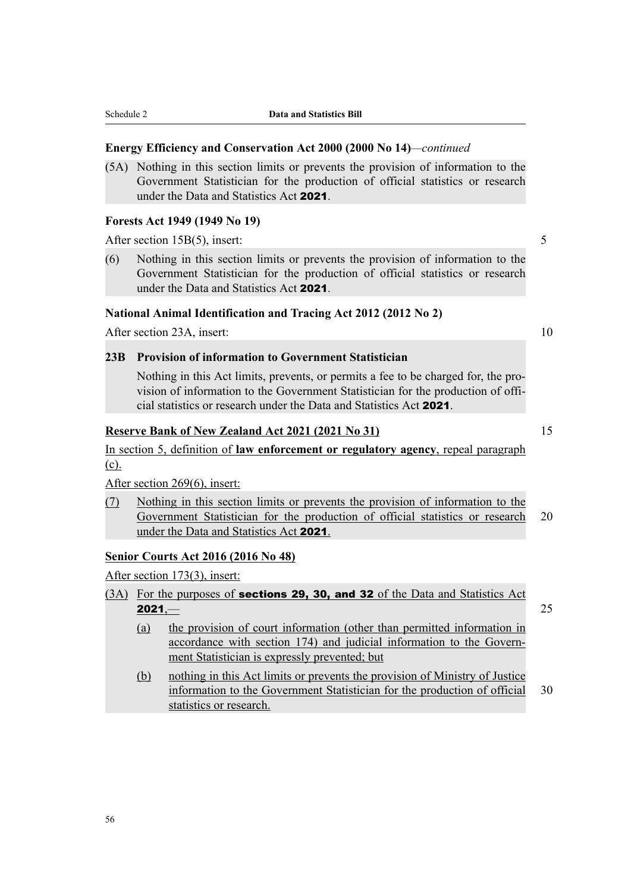### **Energy Efficiency and Conservation Act 2000 (2000 No 14)***—continued*

(5A) Nothing in this section limits or prevents the provision of information to the Government Statistician for the production of official statistics or research under the Data and Statistics Act 2021.

#### **Forests Act 1949 (1949 No 19)**

After section 15B(5), insert: 5

(6) Nothing in this section limits or prevents the provision of information to the Government Statistician for the production of official statistics or research under the Data and Statistics Act 2021.

### **National Animal Identification and Tracing Act 2012 (2012 No 2)**

After section 23A, insert: 10

#### **23B Provision of information to Government Statistician**

Nothing in this Act limits, prevents, or permits a fee to be charged for, the pro‐ vision of information to the Government Statistician for the production of official statistics or research under the Data and Statistics Act 2021.

# **Reserve Bank of New Zealand Act 2021 (2021 No 31)** 15

In section 5, definition of **law enforcement or regulatory agency**, repeal paragraph (c).

After section 269(6), insert:

(7) Nothing in this section limits or prevents the provision of information to the Government Statistician for the production of official statistics or research 20 under the Data and Statistics Act 2021.

# **Senior Courts Act 2016 (2016 No 48)**

After section 173(3), insert:

- (3A) For the purposes of sections 29, 30, and 32 of the Data and Statistics Act **2021,—** 2021, 25
	- (a) the provision of court information (other than permitted information in accordance with section 174) and judicial information to the Government Statistician is expressly prevented; but
	- (b) nothing in this Act limits or prevents the provision of Ministry of Justice information to the Government Statistician for the production of official 30 statistics or research.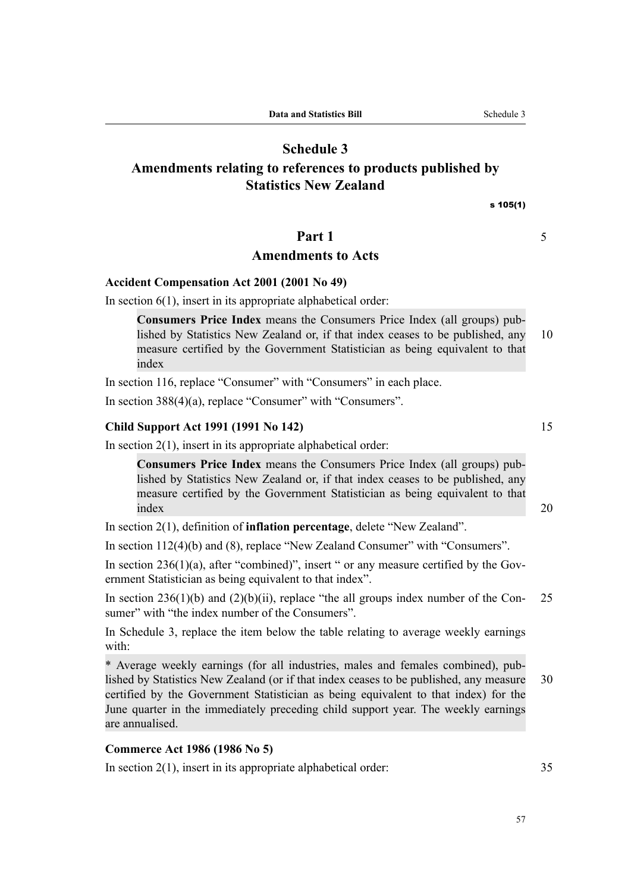# **Schedule 3**

# **Amendments relating to references to products published by Statistics New Zealand**

s 105(1)

# **Part 1** 5

# **Amendments to Acts**

#### **Accident Compensation Act 2001 (2001 No 49)**

In section  $6(1)$ , insert in its appropriate alphabetical order:

**Consumers Price Index** means the Consumers Price Index (all groups) pub‐ lished by Statistics New Zealand or, if that index ceases to be published, any 10 measure certified by the Government Statistician as being equivalent to that index

In section 116, replace "Consumer" with "Consumers" in each place.

In section 388(4)(a), replace "Consumer" with "Consumers".

### **Child Support Act 1991 (1991 No 142)** 15

In section  $2(1)$ , insert in its appropriate alphabetical order:

**Consumers Price Index** means the Consumers Price Index (all groups) pub‐ lished by Statistics New Zealand or, if that index ceases to be published, any measure certified by the Government Statistician as being equivalent to that index 20

In section 2(1), definition of **inflation percentage**, delete "New Zealand".

In section 112(4)(b) and (8), replace "New Zealand Consumer" with "Consumers".

In section  $236(1)(a)$ , after "combined)", insert " or any measure certified by the Government Statistician as being equivalent to that index".

In section 236(1)(b) and (2)(b)(ii), replace "the all groups index number of the Con- 25 sumer" with "the index number of the Consumers".

In Schedule 3, replace the item below the table relating to average weekly earnings with:

\* Average weekly earnings (for all industries, males and females combined), pub‐ lished by Statistics New Zealand (or if that index ceases to be published, any measure 30 certified by the Government Statistician as being equivalent to that index) for the June quarter in the immediately preceding child support year. The weekly earnings are annualised.

# **Commerce Act 1986 (1986 No 5)**

In section 2(1), insert in its appropriate alphabetical order: 35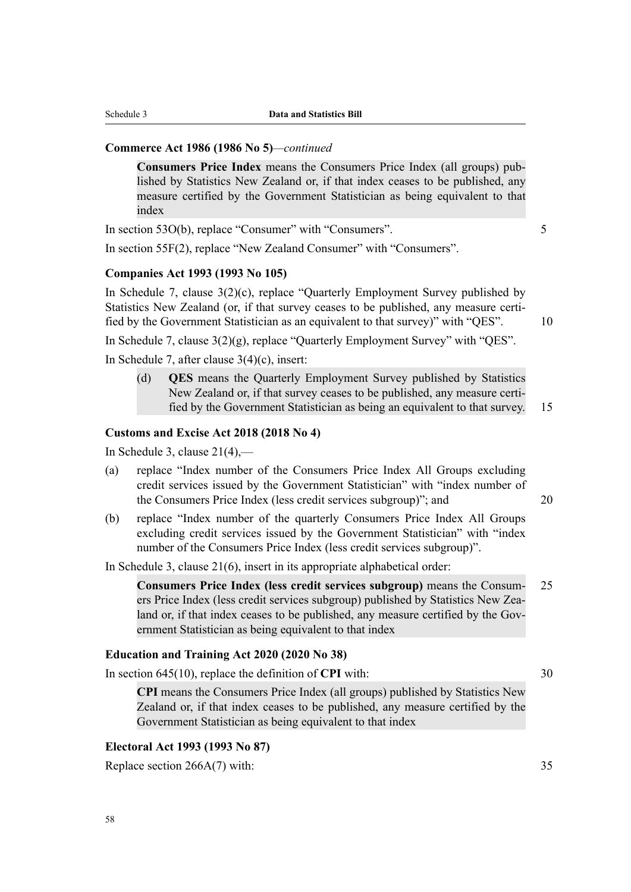### **Commerce Act 1986 (1986 No 5)***—continued*

**Consumers Price Index** means the Consumers Price Index (all groups) pub‐ lished by Statistics New Zealand or, if that index ceases to be published, any measure certified by the Government Statistician as being equivalent to that index

In section 53O(b), replace "Consumer" with "Consumers". 5

In section 55F(2), replace "New Zealand Consumer" with "Consumers".

### **Companies Act 1993 (1993 No 105)**

In Schedule 7, clause 3(2)(c), replace "Quarterly Employment Survey published by Statistics New Zealand (or, if that survey ceases to be published, any measure certified by the Government Statistician as an equivalent to that survey)" with "QES". 10

In Schedule 7, clause 3(2)(g), replace "Quarterly Employment Survey" with "QES".

In Schedule 7, after clause 3(4)(c), insert:

(d) **QES** means the Quarterly Employment Survey published by Statistics New Zealand or, if that survey ceases to be published, any measure certi‐ fied by the Government Statistician as being an equivalent to that survey. 15

#### **Customs and Excise Act 2018 (2018 No 4)**

In Schedule 3, clause  $21(4)$ ,—

- (a) replace "Index number of the Consumers Price Index All Groups excluding credit services issued by the Government Statistician" with "index number of the Consumers Price Index (less credit services subgroup)"; and 20
- (b) replace "Index number of the quarterly Consumers Price Index All Groups excluding credit services issued by the Government Statistician" with "index number of the Consumers Price Index (less credit services subgroup)".

In Schedule 3, clause 21(6), insert in its appropriate alphabetical order:

**Consumers Price Index (less credit services subgroup)** means the Consum‐ 25 ers Price Index (less credit services subgroup) published by Statistics New Zealand or, if that index ceases to be published, any measure certified by the Government Statistician as being equivalent to that index

### **Education and Training Act 2020 (2020 No 38)**

In section 645(10), replace the definition of **CPI** with: 30

**CPI** means the Consumers Price Index (all groups) published by Statistics New Zealand or, if that index ceases to be published, any measure certified by the Government Statistician as being equivalent to that index

# **Electoral Act 1993 (1993 No 87)**

Replace section 266A(7) with: 35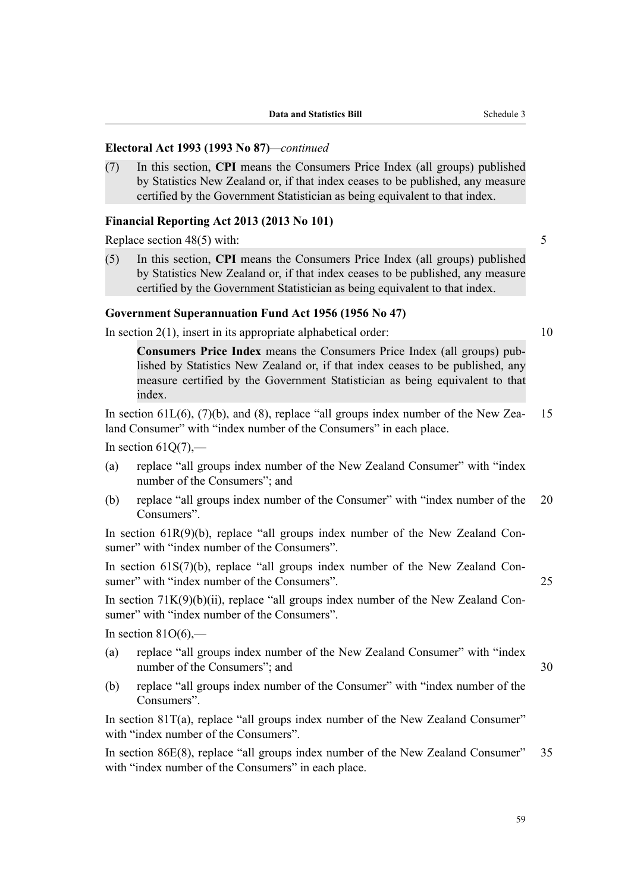# **Electoral Act 1993 (1993 No 87)***—continued*

(7) In this section, **CPI** means the Consumers Price Index (all groups) published by Statistics New Zealand or, if that index ceases to be published, any measure certified by the Government Statistician as being equivalent to that index.

#### **Financial Reporting Act 2013 (2013 No 101)**

Replace section 48(5) with: 5

(5) In this section, **CPI** means the Consumers Price Index (all groups) published by Statistics New Zealand or, if that index ceases to be published, any measure certified by the Government Statistician as being equivalent to that index.

## **Government Superannuation Fund Act 1956 (1956 No 47)**

In section  $2(1)$ , insert in its appropriate alphabetical order:  $10$ 

**Consumers Price Index** means the Consumers Price Index (all groups) pub‐ lished by Statistics New Zealand or, if that index ceases to be published, any measure certified by the Government Statistician as being equivalent to that index.

In section  $61L(6)$ ,  $(7)(b)$ , and  $(8)$ , replace "all groups index number of the New Zea-15 land Consumer" with "index number of the Consumers" in each place.

In section  $61O(7)$ ,—

- (a) replace "all groups index number of the New Zealand Consumer" with "index number of the Consumers"; and
- (b) replace "all groups index number of the Consumer" with "index number of the 20 Consumers".

In section  $61R(9)(b)$ , replace "all groups index number of the New Zealand Consumer" with "index number of the Consumers".

In section  $61S(7)(b)$ , replace "all groups index number of the New Zealand Consumer" with "index number of the Consumers". 25

In section  $71K(9)(b)(ii)$ , replace "all groups index number of the New Zealand Consumer" with "index number of the Consumers".

In section  $81O(6)$ ,—

- (a) replace "all groups index number of the New Zealand Consumer" with "index number of the Consumers"; and 30
- (b) replace "all groups index number of the Consumer" with "index number of the Consumers".

In section 81T(a), replace "all groups index number of the New Zealand Consumer" with "index number of the Consumers".

In section 86E(8), replace "all groups index number of the New Zealand Consumer" 35 with "index number of the Consumers" in each place.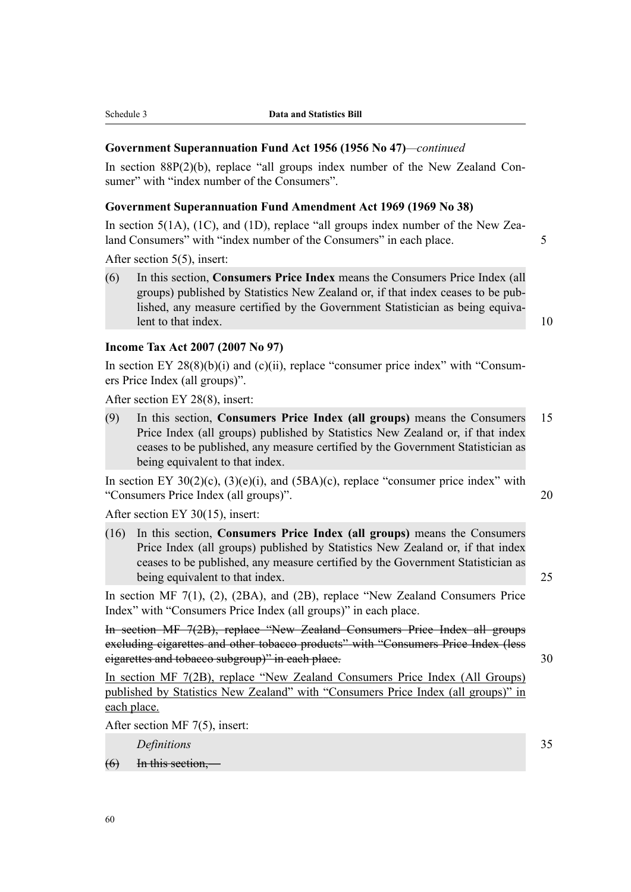### **Government Superannuation Fund Act 1956 (1956 No 47)***—continued*

In section  $88P(2)(b)$ , replace "all groups index number of the New Zealand Consumer" with "index number of the Consumers".

## **Government Superannuation Fund Amendment Act 1969 (1969 No 38)**

In section  $5(1A)$ ,  $(1C)$ , and  $(1D)$ , replace "all groups index number of the New Zealand Consumers" with "index number of the Consumers" in each place. 5

After section 5(5), insert:

(6) In this section, **Consumers Price Index** means the Consumers Price Index (all groups) published by Statistics New Zealand or, if that index ceases to be pub‐ lished, any measure certified by the Government Statistician as being equiva‐ lent to that index. 10

### **Income Tax Act 2007 (2007 No 97)**

In section EY 28(8)(b)(i) and (c)(ii), replace "consumer price index" with "Consumers Price Index (all groups)".

After section EY 28(8), insert:

(9) In this section, **Consumers Price Index (all groups)** means the Consumers 15 Price Index (all groups) published by Statistics New Zealand or, if that index ceases to be published, any measure certified by the Government Statistician as being equivalent to that index.

In section EY  $30(2)(c)$ ,  $(3)(e)(i)$ , and  $(5BA)(c)$ , replace "consumer price index" with "Consumers Price Index (all groups)". 20

After section EY 30(15), insert:

(16) In this section, **Consumers Price Index (all groups)** means the Consumers Price Index (all groups) published by Statistics New Zealand or, if that index ceases to be published, any measure certified by the Government Statistician as being equivalent to that index. 25

In section MF 7(1), (2), (2BA), and (2B), replace "New Zealand Consumers Price Index" with "Consumers Price Index (all groups)" in each place.

In section MF 7(2B), replace "New Zealand Consumers Price Index all groups excluding cigarettes and other tobacco products" with "Consumers Price Index (less eigarettes and tobacco subgroup)" in each place. 30

In section MF 7(2B), replace "New Zealand Consumers Price Index (All Groups) published by Statistics New Zealand" with "Consumers Price Index (all groups)" in each place.

After section MF 7(5), insert:

*Definitions* 35

 $(6)$  In this section, —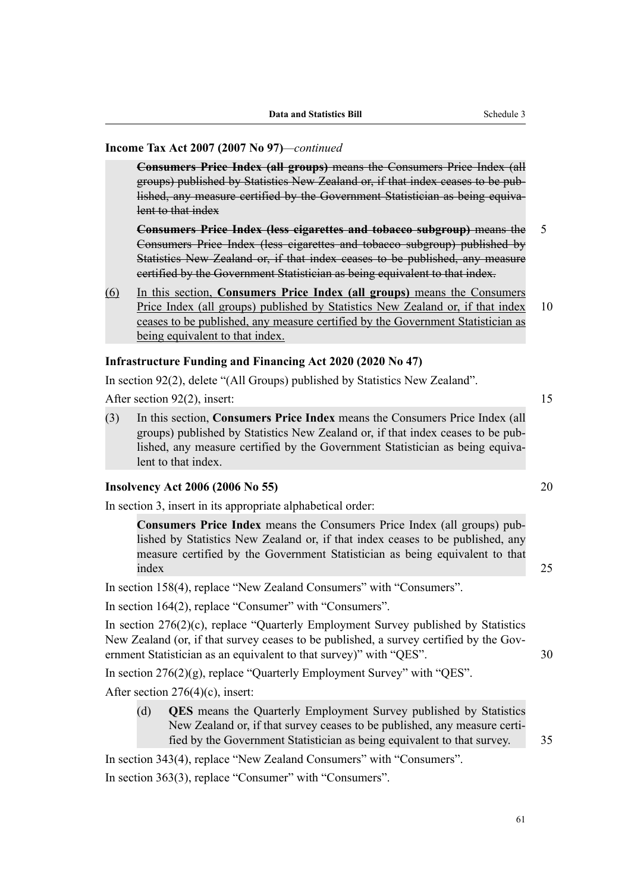# **Income Tax Act 2007 (2007 No 97)***—continued*

**Consumers Price Index (all groups)** means the Consumers Price Index (all groups) published by Statistics New Zealand or, if that index ceases to be pub‐ lished, any measure certified by the Government Statistician as being equivalent to that index

**Consumers Price Index (less cigarettes and tobacco subgroup)** means the 5 Consumers Price Index (less cigarettes and tobacco subgroup) published by Statistics New Zealand or, if that index ceases to be published, any measure certified by the Government Statistician as being equivalent to that index.

(6) In this section, **Consumers Price Index (all groups)** means the Consumers Price Index (all groups) published by Statistics New Zealand or, if that index 10 ceases to be published, any measure certified by the Government Statistician as being equivalent to that index.

# **Infrastructure Funding and Financing Act 2020 (2020 No 47)**

In section 92(2), delete "(All Groups) published by Statistics New Zealand".

After section 92(2), insert: 15

(3) In this section, **Consumers Price Index** means the Consumers Price Index (all groups) published by Statistics New Zealand or, if that index ceases to be pub‐ lished, any measure certified by the Government Statistician as being equiva‐ lent to that index.

#### **Insolvency Act 2006 (2006 No 55)** 20

In section 3, insert in its appropriate alphabetical order:

**Consumers Price Index** means the Consumers Price Index (all groups) pub‐ lished by Statistics New Zealand or, if that index ceases to be published, any measure certified by the Government Statistician as being equivalent to that index 25

In section 158(4), replace "New Zealand Consumers" with "Consumers".

In section 164(2), replace "Consumer" with "Consumers".

In section 276(2)(c), replace "Quarterly Employment Survey published by Statistics New Zealand (or, if that survey ceases to be published, a survey certified by the Gov‐ ernment Statistician as an equivalent to that survey)" with "QES". 30

In section 276(2)(g), replace "Quarterly Employment Survey" with "QES".

After section 276(4)(c), insert:

(d) **QES** means the Quarterly Employment Survey published by Statistics New Zealand or, if that survey ceases to be published, any measure certi‐ fied by the Government Statistician as being equivalent to that survey. 35

In section 343(4), replace "New Zealand Consumers" with "Consumers". In section 363(3), replace "Consumer" with "Consumers".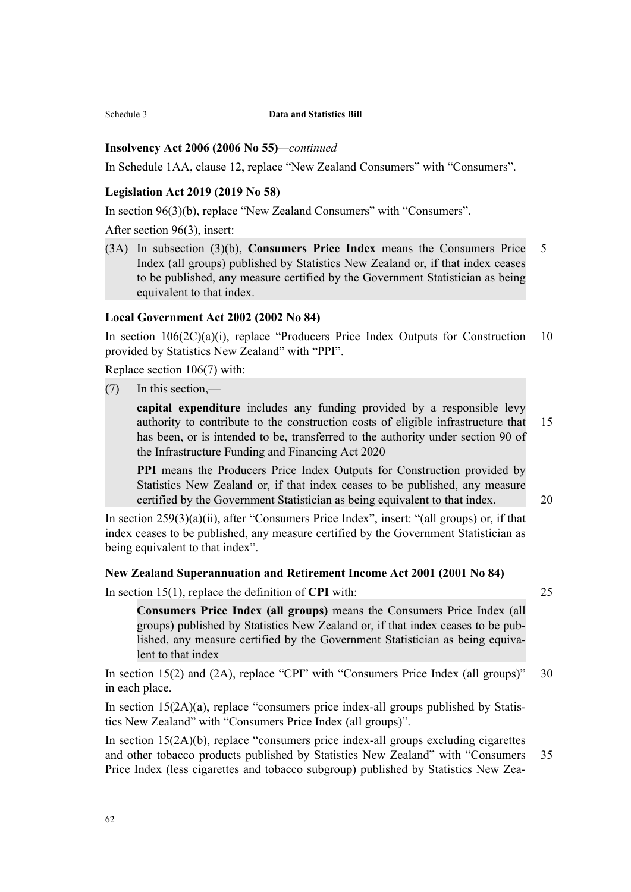# **Insolvency Act 2006 (2006 No 55)***—continued*

In Schedule 1AA, clause 12, replace "New Zealand Consumers" with "Consumers".

# **Legislation Act 2019 (2019 No 58)**

In section 96(3)(b), replace "New Zealand Consumers" with "Consumers".

After section 96(3), insert:

(3A) In subsection (3)(b), **Consumers Price Index** means the Consumers Price 5 Index (all groups) published by Statistics New Zealand or, if that index ceases to be published, any measure certified by the Government Statistician as being equivalent to that index.

# **Local Government Act 2002 (2002 No 84)**

In section  $106(2C)(a)(i)$ , replace "Producers Price Index Outputs for Construction 10 provided by Statistics New Zealand" with "PPI".

Replace section 106(7) with:

(7) In this section,—

**capital expenditure** includes any funding provided by a responsible levy authority to contribute to the construction costs of eligible infrastructure that 15 has been, or is intended to be, transferred to the authority under section 90 of the Infrastructure Funding and Financing Act 2020

**PPI** means the Producers Price Index Outputs for Construction provided by Statistics New Zealand or, if that index ceases to be published, any measure certified by the Government Statistician as being equivalent to that index. 20

In section 259(3)(a)(ii), after "Consumers Price Index", insert: "(all groups) or, if that index ceases to be published, any measure certified by the Government Statistician as being equivalent to that index".

# **New Zealand Superannuation and Retirement Income Act 2001 (2001 No 84)**

In section 15(1), replace the definition of **CPI** with: 25

**Consumers Price Index (all groups)** means the Consumers Price Index (all groups) published by Statistics New Zealand or, if that index ceases to be pub‐ lished, any measure certified by the Government Statistician as being equivalent to that index

In section 15(2) and (2A), replace "CPI" with "Consumers Price Index (all groups)" 30 in each place.

In section  $15(2A)(a)$ , replace "consumers price index-all groups published by Statistics New Zealand" with "Consumers Price Index (all groups)".

In section  $15(2A)(b)$ , replace "consumers price index-all groups excluding cigarettes and other tobacco products published by Statistics New Zealand" with "Consumers 35 Price Index (less cigarettes and tobacco subgroup) published by Statistics New Zea-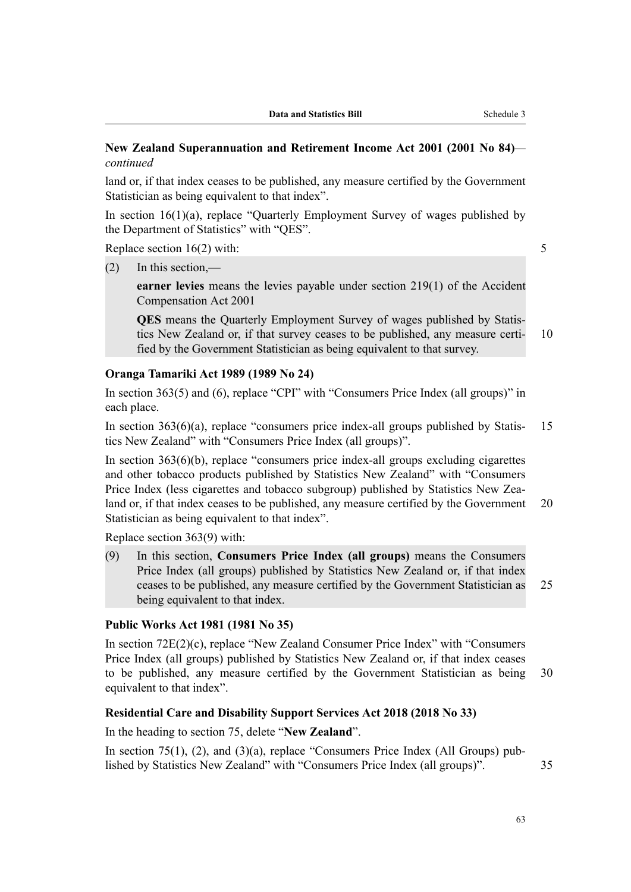# **New Zealand Superannuation and Retirement Income Act 2001 (2001 No 84)** *continued*

land or, if that index ceases to be published, any measure certified by the Government Statistician as being equivalent to that index".

In section 16(1)(a), replace "Quarterly Employment Survey of wages published by the Department of Statistics" with "QES".

Replace section 16(2) with: 5

(2) In this section,—

**earner levies** means the levies payable under section 219(1) of the Accident Compensation Act 2001

**QES** means the Quarterly Employment Survey of wages published by Statis‐ tics New Zealand or, if that survey ceases to be published, any measure certi‐ 10 fied by the Government Statistician as being equivalent to that survey.

#### **Oranga Tamariki Act 1989 (1989 No 24)**

In section 363(5) and (6), replace "CPI" with "Consumers Price Index (all groups)" in each place.

In section  $363(6)(a)$ , replace "consumers price index-all groups published by Statis-15 tics New Zealand" with "Consumers Price Index (all groups)".

In section  $363(6)(b)$ , replace "consumers price index-all groups excluding cigarettes and other tobacco products published by Statistics New Zealand" with "Consumers Price Index (less cigarettes and tobacco subgroup) published by Statistics New Zealand or, if that index ceases to be published, any measure certified by the Government 20 Statistician as being equivalent to that index".

Replace section 363(9) with:

(9) In this section, **Consumers Price Index (all groups)** means the Consumers Price Index (all groups) published by Statistics New Zealand or, if that index ceases to be published, any measure certified by the Government Statistician as 25 being equivalent to that index.

#### **Public Works Act 1981 (1981 No 35)**

In section 72E(2)(c), replace "New Zealand Consumer Price Index" with "Consumers Price Index (all groups) published by Statistics New Zealand or, if that index ceases to be published, any measure certified by the Government Statistician as being 30 equivalent to that index".

#### **Residential Care and Disability Support Services Act 2018 (2018 No 33)**

In the heading to section 75, delete "**New Zealand**".

In section 75(1), (2), and (3)(a), replace "Consumers Price Index (All Groups) published by Statistics New Zealand" with "Consumers Price Index (all groups)". 35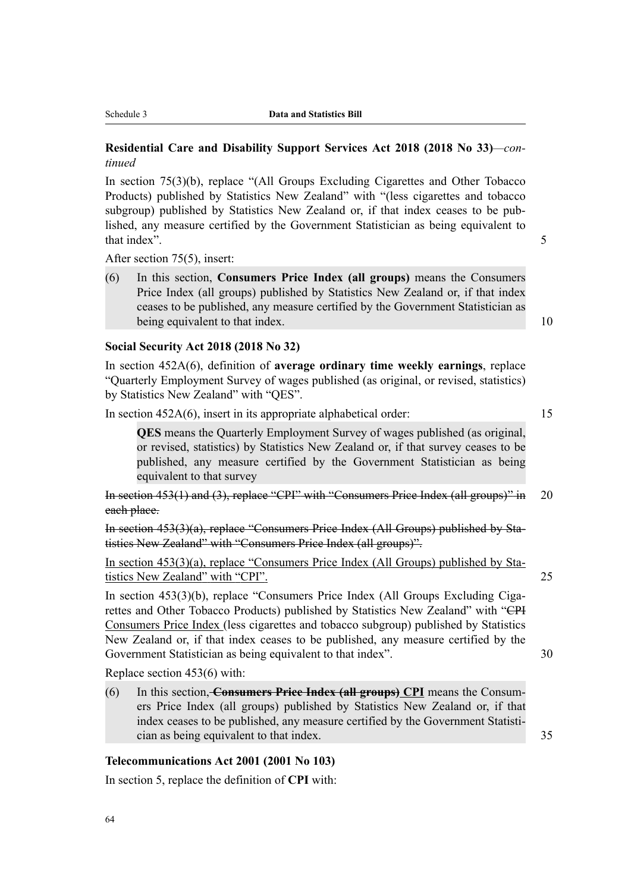# **Residential Care and Disability Support Services Act 2018 (2018 No 33)***—con‐ tinued*

In section 75(3)(b), replace "(All Groups Excluding Cigarettes and Other Tobacco Products) published by Statistics New Zealand" with "(less cigarettes and tobacco subgroup) published by Statistics New Zealand or, if that index ceases to be published, any measure certified by the Government Statistician as being equivalent to that index". 5

After section 75(5), insert:

(6) In this section, **Consumers Price Index (all groups)** means the Consumers Price Index (all groups) published by Statistics New Zealand or, if that index ceases to be published, any measure certified by the Government Statistician as being equivalent to that index. 10

#### **Social Security Act 2018 (2018 No 32)**

In section 452A(6), definition of **average ordinary time weekly earnings**, replace "Quarterly Employment Survey of wages published (as original, or revised, statistics) by Statistics New Zealand" with "QES".

In section  $452A(6)$ , insert in its appropriate alphabetical order: 15

**QES** means the Quarterly Employment Survey of wages published (as original, or revised, statistics) by Statistics New Zealand or, if that survey ceases to be published, any measure certified by the Government Statistician as being equivalent to that survey

In section 453(1) and (3), replace "CPI" with "Consumers Price Index (all groups)" in 20 each place.

In section 453(3)(a), replace "Consumers Price Index (All Groups) published by Sta‐ tistics New Zealand" with "Consumers Price Index (all groups)".

In section  $453(3)(a)$ , replace "Consumers Price Index (All Groups) published by Statistics New Zealand" with "CPI". 25

In section 453(3)(b), replace "Consumers Price Index (All Groups Excluding Cigarettes and Other Tobacco Products) published by Statistics New Zealand" with "CPI Consumers Price Index (less cigarettes and tobacco subgroup) published by Statistics New Zealand or, if that index ceases to be published, any measure certified by the Government Statistician as being equivalent to that index". 30

Replace section 453(6) with:

(6) In this section, **Consumers Price Index (all groups) CPI** means the Consum‐ ers Price Index (all groups) published by Statistics New Zealand or, if that index ceases to be published, any measure certified by the Government Statistician as being equivalent to that index. 35

#### **Telecommunications Act 2001 (2001 No 103)**

In section 5, replace the definition of **CPI** with: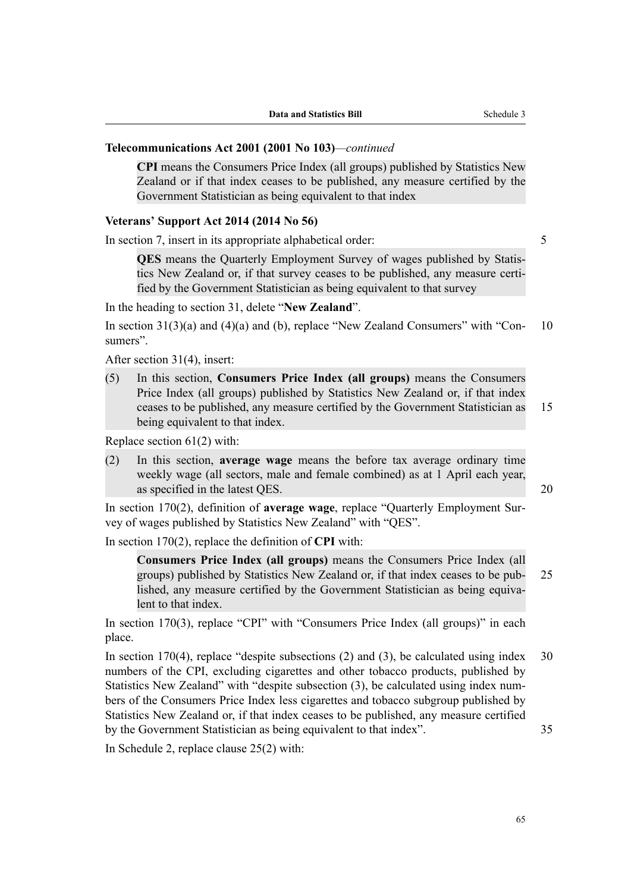#### **Telecommunications Act 2001 (2001 No 103)***—continued*

**CPI** means the Consumers Price Index (all groups) published by Statistics New Zealand or if that index ceases to be published, any measure certified by the Government Statistician as being equivalent to that index

#### **Veterans' Support Act 2014 (2014 No 56)**

In section 7, insert in its appropriate alphabetical order: 5

**QES** means the Quarterly Employment Survey of wages published by Statis‐ tics New Zealand or, if that survey ceases to be published, any measure certi‐ fied by the Government Statistician as being equivalent to that survey

In the heading to section 31, delete "**New Zealand**".

In section  $31(3)(a)$  and  $(4)(a)$  and  $(b)$ , replace "New Zealand Consumers" with "Con- 10" sumers".

After section 31(4), insert:

(5) In this section, **Consumers Price Index (all groups)** means the Consumers Price Index (all groups) published by Statistics New Zealand or, if that index ceases to be published, any measure certified by the Government Statistician as 15 being equivalent to that index.

Replace section 61(2) with:

(2) In this section, **average wage** means the before tax average ordinary time weekly wage (all sectors, male and female combined) as at 1 April each year, as specified in the latest QES. 20

In section 170(2), definition of **average wage**, replace "Quarterly Employment Sur‐ vey of wages published by Statistics New Zealand" with "QES".

In section 170(2), replace the definition of **CPI** with:

**Consumers Price Index (all groups)** means the Consumers Price Index (all groups) published by Statistics New Zealand or, if that index ceases to be pub‐ 25 lished, any measure certified by the Government Statistician as being equivalent to that index.

In section 170(3), replace "CPI" with "Consumers Price Index (all groups)" in each place.

In section 170(4), replace "despite subsections  $(2)$  and  $(3)$ , be calculated using index 30 numbers of the CPI, excluding cigarettes and other tobacco products, published by Statistics New Zealand" with "despite subsection (3), be calculated using index num‐ bers of the Consumers Price Index less cigarettes and tobacco subgroup published by Statistics New Zealand or, if that index ceases to be published, any measure certified by the Government Statistician as being equivalent to that index". 35

In Schedule 2, replace clause 25(2) with: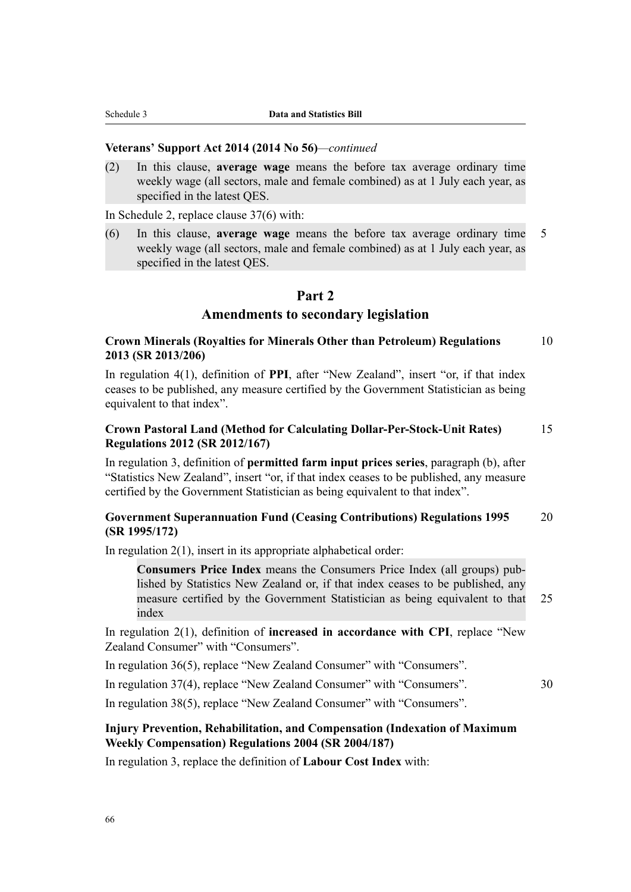#### **Veterans' Support Act 2014 (2014 No 56)***—continued*

(2) In this clause, **average wage** means the before tax average ordinary time weekly wage (all sectors, male and female combined) as at 1 July each year, as specified in the latest QES.

In Schedule 2, replace clause 37(6) with:

(6) In this clause, **average wage** means the before tax average ordinary time 5 weekly wage (all sectors, male and female combined) as at 1 July each year, as specified in the latest QES.

# **Part 2**

# **Amendments to secondary legislation**

# **Crown Minerals (Royalties for Minerals Other than Petroleum) Regulations** 10 **2013 (SR 2013/206)**

In regulation 4(1), definition of **PPI**, after "New Zealand", insert "or, if that index ceases to be published, any measure certified by the Government Statistician as being equivalent to that index".

# **Crown Pastoral Land (Method for Calculating Dollar-Per-Stock-Unit Rates)** 15 **Regulations 2012 (SR 2012/167)**

In regulation 3, definition of **permitted farm input prices series**, paragraph (b), after "Statistics New Zealand", insert "or, if that index ceases to be published, any measure certified by the Government Statistician as being equivalent to that index".

# **Government Superannuation Fund (Ceasing Contributions) Regulations 1995** 20 **(SR 1995/172)**

In regulation 2(1), insert in its appropriate alphabetical order:

**Consumers Price Index** means the Consumers Price Index (all groups) pub‐ lished by Statistics New Zealand or, if that index ceases to be published, any measure certified by the Government Statistician as being equivalent to that 25 index

In regulation 2(1), definition of **increased in accordance with CPI**, replace "New Zealand Consumer" with "Consumers".

In regulation 36(5), replace "New Zealand Consumer" with "Consumers".

In regulation 37(4), replace "New Zealand Consumer" with "Consumers". 30

In regulation 38(5), replace "New Zealand Consumer" with "Consumers".

# **Injury Prevention, Rehabilitation, and Compensation (Indexation of Maximum Weekly Compensation) Regulations 2004 (SR 2004/187)**

In regulation 3, replace the definition of **Labour Cost Index** with: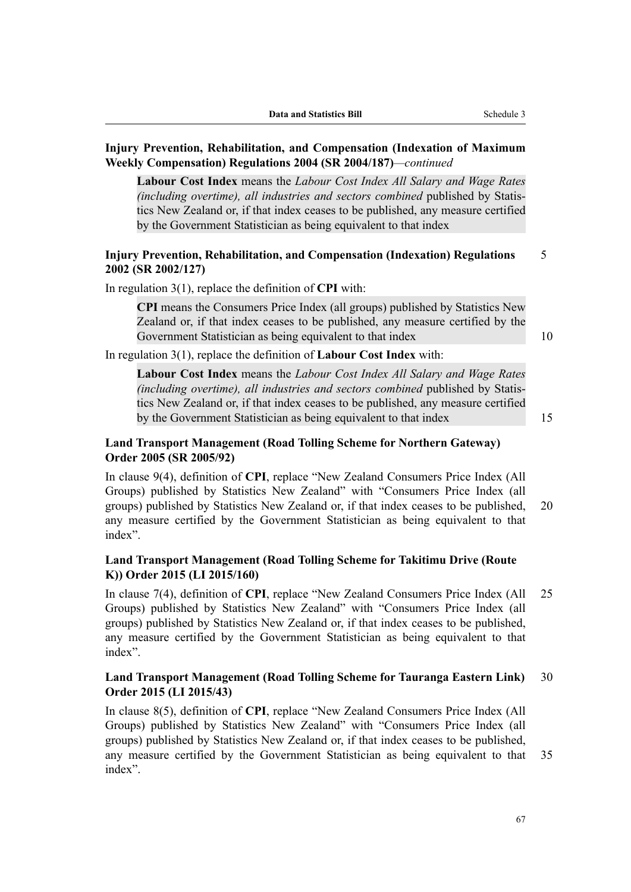# **Injury Prevention, Rehabilitation, and Compensation (Indexation of Maximum Weekly Compensation) Regulations 2004 (SR 2004/187)***—continued*

**Labour Cost Index** means the *Labour Cost Index All Salary and Wage Rates (including overtime), all industries and sectors combined* published by Statis‐ tics New Zealand or, if that index ceases to be published, any measure certified by the Government Statistician as being equivalent to that index

# **Injury Prevention, Rehabilitation, and Compensation (Indexation) Regulations** 5 **2002 (SR 2002/127)**

In regulation 3(1), replace the definition of **CPI** with:

**CPI** means the Consumers Price Index (all groups) published by Statistics New Zealand or, if that index ceases to be published, any measure certified by the Government Statistician as being equivalent to that index 10

In regulation 3(1), replace the definition of **Labour Cost Index** with:

**Labour Cost Index** means the *Labour Cost Index All Salary and Wage Rates (including overtime), all industries and sectors combined* published by Statis‐ tics New Zealand or, if that index ceases to be published, any measure certified by the Government Statistician as being equivalent to that index 15

# **Land Transport Management (Road Tolling Scheme for Northern Gateway) Order 2005 (SR 2005/92)**

In clause 9(4), definition of **CPI**, replace "New Zealand Consumers Price Index (All Groups) published by Statistics New Zealand" with "Consumers Price Index (all groups) published by Statistics New Zealand or, if that index ceases to be published, 20 any measure certified by the Government Statistician as being equivalent to that index".

# **Land Transport Management (Road Tolling Scheme for Takitimu Drive (Route K)) Order 2015 (LI 2015/160)**

In clause 7(4), definition of **CPI**, replace "New Zealand Consumers Price Index (All 25 Groups) published by Statistics New Zealand" with "Consumers Price Index (all groups) published by Statistics New Zealand or, if that index ceases to be published, any measure certified by the Government Statistician as being equivalent to that index".

# **Land Transport Management (Road Tolling Scheme for Tauranga Eastern Link)** 30 **Order 2015 (LI 2015/43)**

In clause 8(5), definition of **CPI**, replace "New Zealand Consumers Price Index (All Groups) published by Statistics New Zealand" with "Consumers Price Index (all groups) published by Statistics New Zealand or, if that index ceases to be published, any measure certified by the Government Statistician as being equivalent to that 35 index".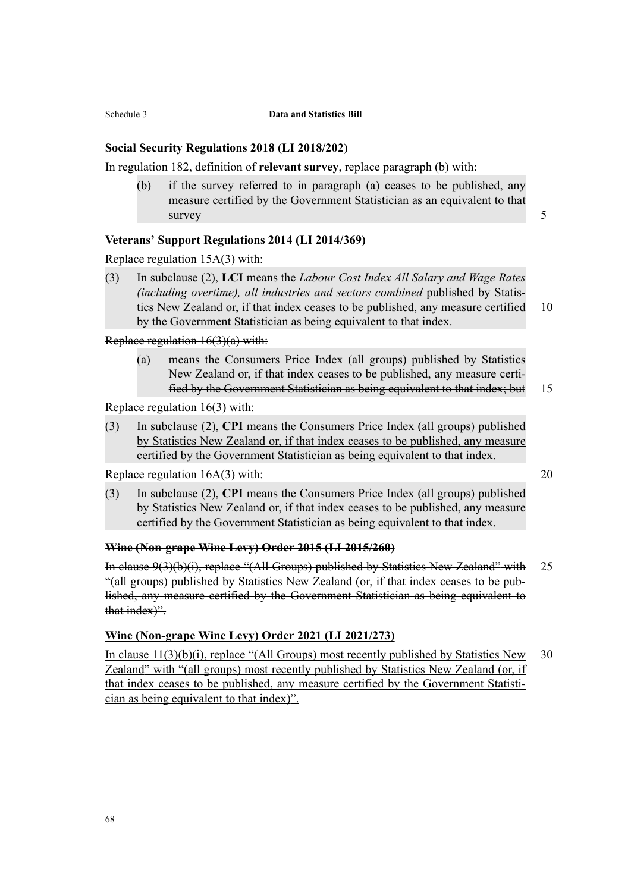# **Social Security Regulations 2018 (LI 2018/202)**

In regulation 182, definition of **relevant survey**, replace paragraph (b) with:

(b) if the survey referred to in paragraph (a) ceases to be published, any measure certified by the Government Statistician as an equivalent to that survey 50 and 50 and 50 and 50 and 50 and 50 and 50 and 50 and 50 and 50 and 50 and 50 and 50 and 50 and 50 and 50 and 50 and 50 and 50 and 50 and 50 and 50 and 50 and 50 and 50 and 50 and 50 and 50 and 50 and 50 and 50 an

# **Veterans' Support Regulations 2014 (LI 2014/369)**

Replace regulation 15A(3) with:

(3) In subclause (2), **LCI** means the *Labour Cost Index All Salary and Wage Rates (including overtime), all industries and sectors combined* published by Statis‐ tics New Zealand or, if that index ceases to be published, any measure certified 10 by the Government Statistician as being equivalent to that index.

Replace regulation 16(3)(a) with:

(a) means the Consumers Price Index (all groups) published by Statistics New Zealand or, if that index ceases to be published, any measure certi‐ fied by the Government Statistician as being equivalent to that index; but 15

Replace regulation 16(3) with:

(3) In subclause (2), **CPI** means the Consumers Price Index (all groups) published by Statistics New Zealand or, if that index ceases to be published, any measure certified by the Government Statistician as being equivalent to that index.

Replace regulation 16A(3) with: 20

(3) In subclause (2), **CPI** means the Consumers Price Index (all groups) published by Statistics New Zealand or, if that index ceases to be published, any measure certified by the Government Statistician as being equivalent to that index.

#### **Wine (Non-grape Wine Levy) Order 2015 (LI 2015/260)**

In clause 9(3)(b)(i), replace "(All Groups) published by Statistics New Zealand" with 25 "(all groups) published by Statistics New Zealand (or, if that index ceases to be pub‐ lished, any measure certified by the Government Statistician as being equivalent to that index)".

# **Wine (Non-grape Wine Levy) Order 2021 (LI 2021/273)**

In clause  $11(3)(b)(i)$ , replace "(All Groups) most recently published by Statistics New 30 Zealand" with "(all groups) most recently published by Statistics New Zealand (or, if that index ceases to be published, any measure certified by the Government Statisti‐ cian as being equivalent to that index)".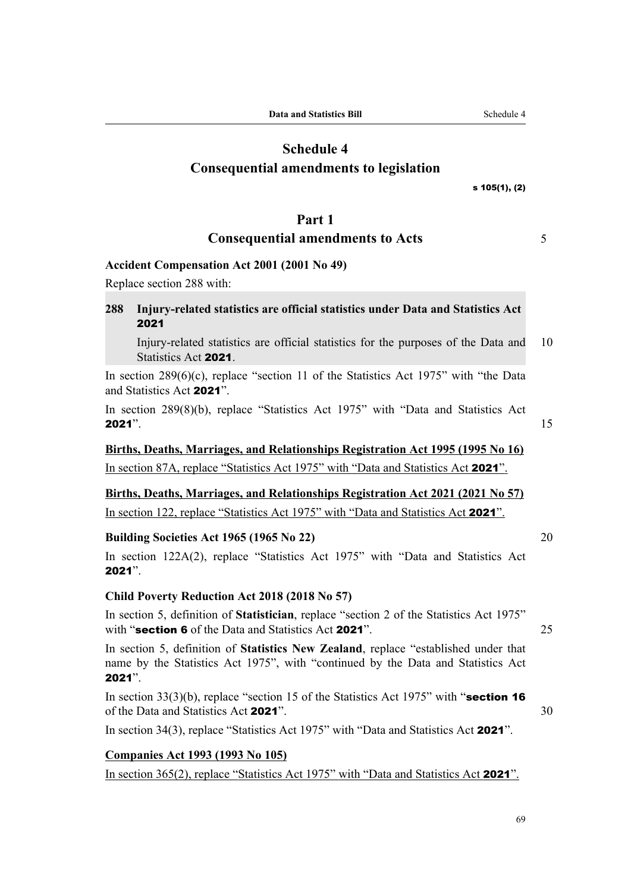# **Schedule 4 Consequential amendments to legislation**

#### s 105(1), (2)

# **Part 1**

# **Consequential amendments to Acts** 5

# **Accident Compensation Act 2001 (2001 No 49)**

Replace section 288 with:

# **288 Injury-related statistics are official statistics under Data and Statistics Act** 2021

Injury-related statistics are official statistics for the purposes of the Data and 10 Statistics Act 2021.

In section  $289(6)(c)$ , replace "section 11 of the Statistics Act 1975" with "the Data and Statistics Act 2021".

In section 289(8)(b), replace "Statistics Act 1975" with "Data and Statistics Act **2021**".  $15$ 

# **Births, Deaths, Marriages, and Relationships Registration Act 1995 (1995 No 16)** In section 87A, replace "Statistics Act 1975" with "Data and Statistics Act 2021".

# **Births, Deaths, Marriages, and Relationships Registration Act 2021 (2021 No 57)**

In section 122, replace "Statistics Act 1975" with "Data and Statistics Act 2021".

# **Building Societies Act 1965 (1965 No 22)** 20

In section 122A(2), replace "Statistics Act 1975" with "Data and Statistics Act 2021".

# **Child Poverty Reduction Act 2018 (2018 No 57)**

In section 5, definition of **Statistician**, replace "section 2 of the Statistics Act 1975" with "section 6 of the Data and Statistics Act 2021". 25

In section 5, definition of **Statistics New Zealand**, replace "established under that name by the Statistics Act 1975", with "continued by the Data and Statistics Act 2021".

In section  $33(3)(b)$ , replace "section 15 of the Statistics Act 1975" with "section 16 of the Data and Statistics Act 2021". 30

In section 34(3), replace "Statistics Act 1975" with "Data and Statistics Act 2021".

# **Companies Act 1993 (1993 No 105)**

In section 365(2), replace "Statistics Act 1975" with "Data and Statistics Act 2021".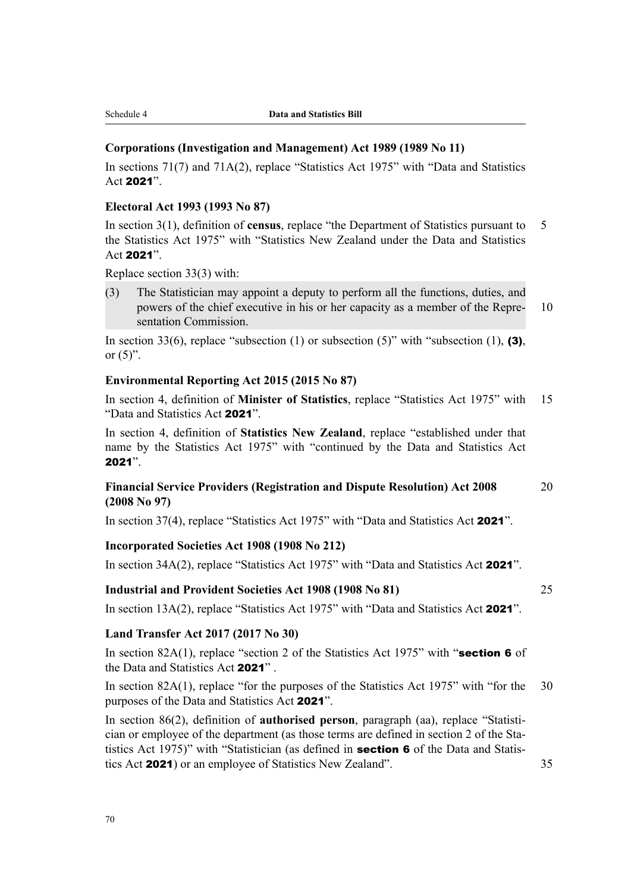# **Corporations (Investigation and Management) Act 1989 (1989 No 11)**

In sections 71(7) and 71A(2), replace "Statistics Act 1975" with "Data and Statistics Act 2021".

# **Electoral Act 1993 (1993 No 87)**

In section 3(1), definition of **census**, replace "the Department of Statistics pursuant to 5 the Statistics Act 1975" with "Statistics New Zealand under the Data and Statistics Act 2021".

Replace section 33(3) with:

(3) The Statistician may appoint a deputy to perform all the functions, duties, and powers of the chief executive in his or her capacity as a member of the Repre- 10 sentation Commission.

In section 33(6), replace "subsection (1) or subsection (5)" with "subsection (1), (3), or  $(5)$ ".

#### **Environmental Reporting Act 2015 (2015 No 87)**

In section 4, definition of **Minister of Statistics**, replace "Statistics Act 1975" with 15 "Data and Statistics Act 2021".

In section 4, definition of **Statistics New Zealand**, replace "established under that name by the Statistics Act 1975" with "continued by the Data and Statistics Act 2021".

# **Financial Service Providers (Registration and Dispute Resolution) Act 2008** 20 **(2008 No 97)**

In section 37(4), replace "Statistics Act 1975" with "Data and Statistics Act 2021".

#### **Incorporated Societies Act 1908 (1908 No 212)**

In section 34A(2), replace "Statistics Act 1975" with "Data and Statistics Act 2021".

# **Industrial and Provident Societies Act 1908 (1908 No 81)** 25

In section 13A(2), replace "Statistics Act 1975" with "Data and Statistics Act 2021".

#### **Land Transfer Act 2017 (2017 No 30)**

In section 82A(1), replace "section 2 of the Statistics Act 1975" with "section 6 of the Data and Statistics Act 2021" .

In section 82A(1), replace "for the purposes of the Statistics Act 1975" with "for the 30 purposes of the Data and Statistics Act 2021".

In section 86(2), definition of **authorised person**, paragraph (aa), replace "Statistician or employee of the department (as those terms are defined in section 2 of the Statistics Act 1975)" with "Statistician (as defined in **section 6** of the Data and Statistics Act 2021) or an employee of Statistics New Zealand". 35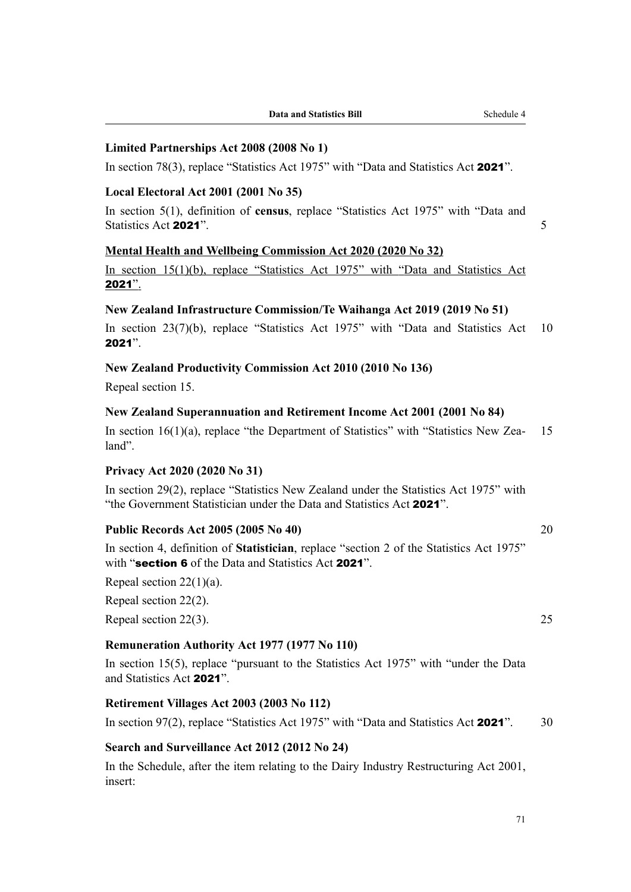# **Limited Partnerships Act 2008 (2008 No 1)**

In section 78(3), replace "Statistics Act 1975" with "Data and Statistics Act 2021".

# **Local Electoral Act 2001 (2001 No 35)**

In section 5(1), definition of **census**, replace "Statistics Act 1975" with "Data and Statistics Act 2021".

# **Mental Health and Wellbeing Commission Act 2020 (2020 No 32)**

In section 15(1)(b), replace "Statistics Act 1975" with "Data and Statistics Act 2021".

#### **New Zealand Infrastructure Commission/Te Waihanga Act 2019 (2019 No 51)**

In section 23(7)(b), replace "Statistics Act 1975" with "Data and Statistics Act 10 2021".

# **New Zealand Productivity Commission Act 2010 (2010 No 136)**

Repeal section 15.

# **New Zealand Superannuation and Retirement Income Act 2001 (2001 No 84)**

In section  $16(1)(a)$ , replace "the Department of Statistics" with "Statistics New Zea-15 land".

#### **Privacy Act 2020 (2020 No 31)**

In section 29(2), replace "Statistics New Zealand under the Statistics Act 1975" with "the Government Statistician under the Data and Statistics Act 2021".

# **Public Records Act 2005 (2005 No 40)** 20

In section 4, definition of **Statistician**, replace "section 2 of the Statistics Act 1975" with "section 6 of the Data and Statistics Act 2021".

Repeal section  $22(1)(a)$ .

Repeal section 22(2).

Repeal section  $22(3)$ . 25

#### **Remuneration Authority Act 1977 (1977 No 110)**

In section 15(5), replace "pursuant to the Statistics Act 1975" with "under the Data and Statistics Act 2021".

# **Retirement Villages Act 2003 (2003 No 112)**

In section 97(2), replace "Statistics Act 1975" with "Data and Statistics Act 2021". 30

# **Search and Surveillance Act 2012 (2012 No 24)**

In the Schedule, after the item relating to the Dairy Industry Restructuring Act 2001, insert: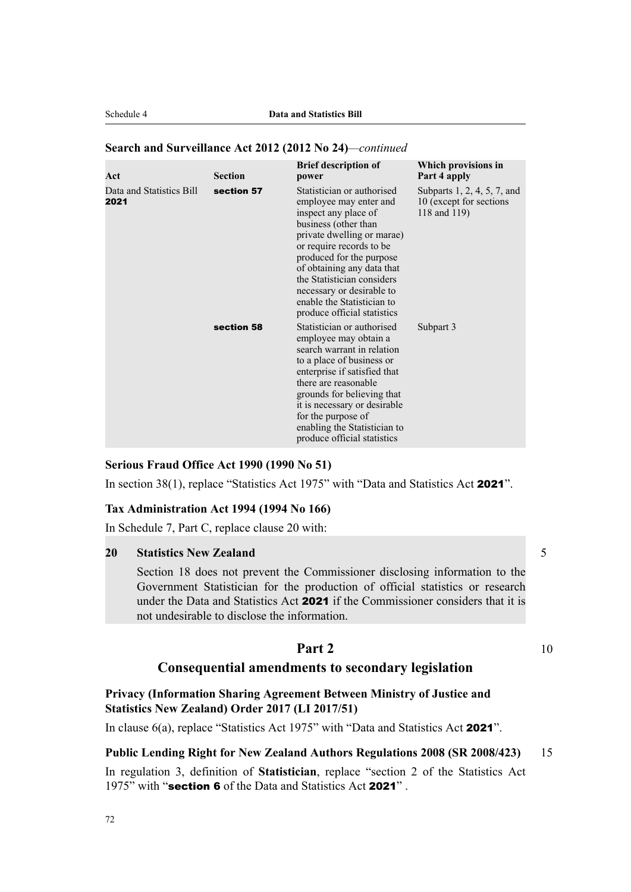# **Search and Surveillance Act 2012 (2012 No 24)***—continued*

| Act                              | <b>Section</b> | <b>Brief description of</b><br>power                                                                                                                                                                                                                                                                                                             | Which provisions in<br>Part 4 apply                                    |
|----------------------------------|----------------|--------------------------------------------------------------------------------------------------------------------------------------------------------------------------------------------------------------------------------------------------------------------------------------------------------------------------------------------------|------------------------------------------------------------------------|
| Data and Statistics Bill<br>2021 | section 57     | Statistician or authorised<br>employee may enter and<br>inspect any place of<br>business (other than<br>private dwelling or marae)<br>or require records to be<br>produced for the purpose<br>of obtaining any data that<br>the Statistician considers<br>necessary or desirable to<br>enable the Statistician to<br>produce official statistics | Subparts 1, 2, 4, 5, 7, and<br>10 (except for sections<br>118 and 119) |
|                                  | section 58     | Statistician or authorised<br>employee may obtain a<br>search warrant in relation<br>to a place of business or<br>enterprise if satisfied that<br>there are reasonable<br>grounds for believing that<br>it is necessary or desirable<br>for the purpose of<br>enabling the Statistician to<br>produce official statistics                        | Subpart 3                                                              |

#### **Serious Fraud Office Act 1990 (1990 No 51)**

In section 38(1), replace "Statistics Act 1975" with "Data and Statistics Act 2021".

# **Tax Administration Act 1994 (1994 No 166)**

In Schedule 7, Part C, replace clause 20 with:

# **20 Statistics New Zealand** 5

Section 18 does not prevent the Commissioner disclosing information to the Government Statistician for the production of official statistics or research under the Data and Statistics Act 2021 if the Commissioner considers that it is not undesirable to disclose the information.

# **Part 2** 10

# **Consequential amendments to secondary legislation**

**Privacy (Information Sharing Agreement Between Ministry of Justice and Statistics New Zealand) Order 2017 (LI 2017/51)**

In clause 6(a), replace "Statistics Act 1975" with "Data and Statistics Act 2021".

#### **Public Lending Right for New Zealand Authors Regulations 2008 (SR 2008/423)** 15

In regulation 3, definition of **Statistician**, replace "section 2 of the Statistics Act 1975" with "section 6 of the Data and Statistics Act 2021".